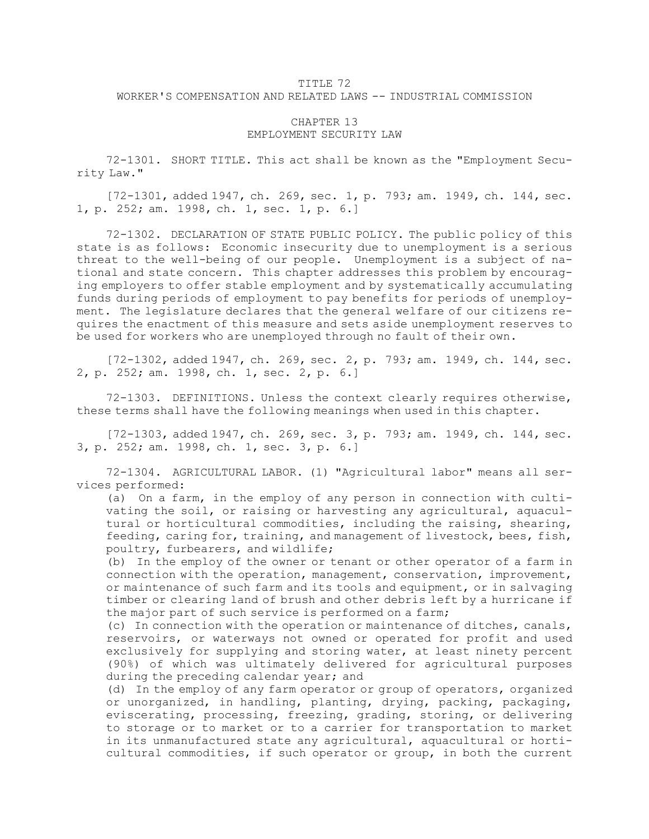## TITLE 72 WORKER'S COMPENSATION AND RELATED LAWS -- INDUSTRIAL COMMISSION

## CHAPTER 13 EMPLOYMENT SECURITY LAW

72-1301. SHORT TITLE. This act shall be known as the "Employment Security Law."

[72-1301, added 1947, ch. 269, sec. 1, p. 793; am. 1949, ch. 144, sec. 1, p. 252; am. 1998, ch. 1, sec. 1, p. 6.]

72-1302. DECLARATION OF STATE PUBLIC POLICY. The public policy of this state is as follows: Economic insecurity due to unemployment is <sup>a</sup> serious threat to the well-being of our people. Unemployment is <sup>a</sup> subject of national and state concern. This chapter addresses this problem by encouraging employers to offer stable employment and by systematically accumulating funds during periods of employment to pay benefits for periods of unemployment. The legislature declares that the general welfare of our citizens requires the enactment of this measure and sets aside unemployment reserves to be used for workers who are unemployed through no fault of their own.

[72-1302, added 1947, ch. 269, sec. 2, p. 793; am. 1949, ch. 144, sec. 2, p. 252; am. 1998, ch. 1, sec. 2, p. 6.]

72-1303. DEFINITIONS. Unless the context clearly requires otherwise, these terms shall have the following meanings when used in this chapter.

[72-1303, added 1947, ch. 269, sec. 3, p. 793; am. 1949, ch. 144, sec. 3, p. 252; am. 1998, ch. 1, sec. 3, p. 6.]

72-1304. AGRICULTURAL LABOR. (1) "Agricultural labor" means all services performed:

(a) On <sup>a</sup> farm, in the employ of any person in connection with cultivating the soil, or raising or harvesting any agricultural, aquacultural or horticultural commodities, including the raising, shearing, feeding, caring for, training, and management of livestock, bees, fish, poultry, furbearers, and wildlife;

(b) In the employ of the owner or tenant or other operator of <sup>a</sup> farm in connection with the operation, management, conservation, improvement, or maintenance of such farm and its tools and equipment, or in salvaging timber or clearing land of brush and other debris left by <sup>a</sup> hurricane if the major part of such service is performed on <sup>a</sup> farm;

(c) In connection with the operation or maintenance of ditches, canals, reservoirs, or waterways not owned or operated for profit and used exclusively for supplying and storing water, at least ninety percent (90%) of which was ultimately delivered for agricultural purposes during the preceding calendar year; and

(d) In the employ of any farm operator or group of operators, organized or unorganized, in handling, planting, drying, packing, packaging, eviscerating, processing, freezing, grading, storing, or delivering to storage or to market or to <sup>a</sup> carrier for transportation to market in its unmanufactured state any agricultural, aquacultural or horticultural commodities, if such operator or group, in both the current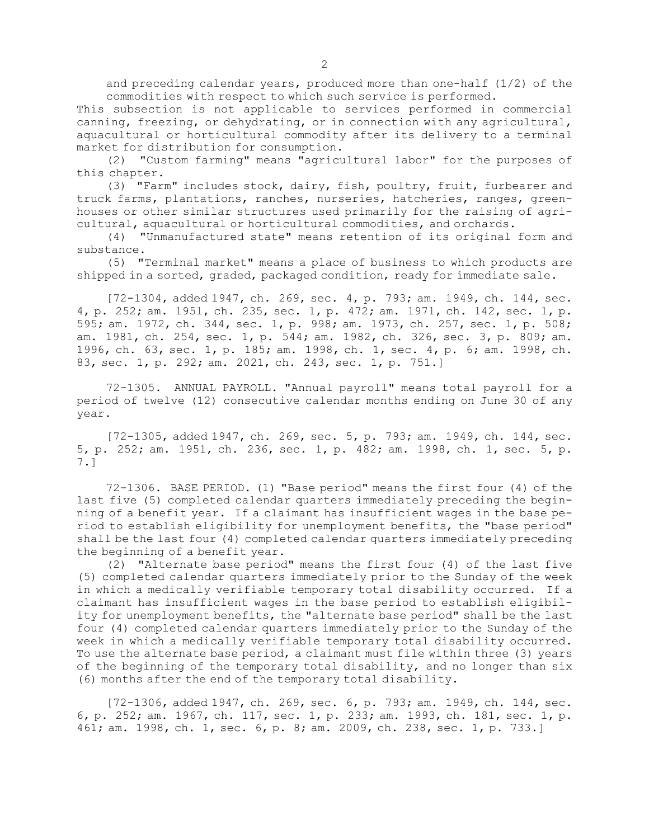and preceding calendar years, produced more than one-half (1/2) of the commodities with respect to which such service is performed.

This subsection is not applicable to services performed in commercial canning, freezing, or dehydrating, or in connection with any agricultural, aquacultural or horticultural commodity after its delivery to <sup>a</sup> terminal market for distribution for consumption.

(2) "Custom farming" means "agricultural labor" for the purposes of this chapter.

(3) "Farm" includes stock, dairy, fish, poultry, fruit, furbearer and truck farms, plantations, ranches, nurseries, hatcheries, ranges, greenhouses or other similar structures used primarily for the raising of agricultural, aquacultural or horticultural commodities, and orchards.

(4) "Unmanufactured state" means retention of its original form and substance.

(5) "Terminal market" means <sup>a</sup> place of business to which products are shipped in <sup>a</sup> sorted, graded, packaged condition, ready for immediate sale.

[72-1304, added 1947, ch. 269, sec. 4, p. 793; am. 1949, ch. 144, sec. 4, p. 252; am. 1951, ch. 235, sec. 1, p. 472; am. 1971, ch. 142, sec. 1, p. 595; am. 1972, ch. 344, sec. 1, p. 998; am. 1973, ch. 257, sec. 1, p. 508; am. 1981, ch. 254, sec. 1, p. 544; am. 1982, ch. 326, sec. 3, p. 809; am. 1996, ch. 63, sec. 1, p. 185; am. 1998, ch. 1, sec. 4, p. 6; am. 1998, ch. 83, sec. 1, p. 292; am. 2021, ch. 243, sec. 1, p. 751.]

72-1305. ANNUAL PAYROLL. "Annual payroll" means total payroll for <sup>a</sup> period of twelve (12) consecutive calendar months ending on June 30 of any year.

[72-1305, added 1947, ch. 269, sec. 5, p. 793; am. 1949, ch. 144, sec. 5, p. 252; am. 1951, ch. 236, sec. 1, p. 482; am. 1998, ch. 1, sec. 5, p. 7.]

72-1306. BASE PERIOD. (1) "Base period" means the first four (4) of the last five (5) completed calendar quarters immediately preceding the beginning of <sup>a</sup> benefit year. If <sup>a</sup> claimant has insufficient wages in the base period to establish eligibility for unemployment benefits, the "base period" shall be the last four (4) completed calendar quarters immediately preceding the beginning of <sup>a</sup> benefit year.

(2) "Alternate base period" means the first four (4) of the last five (5) completed calendar quarters immediately prior to the Sunday of the week in which <sup>a</sup> medically verifiable temporary total disability occurred. If <sup>a</sup> claimant has insufficient wages in the base period to establish eligibility for unemployment benefits, the "alternate base period" shall be the last four (4) completed calendar quarters immediately prior to the Sunday of the week in which <sup>a</sup> medically verifiable temporary total disability occurred. To use the alternate base period, <sup>a</sup> claimant must file within three (3) years of the beginning of the temporary total disability, and no longer than six (6) months after the end of the temporary total disability.

[72-1306, added 1947, ch. 269, sec. 6, p. 793; am. 1949, ch. 144, sec. 6, p. 252; am. 1967, ch. 117, sec. 1, p. 233; am. 1993, ch. 181, sec. 1, p. 461; am. 1998, ch. 1, sec. 6, p. 8; am. 2009, ch. 238, sec. 1, p. 733.]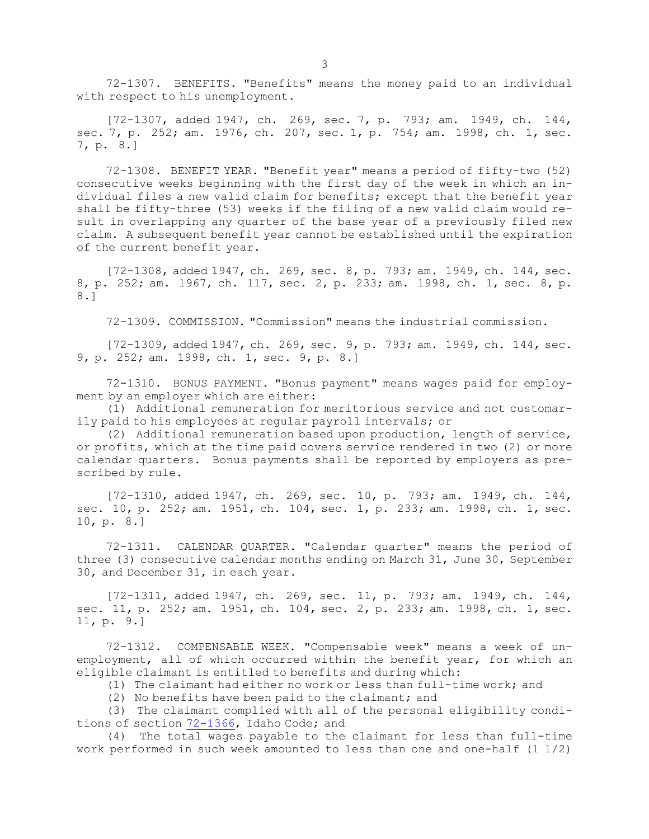72-1307. BENEFITS. "Benefits" means the money paid to an individual with respect to his unemployment.

[72-1307, added 1947, ch. 269, sec. 7, p. 793; am. 1949, ch. 144, sec. 7, p. 252; am. 1976, ch. 207, sec. 1, p. 754; am. 1998, ch. 1, sec. 7, p. 8.]

72-1308. BENEFIT YEAR. "Benefit year" means <sup>a</sup> period of fifty-two (52) consecutive weeks beginning with the first day of the week in which an individual files <sup>a</sup> new valid claim for benefits; except that the benefit year shall be fifty-three (53) weeks if the filing of <sup>a</sup> new valid claim would result in overlapping any quarter of the base year of <sup>a</sup> previously filed new claim. <sup>A</sup> subsequent benefit year cannot be established until the expiration of the current benefit year.

[72-1308, added 1947, ch. 269, sec. 8, p. 793; am. 1949, ch. 144, sec. 8, p. 252; am. 1967, ch. 117, sec. 2, p. 233; am. 1998, ch. 1, sec. 8, p. 8.]

72-1309. COMMISSION. "Commission" means the industrial commission.

[72-1309, added 1947, ch. 269, sec. 9, p. 793; am. 1949, ch. 144, sec. 9, p. 252; am. 1998, ch. 1, sec. 9, p. 8.]

72-1310. BONUS PAYMENT. "Bonus payment" means wages paid for employment by an employer which are either:

(1) Additional remuneration for meritorious service and not customarily paid to his employees at regular payroll intervals; or

(2) Additional remuneration based upon production, length of service, or profits, which at the time paid covers service rendered in two (2) or more calendar quarters. Bonus payments shall be reported by employers as prescribed by rule.

[72-1310, added 1947, ch. 269, sec. 10, p. 793; am. 1949, ch. 144, sec. 10, p. 252; am. 1951, ch. 104, sec. 1, p. 233; am. 1998, ch. 1, sec. 10, p. 8.]

72-1311. CALENDAR QUARTER. "Calendar quarter" means the period of three (3) consecutive calendar months ending on March 31, June 30, September 30, and December 31, in each year.

[72-1311, added 1947, ch. 269, sec. 11, p. 793; am. 1949, ch. 144, sec. 11, p. 252; am. 1951, ch. 104, sec. 2, p. 233; am. 1998, ch. 1, sec. 11, p. 9.]

72-1312. COMPENSABLE WEEK. "Compensable week" means <sup>a</sup> week of unemployment, all of which occurred within the benefit year, for which an eligible claimant is entitled to benefits and during which:

(1) The claimant had either no work or less than full-time work; and

(2) No benefits have been paid to the claimant; and

(3) The claimant complied with all of the personal eligibility conditions of section [72-1366](https://legislature.idaho.gov/statutesrules/idstat/Title72/T72CH13/SECT72-1366), Idaho Code; and

(4) The total wages payable to the claimant for less than full-time work performed in such week amounted to less than one and one-half (1 1/2)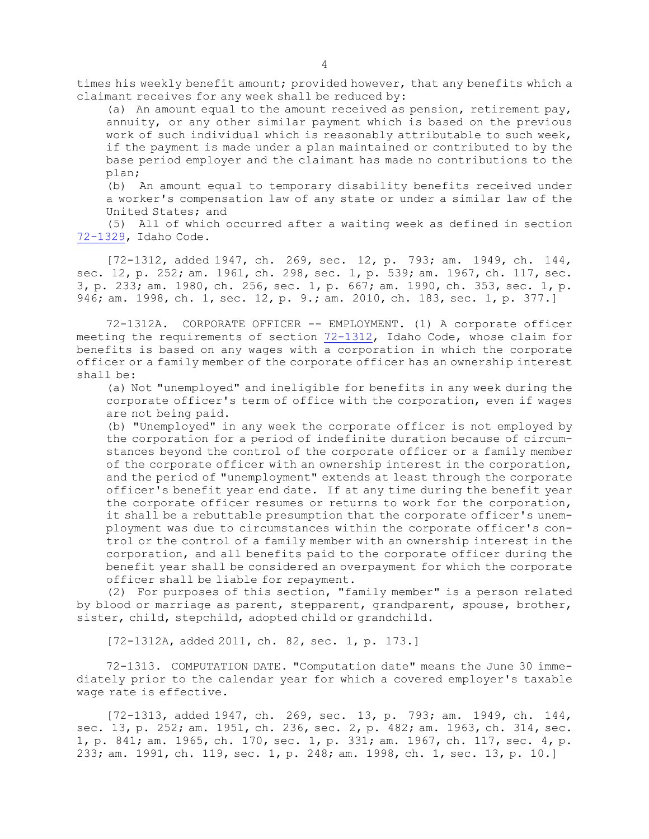times his weekly benefit amount; provided however, that any benefits which <sup>a</sup> claimant receives for any week shall be reduced by:

(a) An amount equal to the amount received as pension, retirement pay, annuity, or any other similar payment which is based on the previous work of such individual which is reasonably attributable to such week, if the payment is made under <sup>a</sup> plan maintained or contributed to by the base period employer and the claimant has made no contributions to the plan;

(b) An amount equal to temporary disability benefits received under <sup>a</sup> worker's compensation law of any state or under <sup>a</sup> similar law of the United States; and

(5) All of which occurred after <sup>a</sup> waiting week as defined in section [72-1329](https://legislature.idaho.gov/statutesrules/idstat/Title72/T72CH13/SECT72-1329), Idaho Code.

[72-1312, added 1947, ch. 269, sec. 12, p. 793; am. 1949, ch. 144, sec. 12, p. 252; am. 1961, ch. 298, sec. 1, p. 539; am. 1967, ch. 117, sec. 3, p. 233; am. 1980, ch. 256, sec. 1, p. 667; am. 1990, ch. 353, sec. 1, p. 946; am. 1998, ch. 1, sec. 12, p. 9.; am. 2010, ch. 183, sec. 1, p. 377.]

72-1312A. CORPORATE OFFICER -- EMPLOYMENT. (1) <sup>A</sup> corporate officer meeting the requirements of section [72-1312](https://legislature.idaho.gov/statutesrules/idstat/Title72/T72CH13/SECT72-1312), Idaho Code, whose claim for benefits is based on any wages with <sup>a</sup> corporation in which the corporate officer or <sup>a</sup> family member of the corporate officer has an ownership interest shall be:

(a) Not "unemployed" and ineligible for benefits in any week during the corporate officer's term of office with the corporation, even if wages are not being paid.

(b) "Unemployed" in any week the corporate officer is not employed by the corporation for <sup>a</sup> period of indefinite duration because of circumstances beyond the control of the corporate officer or <sup>a</sup> family member of the corporate officer with an ownership interest in the corporation, and the period of "unemployment" extends at least through the corporate officer's benefit year end date. If at any time during the benefit year the corporate officer resumes or returns to work for the corporation, it shall be <sup>a</sup> rebuttable presumption that the corporate officer's unemployment was due to circumstances within the corporate officer's control or the control of <sup>a</sup> family member with an ownership interest in the corporation, and all benefits paid to the corporate officer during the benefit year shall be considered an overpayment for which the corporate officer shall be liable for repayment.

(2) For purposes of this section, "family member" is <sup>a</sup> person related by blood or marriage as parent, stepparent, grandparent, spouse, brother, sister, child, stepchild, adopted child or grandchild.

[72-1312A, added 2011, ch. 82, sec. 1, p. 173.]

72-1313. COMPUTATION DATE. "Computation date" means the June 30 immediately prior to the calendar year for which <sup>a</sup> covered employer's taxable wage rate is effective.

[72-1313, added 1947, ch. 269, sec. 13, p. 793; am. 1949, ch. 144, sec. 13, p. 252; am. 1951, ch. 236, sec. 2, p. 482; am. 1963, ch. 314, sec. 1, p. 841; am. 1965, ch. 170, sec. 1, p. 331; am. 1967, ch. 117, sec. 4, p. 233; am. 1991, ch. 119, sec. 1, p. 248; am. 1998, ch. 1, sec. 13, p. 10.]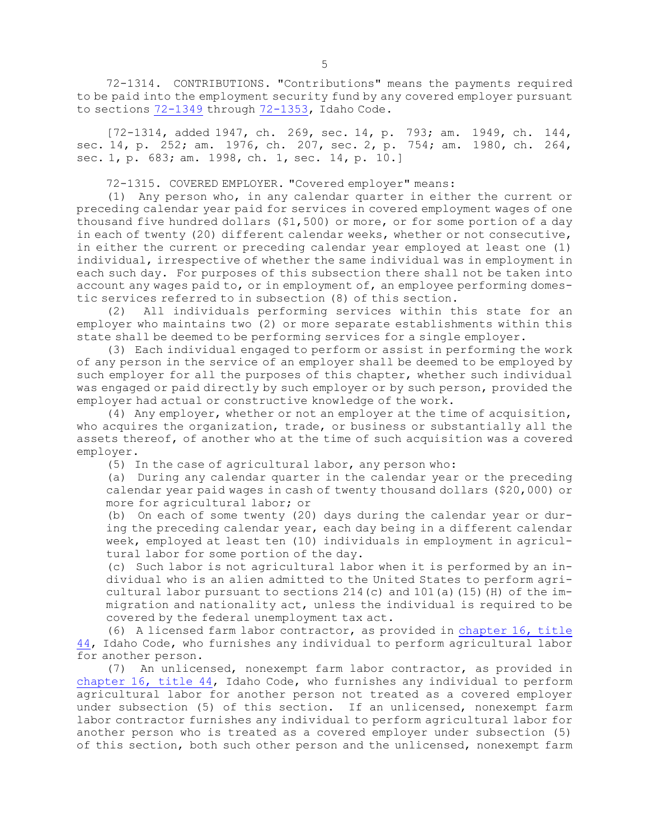72-1314. CONTRIBUTIONS. "Contributions" means the payments required to be paid into the employment security fund by any covered employer pursuant to sections [72-1349](https://legislature.idaho.gov/statutesrules/idstat/Title72/T72CH13/SECT72-1349) through [72-1353](https://legislature.idaho.gov/statutesrules/idstat/Title72/T72CH13/SECT72-1353), Idaho Code.

[72-1314, added 1947, ch. 269, sec. 14, p. 793; am. 1949, ch. 144, sec. 14, p. 252; am. 1976, ch. 207, sec. 2, p. 754; am. 1980, ch. 264, sec. 1, p. 683; am. 1998, ch. 1, sec. 14, p. 10.]

72-1315. COVERED EMPLOYER. "Covered employer" means:

(1) Any person who, in any calendar quarter in either the current or preceding calendar year paid for services in covered employment wages of one thousand five hundred dollars (\$1,500) or more, or for some portion of <sup>a</sup> day in each of twenty (20) different calendar weeks, whether or not consecutive, in either the current or preceding calendar year employed at least one (1) individual, irrespective of whether the same individual was in employment in each such day. For purposes of this subsection there shall not be taken into account any wages paid to, or in employment of, an employee performing domestic services referred to in subsection (8) of this section.

(2) All individuals performing services within this state for an employer who maintains two (2) or more separate establishments within this state shall be deemed to be performing services for <sup>a</sup> single employer.

(3) Each individual engaged to perform or assist in performing the work of any person in the service of an employer shall be deemed to be employed by such employer for all the purposes of this chapter, whether such individual was engaged or paid directly by such employer or by such person, provided the employer had actual or constructive knowledge of the work.

(4) Any employer, whether or not an employer at the time of acquisition, who acquires the organization, trade, or business or substantially all the assets thereof, of another who at the time of such acquisition was <sup>a</sup> covered employer.

(5) In the case of agricultural labor, any person who:

(a) During any calendar quarter in the calendar year or the preceding calendar year paid wages in cash of twenty thousand dollars (\$20,000) or more for agricultural labor; or

(b) On each of some twenty (20) days during the calendar year or during the preceding calendar year, each day being in <sup>a</sup> different calendar week, employed at least ten (10) individuals in employment in agricultural labor for some portion of the day.

(c) Such labor is not agricultural labor when it is performed by an individual who is an alien admitted to the United States to perform agricultural labor pursuant to sections  $214$  (c) and  $101$  (a) (15) (H) of the immigration and nationality act, unless the individual is required to be covered by the federal unemployment tax act.

(6) <sup>A</sup> licensed farm labor contractor, as provided in [chapter](https://legislature.idaho.gov/statutesrules/idstat/Title44/T44CH16) 16, title [44](https://legislature.idaho.gov/statutesrules/idstat/Title44/T44CH16), Idaho Code, who furnishes any individual to perform agricultural labor for another person.

(7) An unlicensed, nonexempt farm labor contractor, as provided in [chapter](https://legislature.idaho.gov/statutesrules/idstat/Title44/T44CH16) 16, title 44, Idaho Code, who furnishes any individual to perform agricultural labor for another person not treated as <sup>a</sup> covered employer under subsection (5) of this section. If an unlicensed, nonexempt farm labor contractor furnishes any individual to perform agricultural labor for another person who is treated as <sup>a</sup> covered employer under subsection (5) of this section, both such other person and the unlicensed, nonexempt farm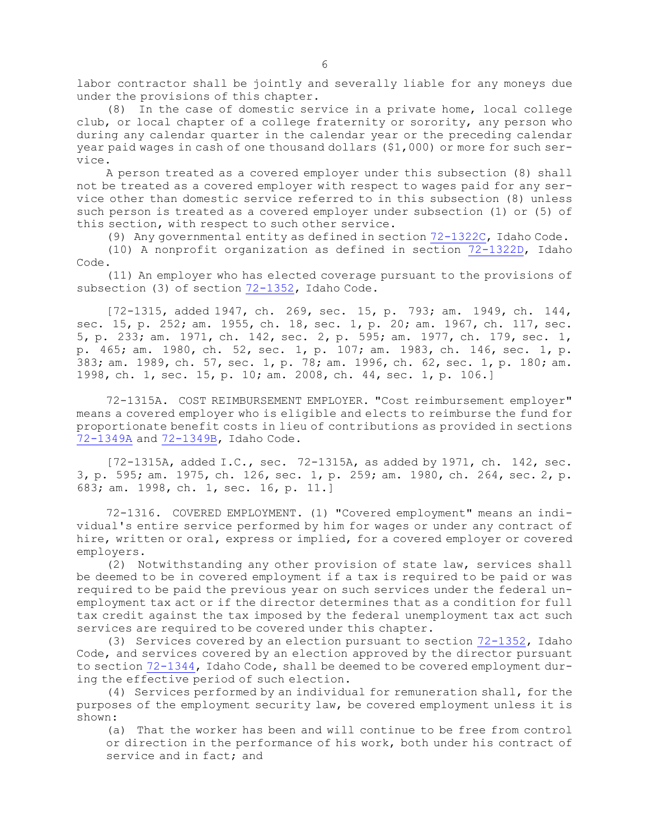labor contractor shall be jointly and severally liable for any moneys due under the provisions of this chapter.

(8) In the case of domestic service in <sup>a</sup> private home, local college club, or local chapter of <sup>a</sup> college fraternity or sorority, any person who during any calendar quarter in the calendar year or the preceding calendar year paid wages in cash of one thousand dollars (\$1,000) or more for such service.

<sup>A</sup> person treated as <sup>a</sup> covered employer under this subsection (8) shall not be treated as <sup>a</sup> covered employer with respect to wages paid for any service other than domestic service referred to in this subsection (8) unless such person is treated as <sup>a</sup> covered employer under subsection (1) or (5) of this section, with respect to such other service.

(9) Any governmental entity as defined in section  $72-1322C$ , Idaho Code.

(10) <sup>A</sup> nonprofit organization as defined in section [72-1322D](https://legislature.idaho.gov/statutesrules/idstat/Title72/T72CH13/SECT72-1322D), Idaho Code.

(11) An employer who has elected coverage pursuant to the provisions of subsection (3) of section [72-1352](https://legislature.idaho.gov/statutesrules/idstat/Title72/T72CH13/SECT72-1352), Idaho Code.

[72-1315, added 1947, ch. 269, sec. 15, p. 793; am. 1949, ch. 144, sec. 15, p. 252; am. 1955, ch. 18, sec. 1, p. 20; am. 1967, ch. 117, sec. 5, p. 233; am. 1971, ch. 142, sec. 2, p. 595; am. 1977, ch. 179, sec. 1, p. 465; am. 1980, ch. 52, sec. 1, p. 107; am. 1983, ch. 146, sec. 1, p. 383; am. 1989, ch. 57, sec. 1, p. 78; am. 1996, ch. 62, sec. 1, p. 180; am. 1998, ch. 1, sec. 15, p. 10; am. 2008, ch. 44, sec. 1, p. 106.]

72-1315A. COST REIMBURSEMENT EMPLOYER. "Cost reimbursement employer" means <sup>a</sup> covered employer who is eligible and elects to reimburse the fund for proportionate benefit costs in lieu of contributions as provided in sections [72-1349A](https://legislature.idaho.gov/statutesrules/idstat/Title72/T72CH13/SECT72-1349A) and [72-1349B](https://legislature.idaho.gov/statutesrules/idstat/Title72/T72CH13/SECT72-1349B), Idaho Code.

[72-1315A, added I.C., sec. 72-1315A, as added by 1971, ch. 142, sec. 3, p. 595; am. 1975, ch. 126, sec. 1, p. 259; am. 1980, ch. 264, sec. 2, p. 683; am. 1998, ch. 1, sec. 16, p. 11.]

72-1316. COVERED EMPLOYMENT. (1) "Covered employment" means an individual's entire service performed by him for wages or under any contract of hire, written or oral, express or implied, for <sup>a</sup> covered employer or covered employers.

(2) Notwithstanding any other provision of state law, services shall be deemed to be in covered employment if <sup>a</sup> tax is required to be paid or was required to be paid the previous year on such services under the federal unemployment tax act or if the director determines that as <sup>a</sup> condition for full tax credit against the tax imposed by the federal unemployment tax act such services are required to be covered under this chapter.

(3) Services covered by an election pursuant to section [72-1352](https://legislature.idaho.gov/statutesrules/idstat/Title72/T72CH13/SECT72-1352), Idaho Code, and services covered by an election approved by the director pursuant to section [72-1344](https://legislature.idaho.gov/statutesrules/idstat/Title72/T72CH13/SECT72-1344), Idaho Code, shall be deemed to be covered employment during the effective period of such election.

(4) Services performed by an individual for remuneration shall, for the purposes of the employment security law, be covered employment unless it is shown:

(a) That the worker has been and will continue to be free from control or direction in the performance of his work, both under his contract of service and in fact; and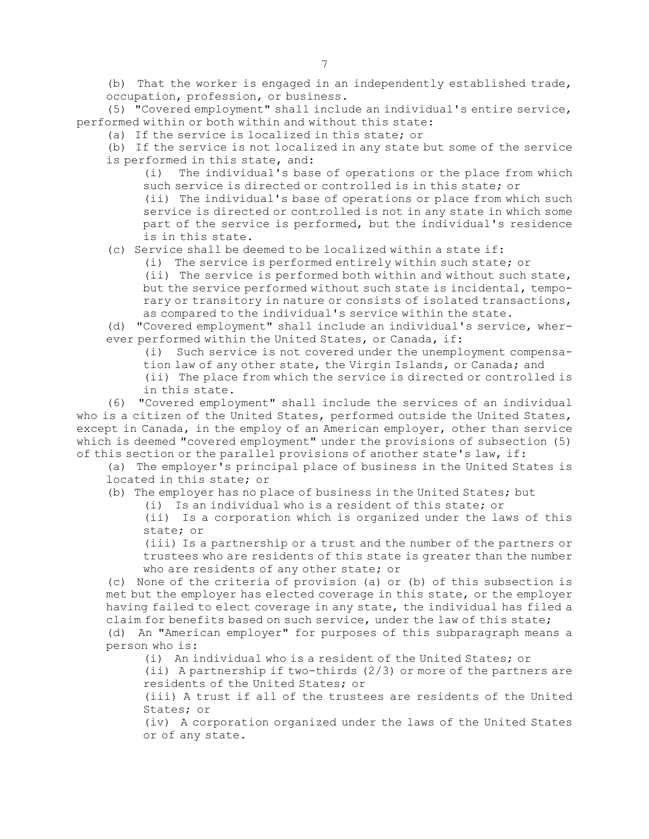(b) That the worker is engaged in an independently established trade, occupation, profession, or business.

(5) "Covered employment" shall include an individual's entire service, performed within or both within and without this state:

(a) If the service is localized in this state; or

(b) If the service is not localized in any state but some of the service is performed in this state, and:

(i) The individual's base of operations or the place from which such service is directed or controlled is in this state; or

(ii) The individual's base of operations or place from which such service is directed or controlled is not in any state in which some part of the service is performed, but the individual's residence is in this state.

(c) Service shall be deemed to be localized within <sup>a</sup> state if:

(i) The service is performed entirely within such state; or

(ii) The service is performed both within and without such state, but the service performed without such state is incidental, temporary or transitory in nature or consists of isolated transactions, as compared to the individual's service within the state.

(d) "Covered employment" shall include an individual's service, wherever performed within the United States, or Canada, if:

(i) Such service is not covered under the unemployment compensa-

tion law of any other state, the Virgin Islands, or Canada; and

(ii) The place from which the service is directed or controlled is in this state.

(6) "Covered employment" shall include the services of an individual who is a citizen of the United States, performed outside the United States, except in Canada, in the employ of an American employer, other than service which is deemed "covered employment" under the provisions of subsection (5) of this section or the parallel provisions of another state's law, if:

(a) The employer's principal place of business in the United States is located in this state; or

(b) The employer has no place of business in the United States; but

(i) Is an individual who is <sup>a</sup> resident of this state; or

(ii) Is <sup>a</sup> corporation which is organized under the laws of this state; or

(iii) Is <sup>a</sup> partnership or <sup>a</sup> trust and the number of the partners or trustees who are residents of this state is greater than the number who are residents of any other state; or

(c) None of the criteria of provision (a) or (b) of this subsection is met but the employer has elected coverage in this state, or the employer having failed to elect coverage in any state, the individual has filed <sup>a</sup> claim for benefits based on such service, under the law of this state;

(d) An "American employer" for purposes of this subparagraph means <sup>a</sup> person who is:

(i) An individual who is <sup>a</sup> resident of the United States; or

(ii) <sup>A</sup> partnership if two-thirds (2/3) or more of the partners are residents of the United States; or

(iii) A trust if all of the trustees are residents of the United States; or

(iv) <sup>A</sup> corporation organized under the laws of the United States or of any state.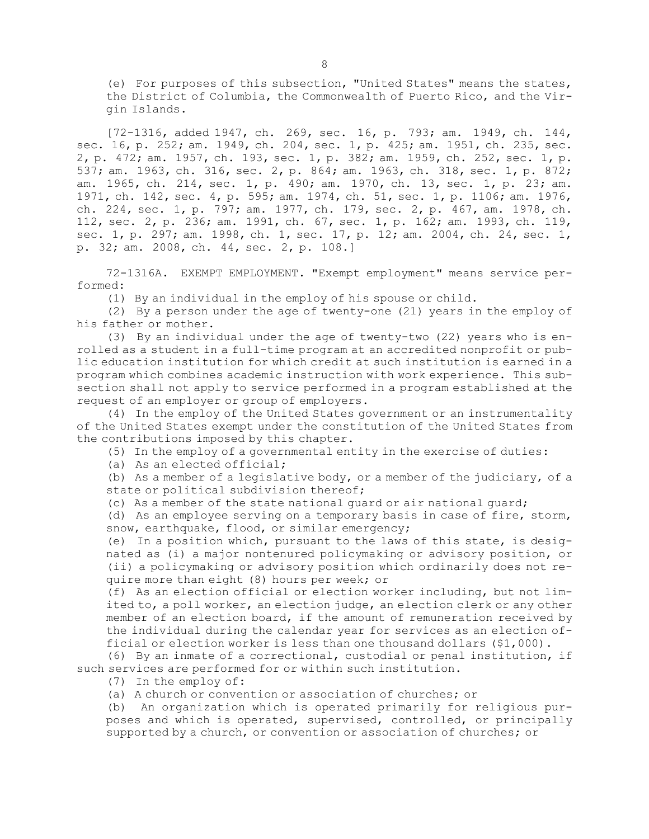(e) For purposes of this subsection, "United States" means the states, the District of Columbia, the Commonwealth of Puerto Rico, and the Virgin Islands.

[72-1316, added 1947, ch. 269, sec. 16, p. 793; am. 1949, ch. 144, sec. 16, p. 252; am. 1949, ch. 204, sec. 1, p. 425; am. 1951, ch. 235, sec. 2, p. 472; am. 1957, ch. 193, sec. 1, p. 382; am. 1959, ch. 252, sec. 1, p. 537; am. 1963, ch. 316, sec. 2, p. 864; am. 1963, ch. 318, sec. 1, p. 872; am. 1965, ch. 214, sec. 1, p. 490; am. 1970, ch. 13, sec. 1, p. 23; am. 1971, ch. 142, sec. 4, p. 595; am. 1974, ch. 51, sec. 1, p. 1106; am. 1976, ch. 224, sec. 1, p. 797; am. 1977, ch. 179, sec. 2, p. 467, am. 1978, ch. 112, sec. 2, p. 236; am. 1991, ch. 67, sec. 1, p. 162; am. 1993, ch. 119, sec. 1, p. 297; am. 1998, ch. 1, sec. 17, p. 12; am. 2004, ch. 24, sec. 1, p. 32; am. 2008, ch. 44, sec. 2, p. 108.]

72-1316A. EXEMPT EMPLOYMENT. "Exempt employment" means service performed:

(1) By an individual in the employ of his spouse or child.

(2) By <sup>a</sup> person under the age of twenty-one (21) years in the employ of his father or mother.

(3) By an individual under the age of twenty-two (22) years who is enrolled as <sup>a</sup> student in <sup>a</sup> full-time program at an accredited nonprofit or public education institution for which credit at such institution is earned in <sup>a</sup> program which combines academic instruction with work experience. This subsection shall not apply to service performed in <sup>a</sup> program established at the request of an employer or group of employers.

(4) In the employ of the United States government or an instrumentality of the United States exempt under the constitution of the United States from the contributions imposed by this chapter.

(5) In the employ of <sup>a</sup> governmental entity in the exercise of duties:

(a) As an elected official;

(b) As <sup>a</sup> member of <sup>a</sup> legislative body, or <sup>a</sup> member of the judiciary, of <sup>a</sup> state or political subdivision thereof;

(c) As <sup>a</sup> member of the state national guard or air national guard;

(d) As an employee serving on <sup>a</sup> temporary basis in case of fire, storm, snow, earthquake, flood, or similar emergency;

(e) In <sup>a</sup> position which, pursuant to the laws of this state, is designated as (i) <sup>a</sup> major nontenured policymaking or advisory position, or (ii) <sup>a</sup> policymaking or advisory position which ordinarily does not require more than eight (8) hours per week; or

(f) As an election official or election worker including, but not limited to, <sup>a</sup> poll worker, an election judge, an election clerk or any other member of an election board, if the amount of remuneration received by the individual during the calendar year for services as an election official or election worker is less than one thousand dollars (\$1,000).

(6) By an inmate of <sup>a</sup> correctional, custodial or penal institution, if such services are performed for or within such institution.

(7) In the employ of:

(a) A church or convention or association of churches; or

(b) An organization which is operated primarily for religious purposes and which is operated, supervised, controlled, or principally supported by <sup>a</sup> church, or convention or association of churches; or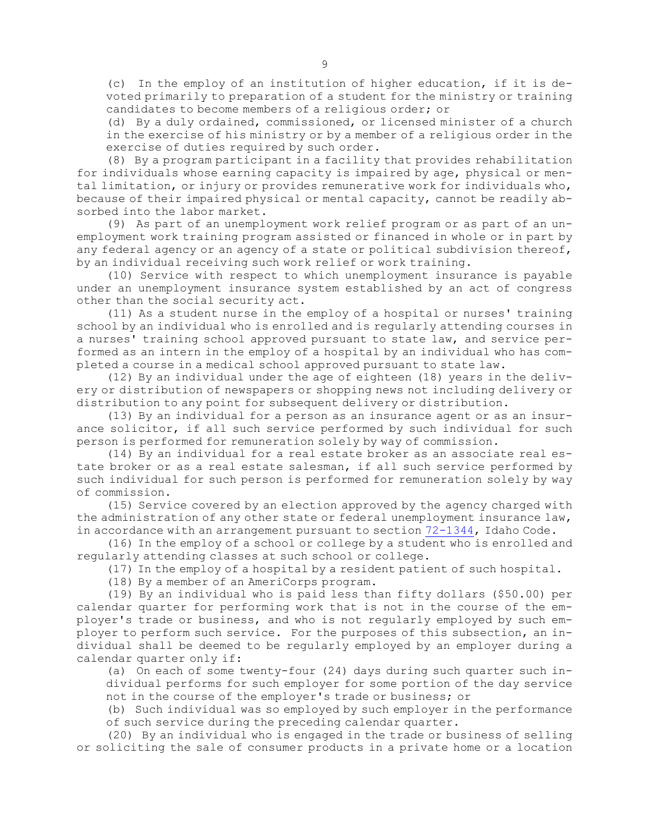(c) In the employ of an institution of higher education, if it is devoted primarily to preparation of <sup>a</sup> student for the ministry or training candidates to become members of <sup>a</sup> religious order; or

(d) By <sup>a</sup> duly ordained, commissioned, or licensed minister of <sup>a</sup> church in the exercise of his ministry or by <sup>a</sup> member of <sup>a</sup> religious order in the exercise of duties required by such order.

(8) By <sup>a</sup> program participant in <sup>a</sup> facility that provides rehabilitation for individuals whose earning capacity is impaired by age, physical or mental limitation, or injury or provides remunerative work for individuals who, because of their impaired physical or mental capacity, cannot be readily absorbed into the labor market.

(9) As part of an unemployment work relief program or as part of an unemployment work training program assisted or financed in whole or in part by any federal agency or an agency of <sup>a</sup> state or political subdivision thereof, by an individual receiving such work relief or work training.

(10) Service with respect to which unemployment insurance is payable under an unemployment insurance system established by an act of congress other than the social security act.

(11) As <sup>a</sup> student nurse in the employ of <sup>a</sup> hospital or nurses' training school by an individual who is enrolled and is regularly attending courses in <sup>a</sup> nurses' training school approved pursuant to state law, and service performed as an intern in the employ of <sup>a</sup> hospital by an individual who has completed <sup>a</sup> course in <sup>a</sup> medical school approved pursuant to state law.

(12) By an individual under the age of eighteen (18) years in the delivery or distribution of newspapers or shopping news not including delivery or distribution to any point for subsequent delivery or distribution.

(13) By an individual for <sup>a</sup> person as an insurance agent or as an insurance solicitor, if all such service performed by such individual for such person is performed for remuneration solely by way of commission.

(14) By an individual for <sup>a</sup> real estate broker as an associate real estate broker or as <sup>a</sup> real estate salesman, if all such service performed by such individual for such person is performed for remuneration solely by way of commission.

(15) Service covered by an election approved by the agency charged with the administration of any other state or federal unemployment insurance law, in accordance with an arrangement pursuant to section [72-1344](https://legislature.idaho.gov/statutesrules/idstat/Title72/T72CH13/SECT72-1344), Idaho Code.

(16) In the employ of <sup>a</sup> school or college by <sup>a</sup> student who is enrolled and regularly attending classes at such school or college.

(17) In the employ of <sup>a</sup> hospital by <sup>a</sup> resident patient of such hospital.

(18) By <sup>a</sup> member of an AmeriCorps program.

(19) By an individual who is paid less than fifty dollars (\$50.00) per calendar quarter for performing work that is not in the course of the employer's trade or business, and who is not regularly employed by such employer to perform such service. For the purposes of this subsection, an individual shall be deemed to be regularly employed by an employer during <sup>a</sup> calendar quarter only if:

(a) On each of some twenty-four (24) days during such quarter such individual performs for such employer for some portion of the day service not in the course of the employer's trade or business; or

(b) Such individual was so employed by such employer in the performance of such service during the preceding calendar quarter.

(20) By an individual who is engaged in the trade or business of selling or soliciting the sale of consumer products in <sup>a</sup> private home or <sup>a</sup> location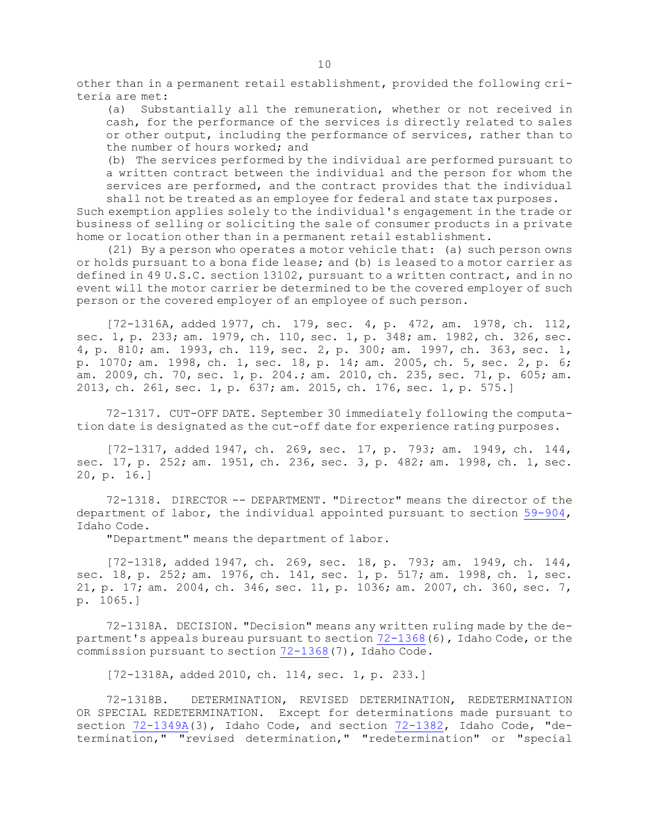other than in <sup>a</sup> permanent retail establishment, provided the following criteria are met:

(a) Substantially all the remuneration, whether or not received in cash, for the performance of the services is directly related to sales or other output, including the performance of services, rather than to the number of hours worked; and

(b) The services performed by the individual are performed pursuant to <sup>a</sup> written contract between the individual and the person for whom the services are performed, and the contract provides that the individual shall not be treated as an employee for federal and state tax purposes.

Such exemption applies solely to the individual's engagement in the trade or business of selling or soliciting the sale of consumer products in <sup>a</sup> private home or location other than in <sup>a</sup> permanent retail establishment.

(21) By <sup>a</sup> person who operates <sup>a</sup> motor vehicle that: (a) such person owns or holds pursuant to <sup>a</sup> bona fide lease; and (b) is leased to <sup>a</sup> motor carrier as defined in 49 U.S.C. section 13102, pursuant to <sup>a</sup> written contract, and in no event will the motor carrier be determined to be the covered employer of such person or the covered employer of an employee of such person.

[72-1316A, added 1977, ch. 179, sec. 4, p. 472, am. 1978, ch. 112, sec. 1, p. 233; am. 1979, ch. 110, sec. 1, p. 348; am. 1982, ch. 326, sec. 4, p. 810; am. 1993, ch. 119, sec. 2, p. 300; am. 1997, ch. 363, sec. 1, p. 1070; am. 1998, ch. 1, sec. 18, p. 14; am. 2005, ch. 5, sec. 2, p. 6; am. 2009, ch. 70, sec. 1, p. 204.; am. 2010, ch. 235, sec. 71, p. 605; am. 2013, ch. 261, sec. 1, p. 637; am. 2015, ch. 176, sec. 1, p. 575.]

72-1317. CUT-OFF DATE. September 30 immediately following the computation date is designated as the cut-off date for experience rating purposes.

[72-1317, added 1947, ch. 269, sec. 17, p. 793; am. 1949, ch. 144, sec. 17, p. 252; am. 1951, ch. 236, sec. 3, p. 482; am. 1998, ch. 1, sec. 20, p. 16.]

72-1318. DIRECTOR -- DEPARTMENT. "Director" means the director of the department of labor, the individual appointed pursuant to section [59-904](https://legislature.idaho.gov/statutesrules/idstat/Title59/T59CH9/SECT59-904), Idaho Code.

"Department" means the department of labor.

[72-1318, added 1947, ch. 269, sec. 18, p. 793; am. 1949, ch. 144, sec. 18, p. 252; am. 1976, ch. 141, sec. 1, p. 517; am. 1998, ch. 1, sec. 21, p. 17; am. 2004, ch. 346, sec. 11, p. 1036; am. 2007, ch. 360, sec. 7, p. 1065.]

72-1318A. DECISION. "Decision" means any written ruling made by the department's appeals bureau pursuant to section [72-1368](https://legislature.idaho.gov/statutesrules/idstat/Title72/T72CH13/SECT72-1368)(6), Idaho Code, or the commission pursuant to section [72-1368](https://legislature.idaho.gov/statutesrules/idstat/Title72/T72CH13/SECT72-1368)(7), Idaho Code.

[72-1318A, added 2010, ch. 114, sec. 1, p. 233.]

72-1318B. DETERMINATION, REVISED DETERMINATION, REDETERMINATION OR SPECIAL REDETERMINATION. Except for determinations made pursuant to section [72-1349A](https://legislature.idaho.gov/statutesrules/idstat/Title72/T72CH13/SECT72-1349A)(3), Idaho Code, and section [72-1382](https://legislature.idaho.gov/statutesrules/idstat/Title72/T72CH13/SECT72-1382), Idaho Code, "determination," "revised determination," "redetermination" or "special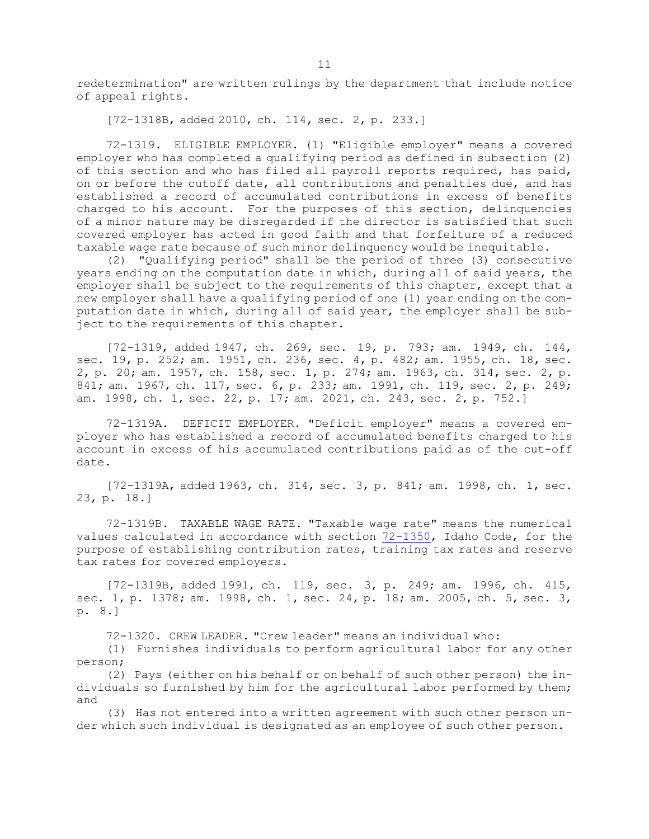redetermination" are written rulings by the department that include notice of appeal rights.

[72-1318B, added 2010, ch. 114, sec. 2, p. 233.]

72-1319. ELIGIBLE EMPLOYER. (1) "Eligible employer" means <sup>a</sup> covered employer who has completed <sup>a</sup> qualifying period as defined in subsection (2) of this section and who has filed all payroll reports required, has paid, on or before the cutoff date, all contributions and penalties due, and has established <sup>a</sup> record of accumulated contributions in excess of benefits charged to his account. For the purposes of this section, delinquencies of <sup>a</sup> minor nature may be disregarded if the director is satisfied that such covered employer has acted in good faith and that forfeiture of <sup>a</sup> reduced taxable wage rate because of such minor delinquency would be inequitable.

(2) "Qualifying period" shall be the period of three (3) consecutive years ending on the computation date in which, during all of said years, the employer shall be subject to the requirements of this chapter, except that <sup>a</sup> new employer shall have <sup>a</sup> qualifying period of one (1) year ending on the computation date in which, during all of said year, the employer shall be subject to the requirements of this chapter.

[72-1319, added 1947, ch. 269, sec. 19, p. 793; am. 1949, ch. 144, sec. 19, p. 252; am. 1951, ch. 236, sec. 4, p. 482; am. 1955, ch. 18, sec. 2, p. 20; am. 1957, ch. 158, sec. 1, p. 274; am. 1963, ch. 314, sec. 2, p. 841; am. 1967, ch. 117, sec. 6, p. 233; am. 1991, ch. 119, sec. 2, p. 249; am. 1998, ch. 1, sec. 22, p. 17; am. 2021, ch. 243, sec. 2, p. 752.]

72-1319A. DEFICIT EMPLOYER. "Deficit employer" means <sup>a</sup> covered employer who has established <sup>a</sup> record of accumulated benefits charged to his account in excess of his accumulated contributions paid as of the cut-off date.

[72-1319A, added 1963, ch. 314, sec. 3, p. 841; am. 1998, ch. 1, sec. 23, p. 18.]

72-1319B. TAXABLE WAGE RATE. "Taxable wage rate" means the numerical values calculated in accordance with section [72-1350](https://legislature.idaho.gov/statutesrules/idstat/Title72/T72CH13/SECT72-1350), Idaho Code, for the purpose of establishing contribution rates, training tax rates and reserve tax rates for covered employers.

[72-1319B, added 1991, ch. 119, sec. 3, p. 249; am. 1996, ch. 415, sec. 1, p. 1378; am. 1998, ch. 1, sec. 24, p. 18; am. 2005, ch. 5, sec. 3, p. 8.]

72-1320. CREW LEADER. "Crew leader" means an individual who:

(1) Furnishes individuals to perform agricultural labor for any other person;

(2) Pays (either on his behalf or on behalf of such other person) the individuals so furnished by him for the agricultural labor performed by them; and

(3) Has not entered into <sup>a</sup> written agreement with such other person under which such individual is designated as an employee of such other person.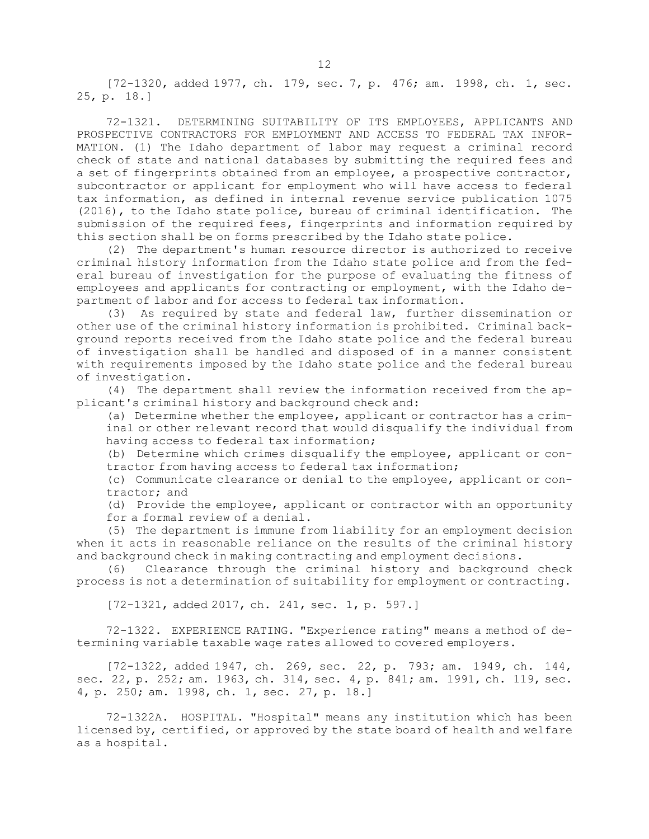[72-1320, added 1977, ch. 179, sec. 7, p. 476; am. 1998, ch. 1, sec. 25, p. 18.]

72-1321. DETERMINING SUITABILITY OF ITS EMPLOYEES, APPLICANTS AND PROSPECTIVE CONTRACTORS FOR EMPLOYMENT AND ACCESS TO FEDERAL TAX INFOR-MATION. (1) The Idaho department of labor may request <sup>a</sup> criminal record check of state and national databases by submitting the required fees and <sup>a</sup> set of fingerprints obtained from an employee, <sup>a</sup> prospective contractor, subcontractor or applicant for employment who will have access to federal tax information, as defined in internal revenue service publication 1075 (2016), to the Idaho state police, bureau of criminal identification. The submission of the required fees, fingerprints and information required by this section shall be on forms prescribed by the Idaho state police.

(2) The department's human resource director is authorized to receive criminal history information from the Idaho state police and from the federal bureau of investigation for the purpose of evaluating the fitness of employees and applicants for contracting or employment, with the Idaho department of labor and for access to federal tax information.

(3) As required by state and federal law, further dissemination or other use of the criminal history information is prohibited. Criminal background reports received from the Idaho state police and the federal bureau of investigation shall be handled and disposed of in <sup>a</sup> manner consistent with requirements imposed by the Idaho state police and the federal bureau of investigation.

(4) The department shall review the information received from the applicant's criminal history and background check and:

(a) Determine whether the employee, applicant or contractor has <sup>a</sup> criminal or other relevant record that would disqualify the individual from having access to federal tax information;

(b) Determine which crimes disqualify the employee, applicant or contractor from having access to federal tax information;

(c) Communicate clearance or denial to the employee, applicant or contractor; and

(d) Provide the employee, applicant or contractor with an opportunity for <sup>a</sup> formal review of <sup>a</sup> denial.

(5) The department is immune from liability for an employment decision when it acts in reasonable reliance on the results of the criminal history and background check in making contracting and employment decisions.

(6) Clearance through the criminal history and background check process is not <sup>a</sup> determination of suitability for employment or contracting.

[72-1321, added 2017, ch. 241, sec. 1, p. 597.]

72-1322. EXPERIENCE RATING. "Experience rating" means <sup>a</sup> method of determining variable taxable wage rates allowed to covered employers.

[72-1322, added 1947, ch. 269, sec. 22, p. 793; am. 1949, ch. 144, sec. 22, p. 252; am. 1963, ch. 314, sec. 4, p. 841; am. 1991, ch. 119, sec. 4, p. 250; am. 1998, ch. 1, sec. 27, p. 18.]

72-1322A. HOSPITAL. "Hospital" means any institution which has been licensed by, certified, or approved by the state board of health and welfare as <sup>a</sup> hospital.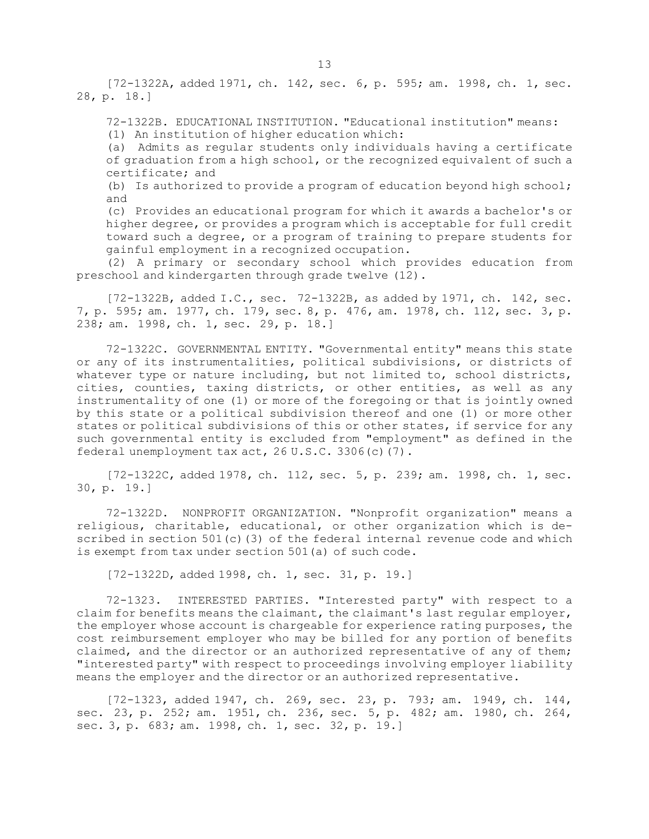[72-1322A, added 1971, ch. 142, sec. 6, p. 595; am. 1998, ch. 1, sec. 28, p. 18.]

72-1322B. EDUCATIONAL INSTITUTION. "Educational institution" means: (1) An institution of higher education which:

(a) Admits as regular students only individuals having <sup>a</sup> certificate of graduation from <sup>a</sup> high school, or the recognized equivalent of such <sup>a</sup> certificate; and

(b) Is authorized to provide <sup>a</sup> program of education beyond high school; and

(c) Provides an educational program for which it awards <sup>a</sup> bachelor's or higher degree, or provides <sup>a</sup> program which is acceptable for full credit toward such <sup>a</sup> degree, or <sup>a</sup> program of training to prepare students for gainful employment in <sup>a</sup> recognized occupation.

(2) <sup>A</sup> primary or secondary school which provides education from preschool and kindergarten through grade twelve (12).

[72-1322B, added I.C., sec. 72-1322B, as added by 1971, ch. 142, sec. 7, p. 595; am. 1977, ch. 179, sec. 8, p. 476, am. 1978, ch. 112, sec. 3, p. 238; am. 1998, ch. 1, sec. 29, p. 18.]

72-1322C. GOVERNMENTAL ENTITY. "Governmental entity" means this state or any of its instrumentalities, political subdivisions, or districts of whatever type or nature including, but not limited to, school districts, cities, counties, taxing districts, or other entities, as well as any instrumentality of one (1) or more of the foregoing or that is jointly owned by this state or <sup>a</sup> political subdivision thereof and one (1) or more other states or political subdivisions of this or other states, if service for any such governmental entity is excluded from "employment" as defined in the federal unemployment tax act, 26 U.S.C. 3306(c)(7).

[72-1322C, added 1978, ch. 112, sec. 5, p. 239; am. 1998, ch. 1, sec. 30, p. 19.]

72-1322D. NONPROFIT ORGANIZATION. "Nonprofit organization" means <sup>a</sup> religious, charitable, educational, or other organization which is described in section 501(c)(3) of the federal internal revenue code and which is exempt from tax under section 501(a) of such code.

[72-1322D, added 1998, ch. 1, sec. 31, p. 19.]

72-1323. INTERESTED PARTIES. "Interested party" with respect to <sup>a</sup> claim for benefits means the claimant, the claimant's last regular employer, the employer whose account is chargeable for experience rating purposes, the cost reimbursement employer who may be billed for any portion of benefits claimed, and the director or an authorized representative of any of them; "interested party" with respect to proceedings involving employer liability means the employer and the director or an authorized representative.

[72-1323, added 1947, ch. 269, sec. 23, p. 793; am. 1949, ch. 144, sec. 23, p. 252; am. 1951, ch. 236, sec. 5, p. 482; am. 1980, ch. 264, sec. 3, p. 683; am. 1998, ch. 1, sec. 32, p. 19.]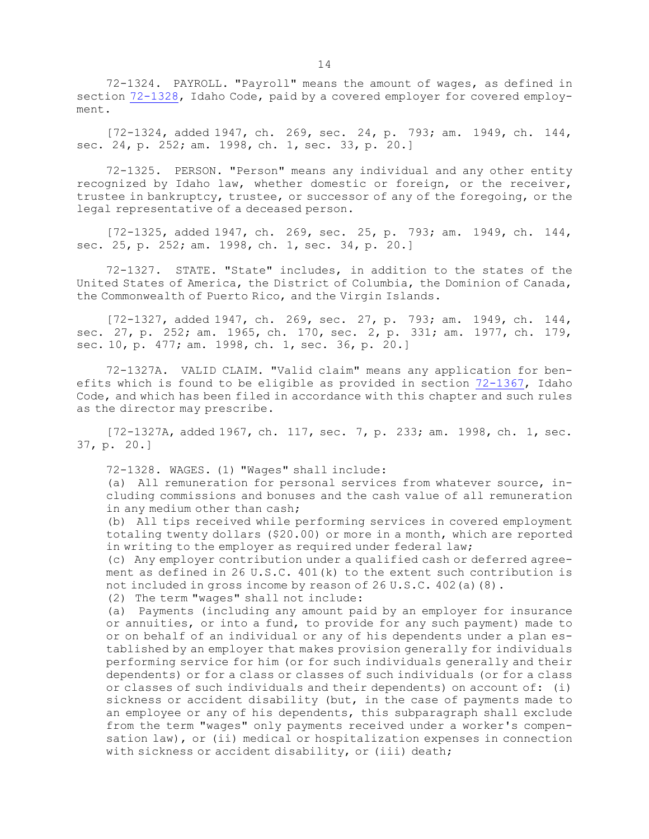72-1324. PAYROLL. "Payroll" means the amount of wages, as defined in section [72-1328](https://legislature.idaho.gov/statutesrules/idstat/Title72/T72CH13/SECT72-1328), Idaho Code, paid by <sup>a</sup> covered employer for covered employment.

[72-1324, added 1947, ch. 269, sec. 24, p. 793; am. 1949, ch. 144, sec. 24, p. 252; am. 1998, ch. 1, sec. 33, p. 20.]

72-1325. PERSON. "Person" means any individual and any other entity recognized by Idaho law, whether domestic or foreign, or the receiver, trustee in bankruptcy, trustee, or successor of any of the foregoing, or the legal representative of <sup>a</sup> deceased person.

[72-1325, added 1947, ch. 269, sec. 25, p. 793; am. 1949, ch. 144, sec. 25, p. 252; am. 1998, ch. 1, sec. 34, p. 20.]

72-1327. STATE. "State" includes, in addition to the states of the United States of America, the District of Columbia, the Dominion of Canada, the Commonwealth of Puerto Rico, and the Virgin Islands.

[72-1327, added 1947, ch. 269, sec. 27, p. 793; am. 1949, ch. 144, sec. 27, p. 252; am. 1965, ch. 170, sec. 2, p. 331; am. 1977, ch. 179, sec. 10, p. 477; am. 1998, ch. 1, sec. 36, p. 20.]

72-1327A. VALID CLAIM. "Valid claim" means any application for benefits which is found to be eligible as provided in section [72-1367](https://legislature.idaho.gov/statutesrules/idstat/Title72/T72CH13/SECT72-1367), Idaho Code, and which has been filed in accordance with this chapter and such rules as the director may prescribe.

[72-1327A, added 1967, ch. 117, sec. 7, p. 233; am. 1998, ch. 1, sec. 37, p. 20.]

72-1328. WAGES. (1) "Wages" shall include:

(a) All remuneration for personal services from whatever source, including commissions and bonuses and the cash value of all remuneration in any medium other than cash;

(b) All tips received while performing services in covered employment totaling twenty dollars (\$20.00) or more in <sup>a</sup> month, which are reported in writing to the employer as required under federal law;

(c) Any employer contribution under <sup>a</sup> qualified cash or deferred agreement as defined in 26 U.S.C. 401(k) to the extent such contribution is not included in gross income by reason of 26 U.S.C. 402(a)(8).

(2) The term "wages" shall not include:

(a) Payments (including any amount paid by an employer for insurance or annuities, or into <sup>a</sup> fund, to provide for any such payment) made to or on behalf of an individual or any of his dependents under <sup>a</sup> plan established by an employer that makes provision generally for individuals performing service for him (or for such individuals generally and their dependents) or for <sup>a</sup> class or classes of such individuals (or for <sup>a</sup> class or classes of such individuals and their dependents) on account of: (i) sickness or accident disability (but, in the case of payments made to an employee or any of his dependents, this subparagraph shall exclude from the term "wages" only payments received under <sup>a</sup> worker's compensation law), or (ii) medical or hospitalization expenses in connection with sickness or accident disability, or (iii) death;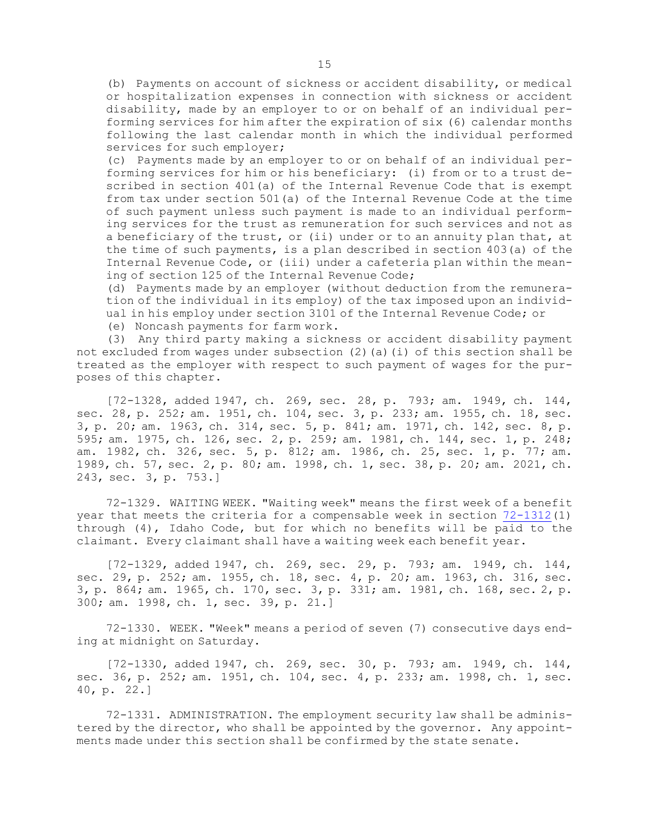(b) Payments on account of sickness or accident disability, or medical or hospitalization expenses in connection with sickness or accident disability, made by an employer to or on behalf of an individual performing services for him after the expiration of six (6) calendar months following the last calendar month in which the individual performed services for such employer;

(c) Payments made by an employer to or on behalf of an individual performing services for him or his beneficiary: (i) from or to <sup>a</sup> trust described in section 401(a) of the Internal Revenue Code that is exempt from tax under section 501(a) of the Internal Revenue Code at the time of such payment unless such payment is made to an individual performing services for the trust as remuneration for such services and not as <sup>a</sup> beneficiary of the trust, or (ii) under or to an annuity plan that, at the time of such payments, is <sup>a</sup> plan described in section 403(a) of the Internal Revenue Code, or (iii) under <sup>a</sup> cafeteria plan within the meaning of section 125 of the Internal Revenue Code;

(d) Payments made by an employer (without deduction from the remuneration of the individual in its employ) of the tax imposed upon an individual in his employ under section 3101 of the Internal Revenue Code; or

(e) Noncash payments for farm work.

(3) Any third party making <sup>a</sup> sickness or accident disability payment not excluded from wages under subsection (2)(a)(i) of this section shall be treated as the employer with respect to such payment of wages for the purposes of this chapter.

[72-1328, added 1947, ch. 269, sec. 28, p. 793; am. 1949, ch. 144, sec. 28, p. 252; am. 1951, ch. 104, sec. 3, p. 233; am. 1955, ch. 18, sec. 3, p. 20; am. 1963, ch. 314, sec. 5, p. 841; am. 1971, ch. 142, sec. 8, p. 595; am. 1975, ch. 126, sec. 2, p. 259; am. 1981, ch. 144, sec. 1, p. 248; am. 1982, ch. 326, sec. 5, p. 812; am. 1986, ch. 25, sec. 1, p. 77; am. 1989, ch. 57, sec. 2, p. 80; am. 1998, ch. 1, sec. 38, p. 20; am. 2021, ch. 243, sec. 3, p. 753.]

72-1329. WAITING WEEK. "Waiting week" means the first week of <sup>a</sup> benefit year that meets the criteria for <sup>a</sup> compensable week in section [72-1312](https://legislature.idaho.gov/statutesrules/idstat/Title72/T72CH13/SECT72-1312)(1) through (4), Idaho Code, but for which no benefits will be paid to the claimant. Every claimant shall have <sup>a</sup> waiting week each benefit year.

[72-1329, added 1947, ch. 269, sec. 29, p. 793; am. 1949, ch. 144, sec. 29, p. 252; am. 1955, ch. 18, sec. 4, p. 20; am. 1963, ch. 316, sec. 3, p. 864; am. 1965, ch. 170, sec. 3, p. 331; am. 1981, ch. 168, sec. 2, p. 300; am. 1998, ch. 1, sec. 39, p. 21.]

72-1330. WEEK. "Week" means <sup>a</sup> period of seven (7) consecutive days ending at midnight on Saturday.

[72-1330, added 1947, ch. 269, sec. 30, p. 793; am. 1949, ch. 144, sec. 36, p. 252; am. 1951, ch. 104, sec. 4, p. 233; am. 1998, ch. 1, sec. 40, p. 22.]

72-1331. ADMINISTRATION. The employment security law shall be administered by the director, who shall be appointed by the governor. Any appointments made under this section shall be confirmed by the state senate.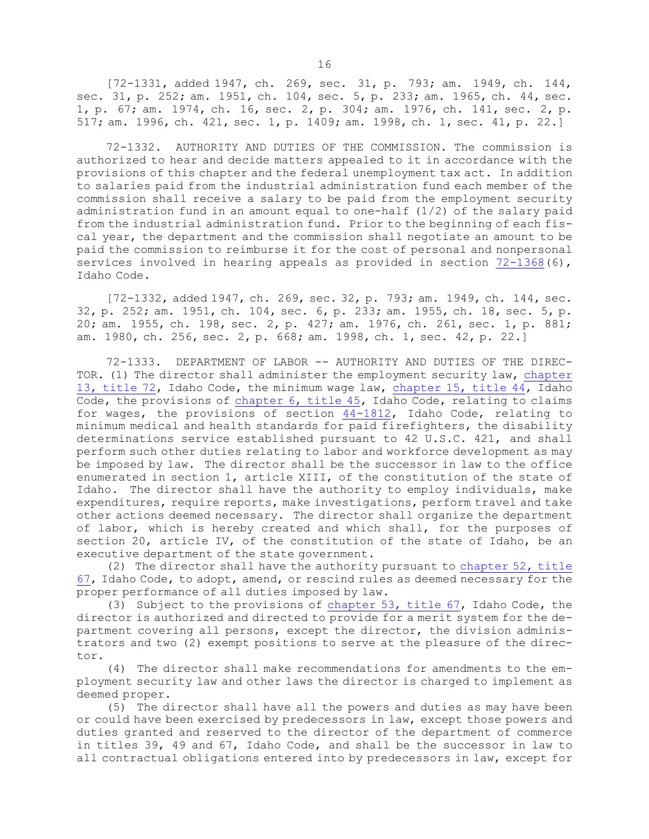[72-1331, added 1947, ch. 269, sec. 31, p. 793; am. 1949, ch. 144, sec. 31, p. 252; am. 1951, ch. 104, sec. 5, p. 233; am. 1965, ch. 44, sec. 1, p. 67; am. 1974, ch. 16, sec. 2, p. 304; am. 1976, ch. 141, sec. 2, p. 517; am. 1996, ch. 421, sec. 1, p. 1409; am. 1998, ch. 1, sec. 41, p. 22.]

72-1332. AUTHORITY AND DUTIES OF THE COMMISSION. The commission is authorized to hear and decide matters appealed to it in accordance with the provisions of this chapter and the federal unemployment tax act. In addition to salaries paid from the industrial administration fund each member of the commission shall receive <sup>a</sup> salary to be paid from the employment security administration fund in an amount equal to one-half (1/2) of the salary paid from the industrial administration fund. Prior to the beginning of each fiscal year, the department and the commission shall negotiate an amount to be paid the commission to reimburse it for the cost of personal and nonpersonal services involved in hearing appeals as provided in section [72-1368](https://legislature.idaho.gov/statutesrules/idstat/Title72/T72CH13/SECT72-1368)(6), Idaho Code.

[72-1332, added 1947, ch. 269, sec. 32, p. 793; am. 1949, ch. 144, sec. 32, p. 252; am. 1951, ch. 104, sec. 6, p. 233; am. 1955, ch. 18, sec. 5, p. 20; am. 1955, ch. 198, sec. 2, p. 427; am. 1976, ch. 261, sec. 1, p. 881; am. 1980, ch. 256, sec. 2, p. 668; am. 1998, ch. 1, sec. 42, p. 22.]

72-1333. DEPARTMENT OF LABOR -- AUTHORITY AND DUTIES OF THE DIREC-TOR. (1) The director shall administer the employment security law, [chapter](https://legislature.idaho.gov/statutesrules/idstat/Title72/T72CH13) 13, [title](https://legislature.idaho.gov/statutesrules/idstat/Title72/T72CH13) 72, Idaho Code, the minimum wage law, [chapter](https://legislature.idaho.gov/statutesrules/idstat/Title44/T44CH15) 15, title 44, Idaho Code, the provisions of [chapter](https://legislature.idaho.gov/statutesrules/idstat/Title45/T45CH6) 6, title 45, Idaho Code, relating to claims for wages, the provisions of section [44-1812](https://legislature.idaho.gov/statutesrules/idstat/Title44/T44CH18/SECT44-1812), Idaho Code, relating to minimum medical and health standards for paid firefighters, the disability determinations service established pursuant to 42 U.S.C. 421, and shall perform such other duties relating to labor and workforce development as may be imposed by law. The director shall be the successor in law to the office enumerated in section 1, article XIII, of the constitution of the state of Idaho. The director shall have the authority to employ individuals, make expenditures, require reports, make investigations, perform travel and take other actions deemed necessary. The director shall organize the department of labor, which is hereby created and which shall, for the purposes of section 20, article IV, of the constitution of the state of Idaho, be an executive department of the state government.

(2) The director shall have the authority pursuant to [chapter](https://legislature.idaho.gov/statutesrules/idstat/Title67/T67CH52) 52, title [67](https://legislature.idaho.gov/statutesrules/idstat/Title67/T67CH52), Idaho Code, to adopt, amend, or rescind rules as deemed necessary for the proper performance of all duties imposed by law.

(3) Subject to the provisions of [chapter](https://legislature.idaho.gov/statutesrules/idstat/Title67/T67CH53) 53, title 67, Idaho Code, the director is authorized and directed to provide for <sup>a</sup> merit system for the department covering all persons, except the director, the division administrators and two (2) exempt positions to serve at the pleasure of the director.

(4) The director shall make recommendations for amendments to the employment security law and other laws the director is charged to implement as deemed proper.

(5) The director shall have all the powers and duties as may have been or could have been exercised by predecessors in law, except those powers and duties granted and reserved to the director of the department of commerce in titles 39, 49 and 67, Idaho Code, and shall be the successor in law to all contractual obligations entered into by predecessors in law, except for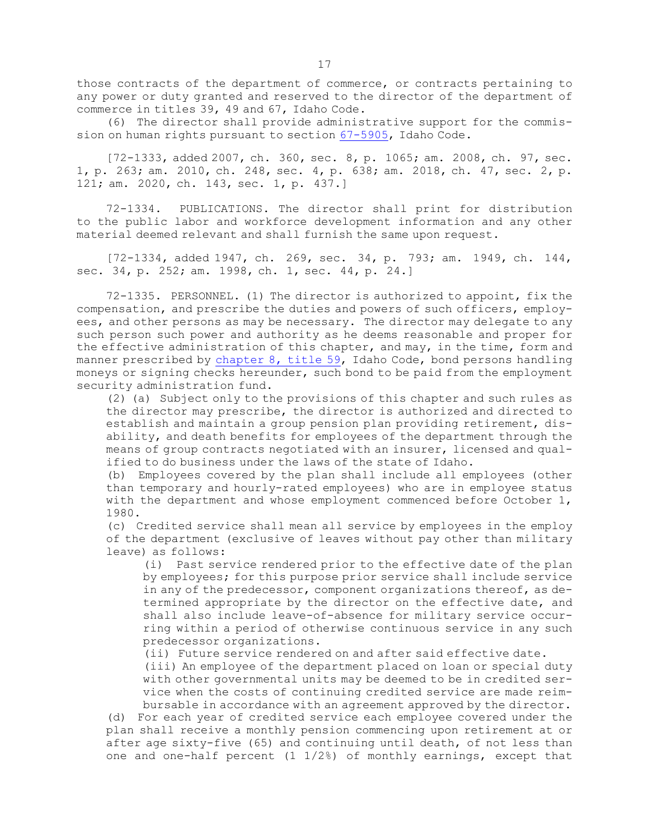those contracts of the department of commerce, or contracts pertaining to any power or duty granted and reserved to the director of the department of commerce in titles 39, 49 and 67, Idaho Code.

(6) The director shall provide administrative support for the commission on human rights pursuant to section [67-5905](https://legislature.idaho.gov/statutesrules/idstat/Title67/T67CH59/SECT67-5905), Idaho Code.

[72-1333, added 2007, ch. 360, sec. 8, p. 1065; am. 2008, ch. 97, sec. 1, p. 263; am. 2010, ch. 248, sec. 4, p. 638; am. 2018, ch. 47, sec. 2, p. 121; am. 2020, ch. 143, sec. 1, p. 437.]

72-1334. PUBLICATIONS. The director shall print for distribution to the public labor and workforce development information and any other material deemed relevant and shall furnish the same upon request.

[72-1334, added 1947, ch. 269, sec. 34, p. 793; am. 1949, ch. 144, sec. 34, p. 252; am. 1998, ch. 1, sec. 44, p. 24.]

72-1335. PERSONNEL. (1) The director is authorized to appoint, fix the compensation, and prescribe the duties and powers of such officers, employees, and other persons as may be necessary. The director may delegate to any such person such power and authority as he deems reasonable and proper for the effective administration of this chapter, and may, in the time, form and manner prescribed by [chapter](https://legislature.idaho.gov/statutesrules/idstat/Title59/T59CH8) 8, title 59, Idaho Code, bond persons handling moneys or signing checks hereunder, such bond to be paid from the employment security administration fund.

(2) (a) Subject only to the provisions of this chapter and such rules as the director may prescribe, the director is authorized and directed to establish and maintain <sup>a</sup> group pension plan providing retirement, disability, and death benefits for employees of the department through the means of group contracts negotiated with an insurer, licensed and qualified to do business under the laws of the state of Idaho.

(b) Employees covered by the plan shall include all employees (other than temporary and hourly-rated employees) who are in employee status with the department and whose employment commenced before October 1, 1980.

(c) Credited service shall mean all service by employees in the employ of the department (exclusive of leaves without pay other than military leave) as follows:

(i) Past service rendered prior to the effective date of the plan by employees; for this purpose prior service shall include service in any of the predecessor, component organizations thereof, as determined appropriate by the director on the effective date, and shall also include leave-of-absence for military service occurring within <sup>a</sup> period of otherwise continuous service in any such predecessor organizations.

(ii) Future service rendered on and after said effective date.

(iii) An employee of the department placed on loan or special duty with other governmental units may be deemed to be in credited service when the costs of continuing credited service are made reimbursable in accordance with an agreement approved by the director.

(d) For each year of credited service each employee covered under the plan shall receive <sup>a</sup> monthly pension commencing upon retirement at or after age sixty-five (65) and continuing until death, of not less than one and one-half percent (1 1/2%) of monthly earnings, except that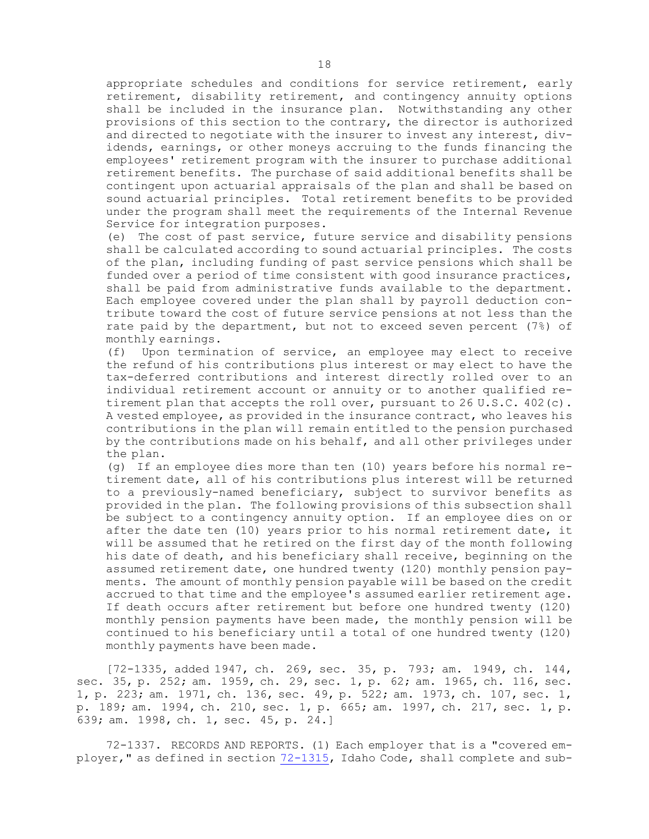appropriate schedules and conditions for service retirement, early retirement, disability retirement, and contingency annuity options shall be included in the insurance plan. Notwithstanding any other provisions of this section to the contrary, the director is authorized and directed to negotiate with the insurer to invest any interest, dividends, earnings, or other moneys accruing to the funds financing the employees' retirement program with the insurer to purchase additional retirement benefits. The purchase of said additional benefits shall be contingent upon actuarial appraisals of the plan and shall be based on sound actuarial principles. Total retirement benefits to be provided under the program shall meet the requirements of the Internal Revenue Service for integration purposes.

(e) The cost of past service, future service and disability pensions shall be calculated according to sound actuarial principles. The costs of the plan, including funding of past service pensions which shall be funded over <sup>a</sup> period of time consistent with good insurance practices, shall be paid from administrative funds available to the department. Each employee covered under the plan shall by payroll deduction contribute toward the cost of future service pensions at not less than the rate paid by the department, but not to exceed seven percent (7%) of monthly earnings.

(f) Upon termination of service, an employee may elect to receive the refund of his contributions plus interest or may elect to have the tax-deferred contributions and interest directly rolled over to an individual retirement account or annuity or to another qualified retirement plan that accepts the roll over, pursuant to 26 U.S.C. 402(c). <sup>A</sup> vested employee, as provided in the insurance contract, who leaves his contributions in the plan will remain entitled to the pension purchased by the contributions made on his behalf, and all other privileges under the plan.

(g) If an employee dies more than ten (10) years before his normal retirement date, all of his contributions plus interest will be returned to <sup>a</sup> previously-named beneficiary, subject to survivor benefits as provided in the plan. The following provisions of this subsection shall be subject to <sup>a</sup> contingency annuity option. If an employee dies on or after the date ten (10) years prior to his normal retirement date, it will be assumed that he retired on the first day of the month following his date of death, and his beneficiary shall receive, beginning on the assumed retirement date, one hundred twenty (120) monthly pension payments. The amount of monthly pension payable will be based on the credit accrued to that time and the employee's assumed earlier retirement age. If death occurs after retirement but before one hundred twenty (120) monthly pension payments have been made, the monthly pension will be continued to his beneficiary until <sup>a</sup> total of one hundred twenty (120) monthly payments have been made.

[72-1335, added 1947, ch. 269, sec. 35, p. 793; am. 1949, ch. 144, sec. 35, p. 252; am. 1959, ch. 29, sec. 1, p. 62; am. 1965, ch. 116, sec. 1, p. 223; am. 1971, ch. 136, sec. 49, p. 522; am. 1973, ch. 107, sec. 1, p. 189; am. 1994, ch. 210, sec. 1, p. 665; am. 1997, ch. 217, sec. 1, p. 639; am. 1998, ch. 1, sec. 45, p. 24.]

72-1337. RECORDS AND REPORTS. (1) Each employer that is <sup>a</sup> "covered employer," as defined in section [72-1315](https://legislature.idaho.gov/statutesrules/idstat/Title72/T72CH13/SECT72-1315), Idaho Code, shall complete and sub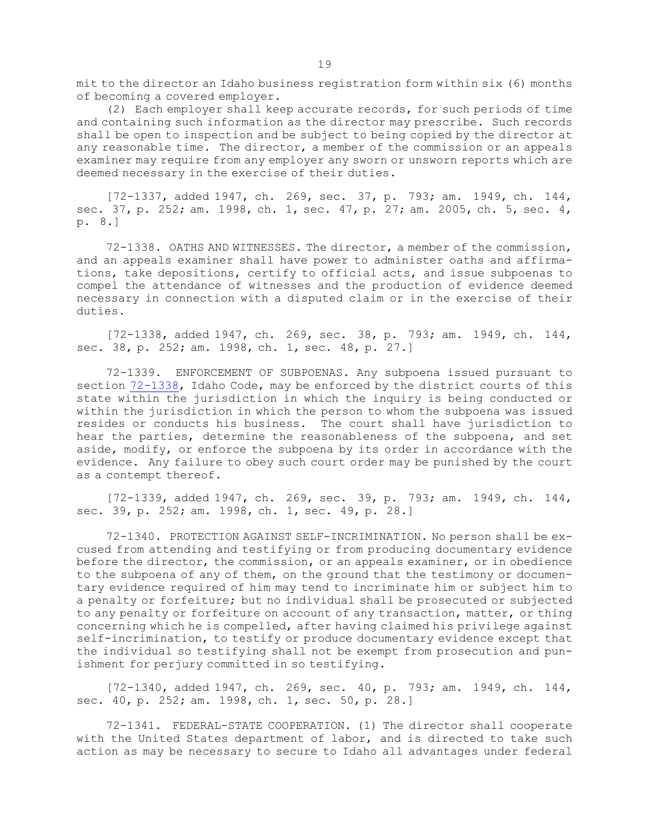mit to the director an Idaho business registration form within six (6) months of becoming <sup>a</sup> covered employer.

(2) Each employer shall keep accurate records, for such periods of time and containing such information as the director may prescribe. Such records shall be open to inspection and be subject to being copied by the director at any reasonable time. The director, <sup>a</sup> member of the commission or an appeals examiner may require from any employer any sworn or unsworn reports which are deemed necessary in the exercise of their duties.

[72-1337, added 1947, ch. 269, sec. 37, p. 793; am. 1949, ch. 144, sec. 37, p. 252; am. 1998, ch. 1, sec. 47, p. 27; am. 2005, ch. 5, sec. 4, p. 8.]

72-1338. OATHS AND WITNESSES. The director, <sup>a</sup> member of the commission, and an appeals examiner shall have power to administer oaths and affirmations, take depositions, certify to official acts, and issue subpoenas to compel the attendance of witnesses and the production of evidence deemed necessary in connection with <sup>a</sup> disputed claim or in the exercise of their duties.

[72-1338, added 1947, ch. 269, sec. 38, p. 793; am. 1949, ch. 144, sec. 38, p. 252; am. 1998, ch. 1, sec. 48, p. 27.]

72-1339. ENFORCEMENT OF SUBPOENAS. Any subpoena issued pursuant to section [72-1338](https://legislature.idaho.gov/statutesrules/idstat/Title72/T72CH13/SECT72-1338), Idaho Code, may be enforced by the district courts of this state within the jurisdiction in which the inquiry is being conducted or within the jurisdiction in which the person to whom the subpoena was issued resides or conducts his business. The court shall have jurisdiction to hear the parties, determine the reasonableness of the subpoena, and set aside, modify, or enforce the subpoena by its order in accordance with the evidence. Any failure to obey such court order may be punished by the court as <sup>a</sup> contempt thereof.

[72-1339, added 1947, ch. 269, sec. 39, p. 793; am. 1949, ch. 144, sec. 39, p. 252; am. 1998, ch. 1, sec. 49, p. 28.]

72-1340. PROTECTION AGAINST SELF-INCRIMINATION. No person shall be excused from attending and testifying or from producing documentary evidence before the director, the commission, or an appeals examiner, or in obedience to the subpoena of any of them, on the ground that the testimony or documentary evidence required of him may tend to incriminate him or subject him to <sup>a</sup> penalty or forfeiture; but no individual shall be prosecuted or subjected to any penalty or forfeiture on account of any transaction, matter, or thing concerning which he is compelled, after having claimed his privilege against self-incrimination, to testify or produce documentary evidence except that the individual so testifying shall not be exempt from prosecution and punishment for perjury committed in so testifying.

[72-1340, added 1947, ch. 269, sec. 40, p. 793; am. 1949, ch. 144, sec. 40, p. 252; am. 1998, ch. 1, sec. 50, p. 28.]

72-1341. FEDERAL-STATE COOPERATION. (1) The director shall cooperate with the United States department of labor, and is directed to take such action as may be necessary to secure to Idaho all advantages under federal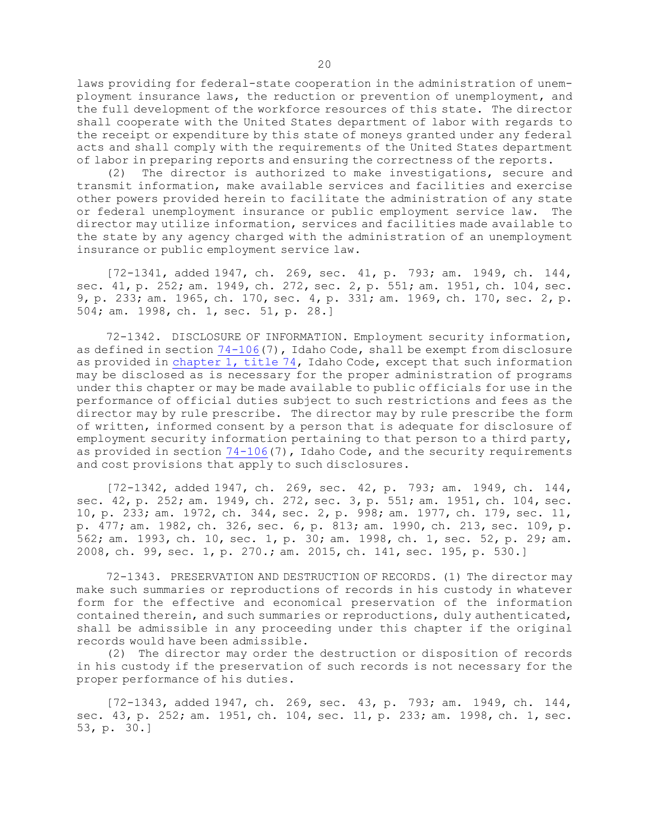laws providing for federal-state cooperation in the administration of unemployment insurance laws, the reduction or prevention of unemployment, and the full development of the workforce resources of this state. The director shall cooperate with the United States department of labor with regards to the receipt or expenditure by this state of moneys granted under any federal acts and shall comply with the requirements of the United States department of labor in preparing reports and ensuring the correctness of the reports.

(2) The director is authorized to make investigations, secure and transmit information, make available services and facilities and exercise other powers provided herein to facilitate the administration of any state or federal unemployment insurance or public employment service law. The director may utilize information, services and facilities made available to the state by any agency charged with the administration of an unemployment insurance or public employment service law.

[72-1341, added 1947, ch. 269, sec. 41, p. 793; am. 1949, ch. 144, sec. 41, p. 252; am. 1949, ch. 272, sec. 2, p. 551; am. 1951, ch. 104, sec. 9, p. 233; am. 1965, ch. 170, sec. 4, p. 331; am. 1969, ch. 170, sec. 2, p. 504; am. 1998, ch. 1, sec. 51, p. 28.]

72-1342. DISCLOSURE OF INFORMATION. Employment security information, as defined in section [74-106](https://legislature.idaho.gov/statutesrules/idstat/Title74/T74CH1/SECT74-106)(7), Idaho Code, shall be exempt from disclosure as provided in [chapter](https://legislature.idaho.gov/statutesrules/idstat/Title74/T74CH1) 1, title 74, Idaho Code, except that such information may be disclosed as is necessary for the proper administration of programs under this chapter or may be made available to public officials for use in the performance of official duties subject to such restrictions and fees as the director may by rule prescribe. The director may by rule prescribe the form of written, informed consent by <sup>a</sup> person that is adequate for disclosure of employment security information pertaining to that person to <sup>a</sup> third party, as provided in section  $74-106(7)$  $74-106(7)$ , Idaho Code, and the security requirements and cost provisions that apply to such disclosures.

[72-1342, added 1947, ch. 269, sec. 42, p. 793; am. 1949, ch. 144, sec. 42, p. 252; am. 1949, ch. 272, sec. 3, p. 551; am. 1951, ch. 104, sec. 10, p. 233; am. 1972, ch. 344, sec. 2, p. 998; am. 1977, ch. 179, sec. 11, p. 477; am. 1982, ch. 326, sec. 6, p. 813; am. 1990, ch. 213, sec. 109, p. 562; am. 1993, ch. 10, sec. 1, p. 30; am. 1998, ch. 1, sec. 52, p. 29; am. 2008, ch. 99, sec. 1, p. 270.; am. 2015, ch. 141, sec. 195, p. 530.]

72-1343. PRESERVATION AND DESTRUCTION OF RECORDS. (1) The director may make such summaries or reproductions of records in his custody in whatever form for the effective and economical preservation of the information contained therein, and such summaries or reproductions, duly authenticated, shall be admissible in any proceeding under this chapter if the original records would have been admissible.

(2) The director may order the destruction or disposition of records in his custody if the preservation of such records is not necessary for the proper performance of his duties.

[72-1343, added 1947, ch. 269, sec. 43, p. 793; am. 1949, ch. 144, sec. 43, p. 252; am. 1951, ch. 104, sec. 11, p. 233; am. 1998, ch. 1, sec. 53, p. 30.]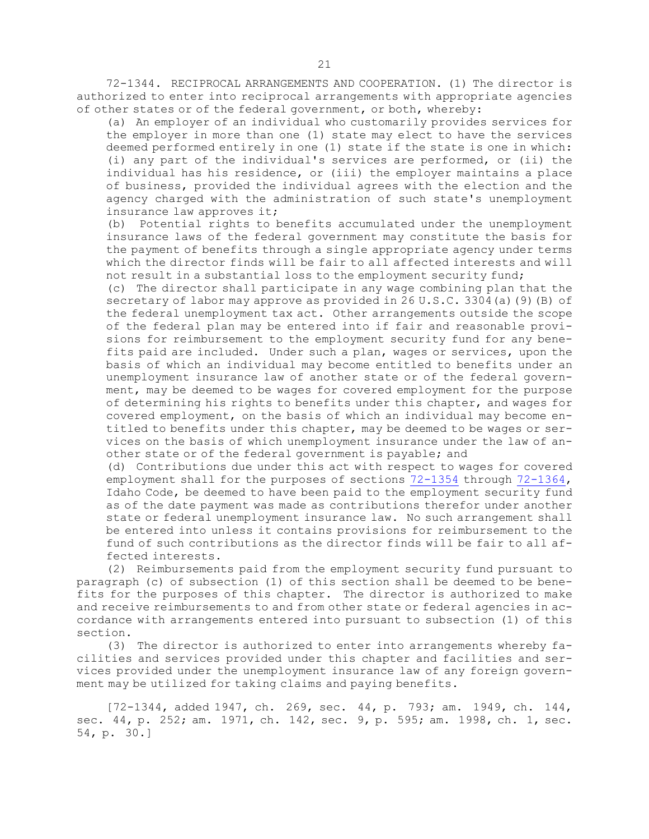72-1344. RECIPROCAL ARRANGEMENTS AND COOPERATION. (1) The director is authorized to enter into reciprocal arrangements with appropriate agencies of other states or of the federal government, or both, whereby:

(a) An employer of an individual who customarily provides services for the employer in more than one (1) state may elect to have the services deemed performed entirely in one (1) state if the state is one in which: (i) any part of the individual's services are performed, or (ii) the individual has his residence, or (iii) the employer maintains <sup>a</sup> place of business, provided the individual agrees with the election and the agency charged with the administration of such state's unemployment insurance law approves it;

(b) Potential rights to benefits accumulated under the unemployment insurance laws of the federal government may constitute the basis for the payment of benefits through <sup>a</sup> single appropriate agency under terms which the director finds will be fair to all affected interests and will not result in <sup>a</sup> substantial loss to the employment security fund;

(c) The director shall participate in any wage combining plan that the secretary of labor may approve as provided in 26 U.S.C. 3304(a)(9)(B) of the federal unemployment tax act. Other arrangements outside the scope of the federal plan may be entered into if fair and reasonable provisions for reimbursement to the employment security fund for any benefits paid are included. Under such <sup>a</sup> plan, wages or services, upon the basis of which an individual may become entitled to benefits under an unemployment insurance law of another state or of the federal government, may be deemed to be wages for covered employment for the purpose of determining his rights to benefits under this chapter, and wages for covered employment, on the basis of which an individual may become entitled to benefits under this chapter, may be deemed to be wages or services on the basis of which unemployment insurance under the law of another state or of the federal government is payable; and

(d) Contributions due under this act with respect to wages for covered employment shall for the purposes of sections [72-1354](https://legislature.idaho.gov/statutesrules/idstat/Title72/T72CH13/SECT72-1354) through [72-1364](https://legislature.idaho.gov/statutesrules/idstat/Title72/T72CH13/SECT72-1364), Idaho Code, be deemed to have been paid to the employment security fund as of the date payment was made as contributions therefor under another state or federal unemployment insurance law. No such arrangement shall be entered into unless it contains provisions for reimbursement to the fund of such contributions as the director finds will be fair to all affected interests.

(2) Reimbursements paid from the employment security fund pursuant to paragraph (c) of subsection (1) of this section shall be deemed to be benefits for the purposes of this chapter. The director is authorized to make and receive reimbursements to and from other state or federal agencies in accordance with arrangements entered into pursuant to subsection (1) of this section.

(3) The director is authorized to enter into arrangements whereby facilities and services provided under this chapter and facilities and services provided under the unemployment insurance law of any foreign government may be utilized for taking claims and paying benefits.

[72-1344, added 1947, ch. 269, sec. 44, p. 793; am. 1949, ch. 144, sec. 44, p. 252; am. 1971, ch. 142, sec. 9, p. 595; am. 1998, ch. 1, sec. 54, p. 30.]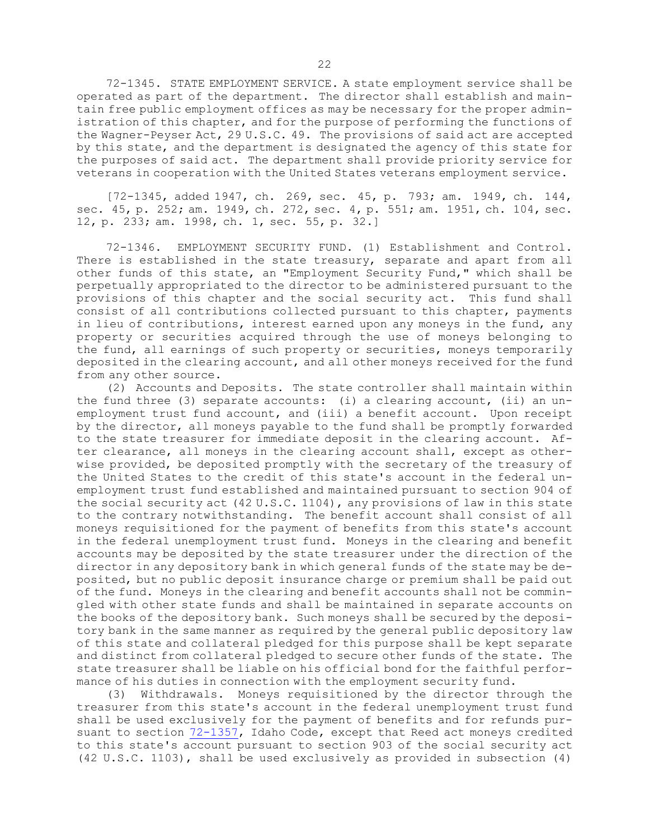72-1345. STATE EMPLOYMENT SERVICE. <sup>A</sup> state employment service shall be operated as part of the department. The director shall establish and maintain free public employment offices as may be necessary for the proper administration of this chapter, and for the purpose of performing the functions of the Wagner-Peyser Act, 29 U.S.C. 49. The provisions of said act are accepted by this state, and the department is designated the agency of this state for the purposes of said act. The department shall provide priority service for veterans in cooperation with the United States veterans employment service.

[72-1345, added 1947, ch. 269, sec. 45, p. 793; am. 1949, ch. 144, sec. 45, p. 252; am. 1949, ch. 272, sec. 4, p. 551; am. 1951, ch. 104, sec. 12, p. 233; am. 1998, ch. 1, sec. 55, p. 32.]

72-1346. EMPLOYMENT SECURITY FUND. (1) Establishment and Control. There is established in the state treasury, separate and apart from all other funds of this state, an "Employment Security Fund," which shall be perpetually appropriated to the director to be administered pursuant to the provisions of this chapter and the social security act. This fund shall consist of all contributions collected pursuant to this chapter, payments in lieu of contributions, interest earned upon any moneys in the fund, any property or securities acquired through the use of moneys belonging to the fund, all earnings of such property or securities, moneys temporarily deposited in the clearing account, and all other moneys received for the fund from any other source.

(2) Accounts and Deposits. The state controller shall maintain within the fund three (3) separate accounts: (i) a clearing account, (ii) an unemployment trust fund account, and (iii) <sup>a</sup> benefit account. Upon receipt by the director, all moneys payable to the fund shall be promptly forwarded to the state treasurer for immediate deposit in the clearing account. After clearance, all moneys in the clearing account shall, except as otherwise provided, be deposited promptly with the secretary of the treasury of the United States to the credit of this state's account in the federal unemployment trust fund established and maintained pursuant to section 904 of the social security act (42 U.S.C. 1104), any provisions of law in this state to the contrary notwithstanding. The benefit account shall consist of all moneys requisitioned for the payment of benefits from this state's account in the federal unemployment trust fund. Moneys in the clearing and benefit accounts may be deposited by the state treasurer under the direction of the director in any depository bank in which general funds of the state may be deposited, but no public deposit insurance charge or premium shall be paid out of the fund. Moneys in the clearing and benefit accounts shall not be commingled with other state funds and shall be maintained in separate accounts on the books of the depository bank. Such moneys shall be secured by the depository bank in the same manner as required by the general public depository law of this state and collateral pledged for this purpose shall be kept separate and distinct from collateral pledged to secure other funds of the state. The state treasurer shall be liable on his official bond for the faithful performance of his duties in connection with the employment security fund.

(3) Withdrawals. Moneys requisitioned by the director through the treasurer from this state's account in the federal unemployment trust fund shall be used exclusively for the payment of benefits and for refunds pursuant to section [72-1357](https://legislature.idaho.gov/statutesrules/idstat/Title72/T72CH13/SECT72-1357), Idaho Code, except that Reed act moneys credited to this state's account pursuant to section 903 of the social security act (42 U.S.C. 1103), shall be used exclusively as provided in subsection (4)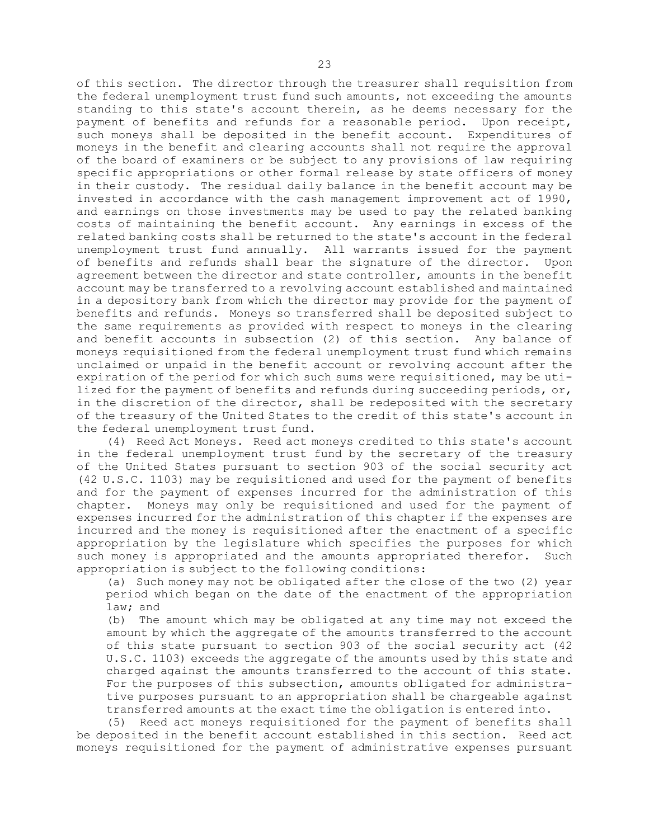of this section. The director through the treasurer shall requisition from the federal unemployment trust fund such amounts, not exceeding the amounts standing to this state's account therein, as he deems necessary for the payment of benefits and refunds for <sup>a</sup> reasonable period. Upon receipt, such moneys shall be deposited in the benefit account. Expenditures of moneys in the benefit and clearing accounts shall not require the approval of the board of examiners or be subject to any provisions of law requiring specific appropriations or other formal release by state officers of money in their custody. The residual daily balance in the benefit account may be invested in accordance with the cash management improvement act of 1990, and earnings on those investments may be used to pay the related banking costs of maintaining the benefit account. Any earnings in excess of the related banking costs shall be returned to the state's account in the federal unemployment trust fund annually. All warrants issued for the payment of benefits and refunds shall bear the signature of the director. Upon agreement between the director and state controller, amounts in the benefit account may be transferred to <sup>a</sup> revolving account established and maintained in <sup>a</sup> depository bank from which the director may provide for the payment of benefits and refunds. Moneys so transferred shall be deposited subject to the same requirements as provided with respect to moneys in the clearing and benefit accounts in subsection (2) of this section. Any balance of moneys requisitioned from the federal unemployment trust fund which remains unclaimed or unpaid in the benefit account or revolving account after the expiration of the period for which such sums were requisitioned, may be utilized for the payment of benefits and refunds during succeeding periods, or, in the discretion of the director, shall be redeposited with the secretary of the treasury of the United States to the credit of this state's account in the federal unemployment trust fund.

(4) Reed Act Moneys. Reed act moneys credited to this state's account in the federal unemployment trust fund by the secretary of the treasury of the United States pursuant to section 903 of the social security act (42 U.S.C. 1103) may be requisitioned and used for the payment of benefits and for the payment of expenses incurred for the administration of this chapter. Moneys may only be requisitioned and used for the payment of expenses incurred for the administration of this chapter if the expenses are incurred and the money is requisitioned after the enactment of <sup>a</sup> specific appropriation by the legislature which specifies the purposes for which such money is appropriated and the amounts appropriated therefor. Such appropriation is subject to the following conditions:

(a) Such money may not be obligated after the close of the two (2) year period which began on the date of the enactment of the appropriation law; and

(b) The amount which may be obligated at any time may not exceed the amount by which the aggregate of the amounts transferred to the account of this state pursuant to section 903 of the social security act (42 U.S.C. 1103) exceeds the aggregate of the amounts used by this state and charged against the amounts transferred to the account of this state. For the purposes of this subsection, amounts obligated for administrative purposes pursuant to an appropriation shall be chargeable against transferred amounts at the exact time the obligation is entered into.

(5) Reed act moneys requisitioned for the payment of benefits shall be deposited in the benefit account established in this section. Reed act moneys requisitioned for the payment of administrative expenses pursuant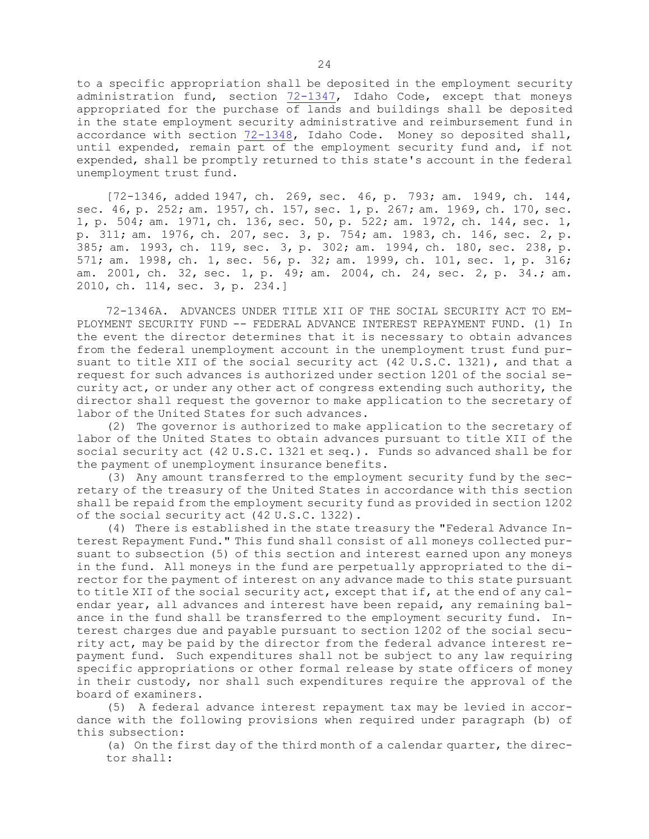to <sup>a</sup> specific appropriation shall be deposited in the employment security administration fund, section  $72-1347$ , Idaho Code, except that moneys appropriated for the purchase of lands and buildings shall be deposited in the state employment security administrative and reimbursement fund in accordance with section [72-1348](https://legislature.idaho.gov/statutesrules/idstat/Title72/T72CH13/SECT72-1348), Idaho Code. Money so deposited shall, until expended, remain part of the employment security fund and, if not expended, shall be promptly returned to this state's account in the federal unemployment trust fund.

[72-1346, added 1947, ch. 269, sec. 46, p. 793; am. 1949, ch. 144, sec. 46, p. 252; am. 1957, ch. 157, sec. 1, p. 267; am. 1969, ch. 170, sec. 1, p. 504; am. 1971, ch. 136, sec. 50, p. 522; am. 1972, ch. 144, sec. 1, p. 311; am. 1976, ch. 207, sec. 3, p. 754; am. 1983, ch. 146, sec. 2, p. 385; am. 1993, ch. 119, sec. 3, p. 302; am. 1994, ch. 180, sec. 238, p. 571; am. 1998, ch. 1, sec. 56, p. 32; am. 1999, ch. 101, sec. 1, p. 316; am. 2001, ch. 32, sec. 1, p. 49; am. 2004, ch. 24, sec. 2, p. 34.; am. 2010, ch. 114, sec. 3, p. 234.]

72-1346A. ADVANCES UNDER TITLE XII OF THE SOCIAL SECURITY ACT TO EM-PLOYMENT SECURITY FUND -- FEDERAL ADVANCE INTEREST REPAYMENT FUND. (1) In the event the director determines that it is necessary to obtain advances from the federal unemployment account in the unemployment trust fund pursuant to title XII of the social security act (42 U.S.C. 1321), and that <sup>a</sup> request for such advances is authorized under section 1201 of the social security act, or under any other act of congress extending such authority, the director shall request the governor to make application to the secretary of labor of the United States for such advances.

(2) The governor is authorized to make application to the secretary of labor of the United States to obtain advances pursuant to title XII of the social security act (42 U.S.C. 1321 et seq.). Funds so advanced shall be for the payment of unemployment insurance benefits.

(3) Any amount transferred to the employment security fund by the secretary of the treasury of the United States in accordance with this section shall be repaid from the employment security fund as provided in section 1202 of the social security act (42 U.S.C. 1322).

(4) There is established in the state treasury the "Federal Advance Interest Repayment Fund." This fund shall consist of all moneys collected pursuant to subsection (5) of this section and interest earned upon any moneys in the fund. All moneys in the fund are perpetually appropriated to the director for the payment of interest on any advance made to this state pursuant to title XII of the social security act, except that if, at the end of any calendar year, all advances and interest have been repaid, any remaining balance in the fund shall be transferred to the employment security fund. Interest charges due and payable pursuant to section 1202 of the social security act, may be paid by the director from the federal advance interest repayment fund. Such expenditures shall not be subject to any law requiring specific appropriations or other formal release by state officers of money in their custody, nor shall such expenditures require the approval of the board of examiners.

(5) <sup>A</sup> federal advance interest repayment tax may be levied in accordance with the following provisions when required under paragraph (b) of this subsection:

(a) On the first day of the third month of <sup>a</sup> calendar quarter, the director shall: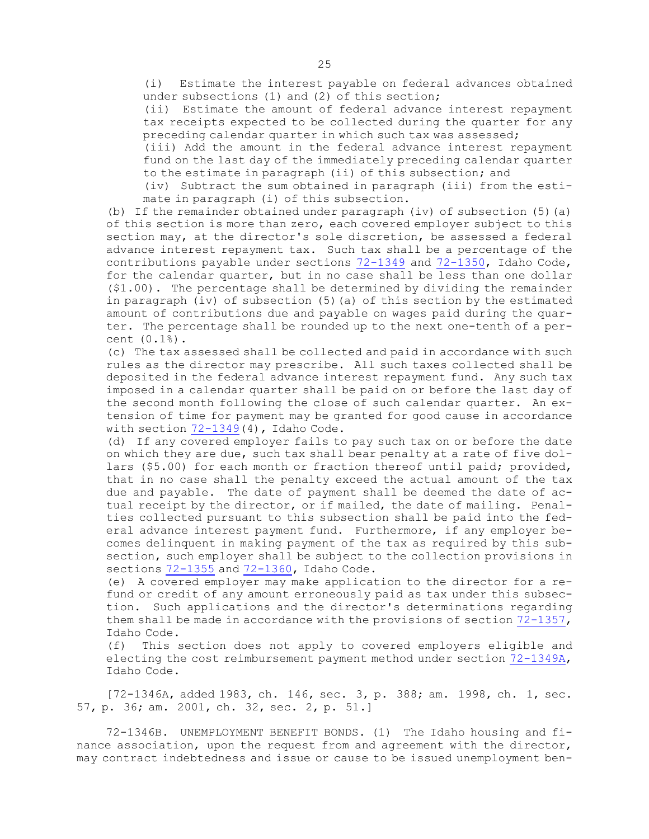(i) Estimate the interest payable on federal advances obtained under subsections (1) and (2) of this section;

(ii) Estimate the amount of federal advance interest repayment tax receipts expected to be collected during the quarter for any preceding calendar quarter in which such tax was assessed;

(iii) Add the amount in the federal advance interest repayment fund on the last day of the immediately preceding calendar quarter to the estimate in paragraph (ii) of this subsection; and

(iv) Subtract the sum obtained in paragraph (iii) from the estimate in paragraph (i) of this subsection.

(b) If the remainder obtained under paragraph (iv) of subsection  $(5)(a)$ of this section is more than zero, each covered employer subject to this section may, at the director's sole discretion, be assessed <sup>a</sup> federal advance interest repayment tax. Such tax shall be <sup>a</sup> percentage of the contributions payable under sections  $72-1349$  and  $72-1350$ , Idaho Code, for the calendar quarter, but in no case shall be less than one dollar (\$1.00). The percentage shall be determined by dividing the remainder in paragraph (iv) of subsection (5)(a) of this section by the estimated amount of contributions due and payable on wages paid during the quarter. The percentage shall be rounded up to the next one-tenth of <sup>a</sup> percent (0.1%).

(c) The tax assessed shall be collected and paid in accordance with such rules as the director may prescribe. All such taxes collected shall be deposited in the federal advance interest repayment fund. Any such tax imposed in <sup>a</sup> calendar quarter shall be paid on or before the last day of the second month following the close of such calendar quarter. An extension of time for payment may be granted for good cause in accordance with section [72-1349](https://legislature.idaho.gov/statutesrules/idstat/Title72/T72CH13/SECT72-1349)(4), Idaho Code.

(d) If any covered employer fails to pay such tax on or before the date on which they are due, such tax shall bear penalty at <sup>a</sup> rate of five dollars (\$5.00) for each month or fraction thereof until paid; provided, that in no case shall the penalty exceed the actual amount of the tax due and payable. The date of payment shall be deemed the date of actual receipt by the director, or if mailed, the date of mailing. Penalties collected pursuant to this subsection shall be paid into the federal advance interest payment fund. Furthermore, if any employer becomes delinquent in making payment of the tax as required by this subsection, such employer shall be subject to the collection provisions in sections [72-1355](https://legislature.idaho.gov/statutesrules/idstat/Title72/T72CH13/SECT72-1355) and [72-1360](https://legislature.idaho.gov/statutesrules/idstat/Title72/T72CH13/SECT72-1360), Idaho Code.

(e) <sup>A</sup> covered employer may make application to the director for <sup>a</sup> refund or credit of any amount erroneously paid as tax under this subsection. Such applications and the director's determinations regarding them shall be made in accordance with the provisions of section [72-1357](https://legislature.idaho.gov/statutesrules/idstat/Title72/T72CH13/SECT72-1357), Idaho Code.

(f) This section does not apply to covered employers eligible and electing the cost reimbursement payment method under section [72-1349A](https://legislature.idaho.gov/statutesrules/idstat/Title72/T72CH13/SECT72-1349A), Idaho Code.

[72-1346A, added 1983, ch. 146, sec. 3, p. 388; am. 1998, ch. 1, sec. 57, p. 36; am. 2001, ch. 32, sec. 2, p. 51.]

72-1346B. UNEMPLOYMENT BENEFIT BONDS. (1) The Idaho housing and finance association, upon the request from and agreement with the director, may contract indebtedness and issue or cause to be issued unemployment ben-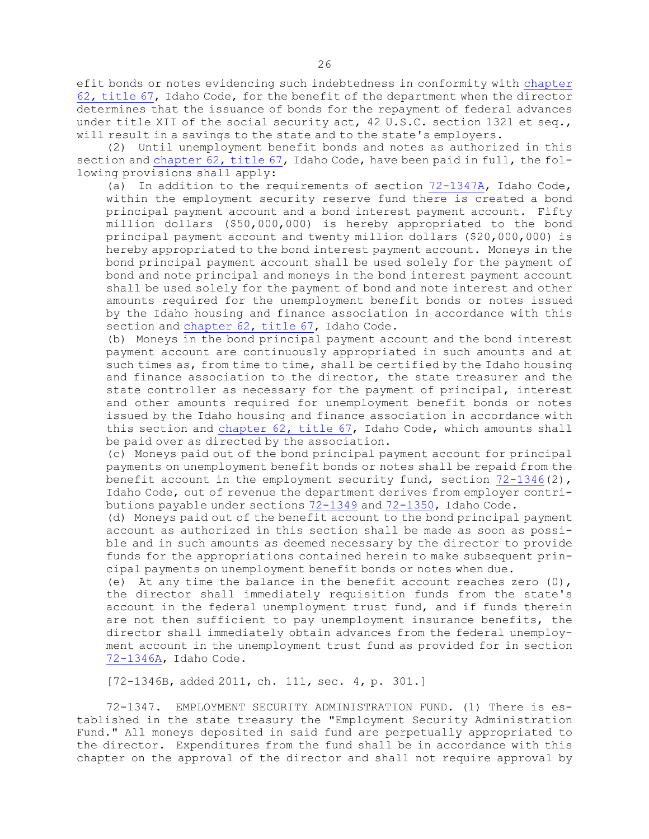efit bonds or notes evidencing such indebtedness in conformity with [chapter](https://legislature.idaho.gov/statutesrules/idstat/Title67/T67CH62) 62, [title](https://legislature.idaho.gov/statutesrules/idstat/Title67/T67CH62) 67, Idaho Code, for the benefit of the department when the director determines that the issuance of bonds for the repayment of federal advances under title XII of the social security act, 42 U.S.C. section 1321 et seq., will result in <sup>a</sup> savings to the state and to the state's employers.

(2) Until unemployment benefit bonds and notes as authorized in this section and [chapter](https://legislature.idaho.gov/statutesrules/idstat/Title67/T67CH62) 62, title 67, Idaho Code, have been paid in full, the following provisions shall apply:

(a) In addition to the requirements of section [72-1347A](https://legislature.idaho.gov/statutesrules/idstat/Title72/T72CH13/SECT72-1347A), Idaho Code, within the employment security reserve fund there is created <sup>a</sup> bond principal payment account and <sup>a</sup> bond interest payment account. Fifty million dollars (\$50,000,000) is hereby appropriated to the bond principal payment account and twenty million dollars (\$20,000,000) is hereby appropriated to the bond interest payment account. Moneys in the bond principal payment account shall be used solely for the payment of bond and note principal and moneys in the bond interest payment account shall be used solely for the payment of bond and note interest and other amounts required for the unemployment benefit bonds or notes issued by the Idaho housing and finance association in accordance with this section and [chapter](https://legislature.idaho.gov/statutesrules/idstat/Title67/T67CH62) 62, title 67, Idaho Code.

(b) Moneys in the bond principal payment account and the bond interest payment account are continuously appropriated in such amounts and at such times as, from time to time, shall be certified by the Idaho housing and finance association to the director, the state treasurer and the state controller as necessary for the payment of principal, interest and other amounts required for unemployment benefit bonds or notes issued by the Idaho housing and finance association in accordance with this section and [chapter](https://legislature.idaho.gov/statutesrules/idstat/Title67/T67CH62) 62, title 67, Idaho Code, which amounts shall be paid over as directed by the association.

(c) Moneys paid out of the bond principal payment account for principal payments on unemployment benefit bonds or notes shall be repaid from the benefit account in the employment security fund, section  $72-1346(2)$  $72-1346(2)$ , Idaho Code, out of revenue the department derives from employer contributions payable under sections [72-1349](https://legislature.idaho.gov/statutesrules/idstat/Title72/T72CH13/SECT72-1349) and [72-1350](https://legislature.idaho.gov/statutesrules/idstat/Title72/T72CH13/SECT72-1350), Idaho Code.

(d) Moneys paid out of the benefit account to the bond principal payment account as authorized in this section shall be made as soon as possible and in such amounts as deemed necessary by the director to provide funds for the appropriations contained herein to make subsequent principal payments on unemployment benefit bonds or notes when due.

(e) At any time the balance in the benefit account reaches zero  $(0)$ , the director shall immediately requisition funds from the state's account in the federal unemployment trust fund, and if funds therein are not then sufficient to pay unemployment insurance benefits, the director shall immediately obtain advances from the federal unemployment account in the unemployment trust fund as provided for in section [72-1346A](https://legislature.idaho.gov/statutesrules/idstat/Title72/T72CH13/SECT72-1346A), Idaho Code.

[72-1346B, added 2011, ch. 111, sec. 4, p. 301.]

72-1347. EMPLOYMENT SECURITY ADMINISTRATION FUND. (1) There is established in the state treasury the "Employment Security Administration Fund." All moneys deposited in said fund are perpetually appropriated to the director. Expenditures from the fund shall be in accordance with this chapter on the approval of the director and shall not require approval by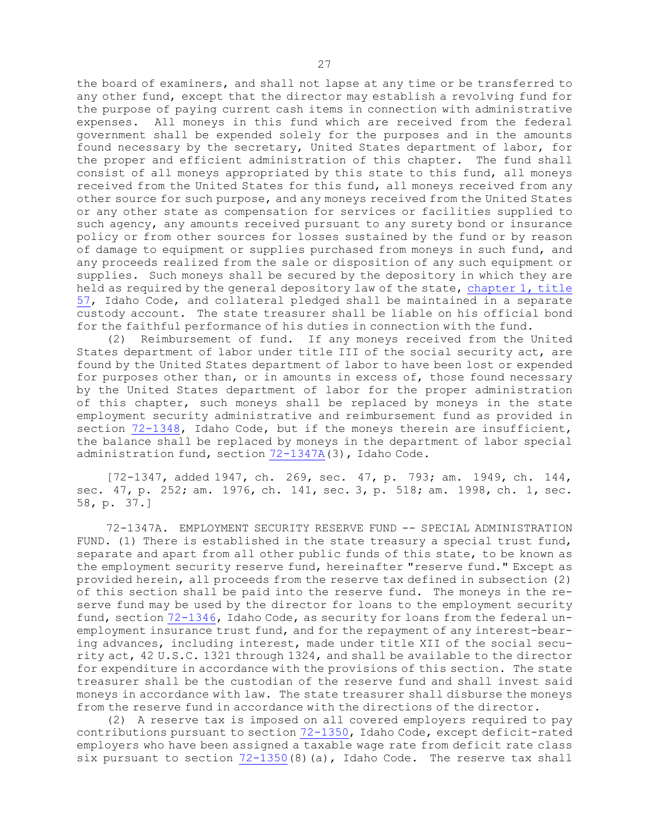the board of examiners, and shall not lapse at any time or be transferred to any other fund, except that the director may establish <sup>a</sup> revolving fund for the purpose of paying current cash items in connection with administrative expenses. All moneys in this fund which are received from the federal government shall be expended solely for the purposes and in the amounts found necessary by the secretary, United States department of labor, for the proper and efficient administration of this chapter. The fund shall consist of all moneys appropriated by this state to this fund, all moneys received from the United States for this fund, all moneys received from any other source for such purpose, and any moneys received from the United States or any other state as compensation for services or facilities supplied to such agency, any amounts received pursuant to any surety bond or insurance policy or from other sources for losses sustained by the fund or by reason of damage to equipment or supplies purchased from moneys in such fund, and any proceeds realized from the sale or disposition of any such equipment or supplies. Such moneys shall be secured by the depository in which they are held as required by the general depository law of the state, [chapter](https://legislature.idaho.gov/statutesrules/idstat/Title57/T57CH1) 1, title [57](https://legislature.idaho.gov/statutesrules/idstat/Title57/T57CH1), Idaho Code, and collateral pledged shall be maintained in <sup>a</sup> separate custody account. The state treasurer shall be liable on his official bond for the faithful performance of his duties in connection with the fund.

(2) Reimbursement of fund. If any moneys received from the United States department of labor under title III of the social security act, are found by the United States department of labor to have been lost or expended for purposes other than, or in amounts in excess of, those found necessary by the United States department of labor for the proper administration of this chapter, such moneys shall be replaced by moneys in the state employment security administrative and reimbursement fund as provided in section [72-1348](https://legislature.idaho.gov/statutesrules/idstat/Title72/T72CH13/SECT72-1348), Idaho Code, but if the moneys therein are insufficient, the balance shall be replaced by moneys in the department of labor special administration fund, section [72-1347A](https://legislature.idaho.gov/statutesrules/idstat/Title72/T72CH13/SECT72-1347A)(3), Idaho Code.

[72-1347, added 1947, ch. 269, sec. 47, p. 793; am. 1949, ch. 144, sec. 47, p. 252; am. 1976, ch. 141, sec. 3, p. 518; am. 1998, ch. 1, sec. 58, p. 37.]

72-1347A. EMPLOYMENT SECURITY RESERVE FUND -- SPECIAL ADMINISTRATION FUND. (1) There is established in the state treasury a special trust fund, separate and apart from all other public funds of this state, to be known as the employment security reserve fund, hereinafter "reserve fund." Except as provided herein, all proceeds from the reserve tax defined in subsection (2) of this section shall be paid into the reserve fund. The moneys in the reserve fund may be used by the director for loans to the employment security fund, section [72-1346](https://legislature.idaho.gov/statutesrules/idstat/Title72/T72CH13/SECT72-1346), Idaho Code, as security for loans from the federal unemployment insurance trust fund, and for the repayment of any interest-bearing advances, including interest, made under title XII of the social security act, 42 U.S.C. 1321 through 1324, and shall be available to the director for expenditure in accordance with the provisions of this section. The state treasurer shall be the custodian of the reserve fund and shall invest said moneys in accordance with law. The state treasurer shall disburse the moneys from the reserve fund in accordance with the directions of the director.

(2) <sup>A</sup> reserve tax is imposed on all covered employers required to pay contributions pursuant to section [72-1350](https://legislature.idaho.gov/statutesrules/idstat/Title72/T72CH13/SECT72-1350), Idaho Code, except deficit-rated employers who have been assigned <sup>a</sup> taxable wage rate from deficit rate class six pursuant to section  $72-1350(8)(a)$  $72-1350(8)(a)$ , Idaho Code. The reserve tax shall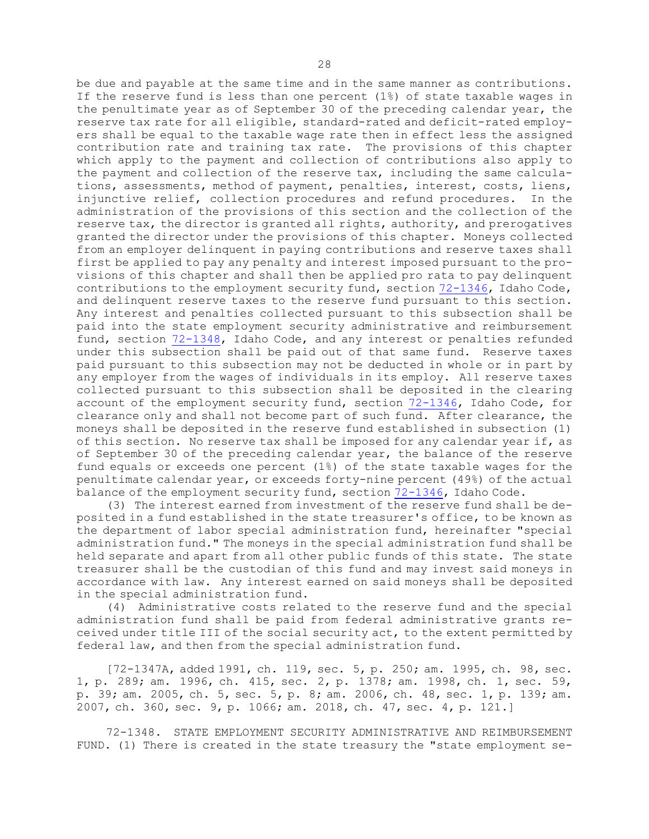be due and payable at the same time and in the same manner as contributions. If the reserve fund is less than one percent (1%) of state taxable wages in the penultimate year as of September 30 of the preceding calendar year, the reserve tax rate for all eligible, standard-rated and deficit-rated employers shall be equal to the taxable wage rate then in effect less the assigned contribution rate and training tax rate. The provisions of this chapter which apply to the payment and collection of contributions also apply to the payment and collection of the reserve tax, including the same calculations, assessments, method of payment, penalties, interest, costs, liens, injunctive relief, collection procedures and refund procedures. In the administration of the provisions of this section and the collection of the reserve tax, the director is granted all rights, authority, and prerogatives granted the director under the provisions of this chapter. Moneys collected from an employer delinquent in paying contributions and reserve taxes shall first be applied to pay any penalty and interest imposed pursuant to the provisions of this chapter and shall then be applied pro rata to pay delinquent contributions to the employment security fund, section [72-1346](https://legislature.idaho.gov/statutesrules/idstat/Title72/T72CH13/SECT72-1346), Idaho Code, and delinquent reserve taxes to the reserve fund pursuant to this section. Any interest and penalties collected pursuant to this subsection shall be paid into the state employment security administrative and reimbursement fund, section [72-1348](https://legislature.idaho.gov/statutesrules/idstat/Title72/T72CH13/SECT72-1348), Idaho Code, and any interest or penalties refunded under this subsection shall be paid out of that same fund. Reserve taxes paid pursuant to this subsection may not be deducted in whole or in part by any employer from the wages of individuals in its employ. All reserve taxes collected pursuant to this subsection shall be deposited in the clearing account of the employment security fund, section [72-1346](https://legislature.idaho.gov/statutesrules/idstat/Title72/T72CH13/SECT72-1346), Idaho Code, for clearance only and shall not become part of such fund. After clearance, the moneys shall be deposited in the reserve fund established in subsection (1) of this section. No reserve tax shall be imposed for any calendar year if, as of September 30 of the preceding calendar year, the balance of the reserve fund equals or exceeds one percent (1%) of the state taxable wages for the penultimate calendar year, or exceeds forty-nine percent (49%) of the actual balance of the employment security fund, section [72-1346](https://legislature.idaho.gov/statutesrules/idstat/Title72/T72CH13/SECT72-1346), Idaho Code.

(3) The interest earned from investment of the reserve fund shall be deposited in <sup>a</sup> fund established in the state treasurer's office, to be known as the department of labor special administration fund, hereinafter "special administration fund." The moneys in the special administration fund shall be held separate and apart from all other public funds of this state. The state treasurer shall be the custodian of this fund and may invest said moneys in accordance with law. Any interest earned on said moneys shall be deposited in the special administration fund.

(4) Administrative costs related to the reserve fund and the special administration fund shall be paid from federal administrative grants received under title III of the social security act, to the extent permitted by federal law, and then from the special administration fund.

[72-1347A, added 1991, ch. 119, sec. 5, p. 250; am. 1995, ch. 98, sec. 1, p. 289; am. 1996, ch. 415, sec. 2, p. 1378; am. 1998, ch. 1, sec. 59, p. 39; am. 2005, ch. 5, sec. 5, p. 8; am. 2006, ch. 48, sec. 1, p. 139; am. 2007, ch. 360, sec. 9, p. 1066; am. 2018, ch. 47, sec. 4, p. 121.]

72-1348. STATE EMPLOYMENT SECURITY ADMINISTRATIVE AND REIMBURSEMENT FUND. (1) There is created in the state treasury the "state employment se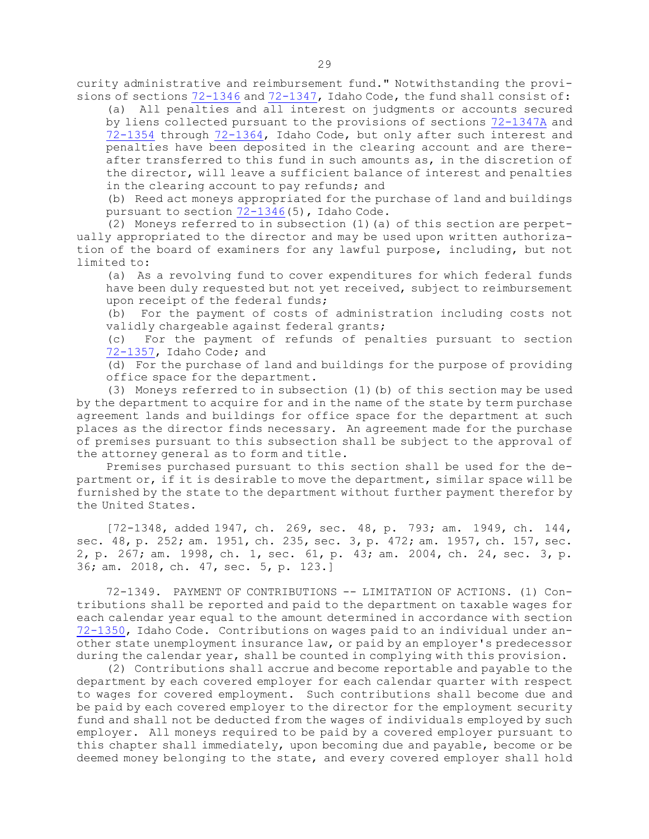curity administrative and reimbursement fund." Notwithstanding the provisions of sections [72-1346](https://legislature.idaho.gov/statutesrules/idstat/Title72/T72CH13/SECT72-1346) and [72-1347](https://legislature.idaho.gov/statutesrules/idstat/Title72/T72CH13/SECT72-1347), Idaho Code, the fund shall consist of:

(a) All penalties and all interest on judgments or accounts secured by liens collected pursuant to the provisions of sections [72-1347A](https://legislature.idaho.gov/statutesrules/idstat/Title72/T72CH13/SECT72-1347A) and [72-1354](https://legislature.idaho.gov/statutesrules/idstat/Title72/T72CH13/SECT72-1354) through [72-1364](https://legislature.idaho.gov/statutesrules/idstat/Title72/T72CH13/SECT72-1364), Idaho Code, but only after such interest and penalties have been deposited in the clearing account and are thereafter transferred to this fund in such amounts as, in the discretion of the director, will leave <sup>a</sup> sufficient balance of interest and penalties in the clearing account to pay refunds; and

(b) Reed act moneys appropriated for the purchase of land and buildings pursuant to section [72-1346](https://legislature.idaho.gov/statutesrules/idstat/Title72/T72CH13/SECT72-1346)(5), Idaho Code.

(2) Moneys referred to in subsection (1)(a) of this section are perpetually appropriated to the director and may be used upon written authorization of the board of examiners for any lawful purpose, including, but not limited to:

(a) As <sup>a</sup> revolving fund to cover expenditures for which federal funds have been duly requested but not yet received, subject to reimbursement upon receipt of the federal funds;

(b) For the payment of costs of administration including costs not validly chargeable against federal grants;

(c) For the payment of refunds of penalties pursuant to section [72-1357](https://legislature.idaho.gov/statutesrules/idstat/Title72/T72CH13/SECT72-1357), Idaho Code; and

(d) For the purchase of land and buildings for the purpose of providing office space for the department.

(3) Moneys referred to in subsection (1)(b) of this section may be used by the department to acquire for and in the name of the state by term purchase agreement lands and buildings for office space for the department at such places as the director finds necessary. An agreement made for the purchase of premises pursuant to this subsection shall be subject to the approval of the attorney general as to form and title.

Premises purchased pursuant to this section shall be used for the department or, if it is desirable to move the department, similar space will be furnished by the state to the department without further payment therefor by the United States.

[72-1348, added 1947, ch. 269, sec. 48, p. 793; am. 1949, ch. 144, sec. 48, p. 252; am. 1951, ch. 235, sec. 3, p. 472; am. 1957, ch. 157, sec. 2, p. 267; am. 1998, ch. 1, sec. 61, p. 43; am. 2004, ch. 24, sec. 3, p. 36; am. 2018, ch. 47, sec. 5, p. 123.]

72-1349. PAYMENT OF CONTRIBUTIONS -- LIMITATION OF ACTIONS. (1) Contributions shall be reported and paid to the department on taxable wages for each calendar year equal to the amount determined in accordance with section [72-1350](https://legislature.idaho.gov/statutesrules/idstat/Title72/T72CH13/SECT72-1350), Idaho Code. Contributions on wages paid to an individual under another state unemployment insurance law, or paid by an employer's predecessor during the calendar year, shall be counted in complying with this provision.

(2) Contributions shall accrue and become reportable and payable to the department by each covered employer for each calendar quarter with respect to wages for covered employment. Such contributions shall become due and be paid by each covered employer to the director for the employment security fund and shall not be deducted from the wages of individuals employed by such employer. All moneys required to be paid by <sup>a</sup> covered employer pursuant to this chapter shall immediately, upon becoming due and payable, become or be deemed money belonging to the state, and every covered employer shall hold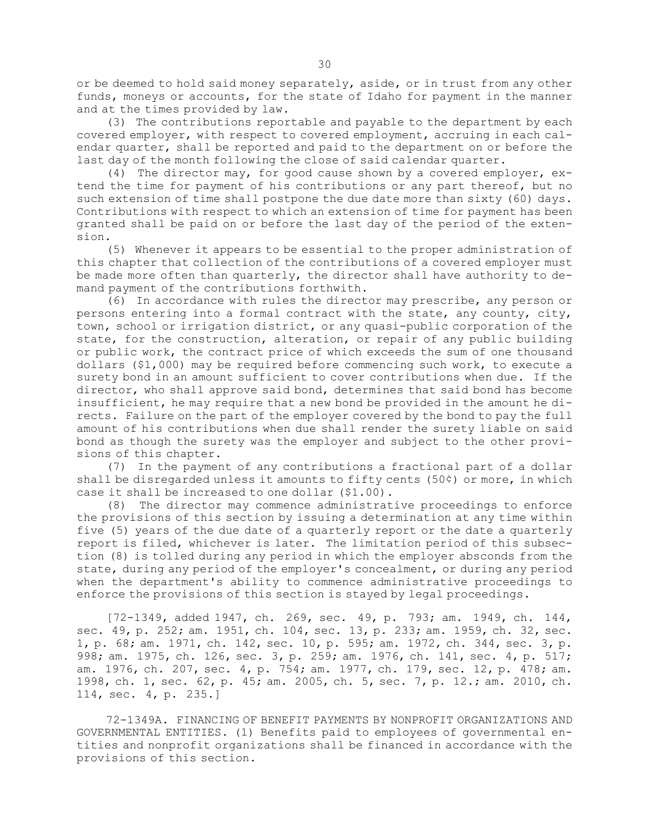or be deemed to hold said money separately, aside, or in trust from any other funds, moneys or accounts, for the state of Idaho for payment in the manner and at the times provided by law.

(3) The contributions reportable and payable to the department by each covered employer, with respect to covered employment, accruing in each calendar quarter, shall be reported and paid to the department on or before the last day of the month following the close of said calendar quarter.

(4) The director may, for good cause shown by <sup>a</sup> covered employer, extend the time for payment of his contributions or any part thereof, but no such extension of time shall postpone the due date more than sixty (60) days. Contributions with respect to which an extension of time for payment has been granted shall be paid on or before the last day of the period of the extension.

(5) Whenever it appears to be essential to the proper administration of this chapter that collection of the contributions of <sup>a</sup> covered employer must be made more often than quarterly, the director shall have authority to demand payment of the contributions forthwith.

(6) In accordance with rules the director may prescribe, any person or persons entering into <sup>a</sup> formal contract with the state, any county, city, town, school or irrigation district, or any quasi-public corporation of the state, for the construction, alteration, or repair of any public building or public work, the contract price of which exceeds the sum of one thousand dollars (\$1,000) may be required before commencing such work, to execute <sup>a</sup> surety bond in an amount sufficient to cover contributions when due. If the director, who shall approve said bond, determines that said bond has become insufficient, he may require that <sup>a</sup> new bond be provided in the amount he directs. Failure on the part of the employer covered by the bond to pay the full amount of his contributions when due shall render the surety liable on said bond as though the surety was the employer and subject to the other provisions of this chapter.

(7) In the payment of any contributions <sup>a</sup> fractional part of <sup>a</sup> dollar shall be disregarded unless it amounts to fifty cents (50¢) or more, in which case it shall be increased to one dollar (\$1.00).

(8) The director may commence administrative proceedings to enforce the provisions of this section by issuing <sup>a</sup> determination at any time within five (5) years of the due date of <sup>a</sup> quarterly report or the date <sup>a</sup> quarterly report is filed, whichever is later. The limitation period of this subsection (8) is tolled during any period in which the employer absconds from the state, during any period of the employer's concealment, or during any period when the department's ability to commence administrative proceedings to enforce the provisions of this section is stayed by legal proceedings.

[72-1349, added 1947, ch. 269, sec. 49, p. 793; am. 1949, ch. 144, sec. 49, p. 252; am. 1951, ch. 104, sec. 13, p. 233; am. 1959, ch. 32, sec. 1, p. 68; am. 1971, ch. 142, sec. 10, p. 595; am. 1972, ch. 344, sec. 3, p. 998; am. 1975, ch. 126, sec. 3, p. 259; am. 1976, ch. 141, sec. 4, p. 517; am. 1976, ch. 207, sec. 4, p. 754; am. 1977, ch. 179, sec. 12, p. 478; am. 1998, ch. 1, sec. 62, p. 45; am. 2005, ch. 5, sec. 7, p. 12.; am. 2010, ch. 114, sec. 4, p. 235.]

72-1349A. FINANCING OF BENEFIT PAYMENTS BY NONPROFIT ORGANIZATIONS AND GOVERNMENTAL ENTITIES. (1) Benefits paid to employees of governmental entities and nonprofit organizations shall be financed in accordance with the provisions of this section.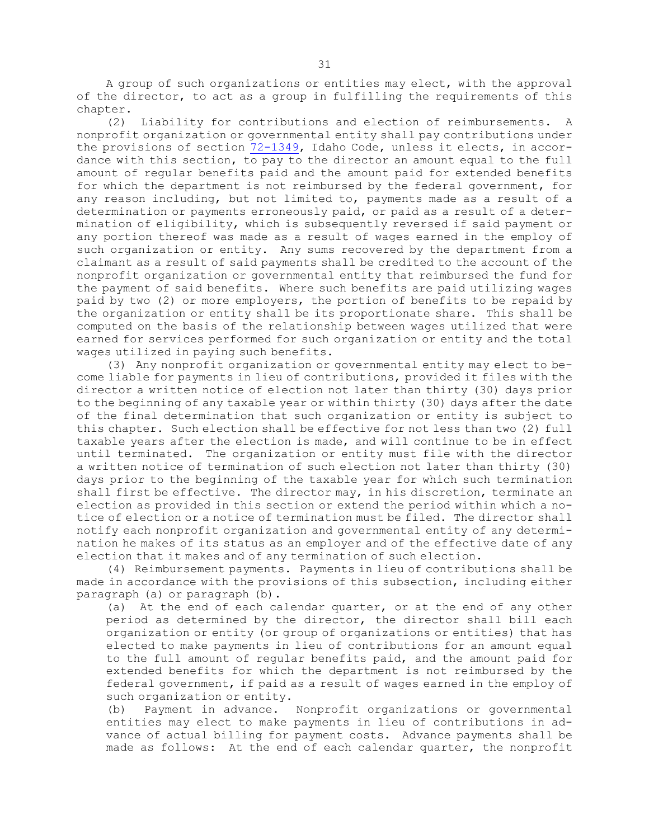<sup>A</sup> group of such organizations or entities may elect, with the approval of the director, to act as <sup>a</sup> group in fulfilling the requirements of this chapter.

(2) Liability for contributions and election of reimbursements. <sup>A</sup> nonprofit organization or governmental entity shall pay contributions under the provisions of section [72-1349](https://legislature.idaho.gov/statutesrules/idstat/Title72/T72CH13/SECT72-1349), Idaho Code, unless it elects, in accordance with this section, to pay to the director an amount equal to the full amount of regular benefits paid and the amount paid for extended benefits for which the department is not reimbursed by the federal government, for any reason including, but not limited to, payments made as <sup>a</sup> result of <sup>a</sup> determination or payments erroneously paid, or paid as <sup>a</sup> result of <sup>a</sup> determination of eligibility, which is subsequently reversed if said payment or any portion thereof was made as <sup>a</sup> result of wages earned in the employ of such organization or entity. Any sums recovered by the department from <sup>a</sup> claimant as <sup>a</sup> result of said payments shall be credited to the account of the nonprofit organization or governmental entity that reimbursed the fund for the payment of said benefits. Where such benefits are paid utilizing wages paid by two (2) or more employers, the portion of benefits to be repaid by the organization or entity shall be its proportionate share. This shall be computed on the basis of the relationship between wages utilized that were earned for services performed for such organization or entity and the total wages utilized in paying such benefits.

(3) Any nonprofit organization or governmental entity may elect to become liable for payments in lieu of contributions, provided it files with the director <sup>a</sup> written notice of election not later than thirty (30) days prior to the beginning of any taxable year or within thirty (30) days after the date of the final determination that such organization or entity is subject to this chapter. Such election shall be effective for not less than two (2) full taxable years after the election is made, and will continue to be in effect until terminated. The organization or entity must file with the director <sup>a</sup> written notice of termination of such election not later than thirty (30) days prior to the beginning of the taxable year for which such termination shall first be effective. The director may, in his discretion, terminate an election as provided in this section or extend the period within which <sup>a</sup> notice of election or <sup>a</sup> notice of termination must be filed. The director shall notify each nonprofit organization and governmental entity of any determination he makes of its status as an employer and of the effective date of any election that it makes and of any termination of such election.

(4) Reimbursement payments. Payments in lieu of contributions shall be made in accordance with the provisions of this subsection, including either paragraph (a) or paragraph (b).

(a) At the end of each calendar quarter, or at the end of any other period as determined by the director, the director shall bill each organization or entity (or group of organizations or entities) that has elected to make payments in lieu of contributions for an amount equal to the full amount of regular benefits paid, and the amount paid for extended benefits for which the department is not reimbursed by the federal government, if paid as <sup>a</sup> result of wages earned in the employ of such organization or entity.

(b) Payment in advance. Nonprofit organizations or governmental entities may elect to make payments in lieu of contributions in advance of actual billing for payment costs. Advance payments shall be made as follows: At the end of each calendar quarter, the nonprofit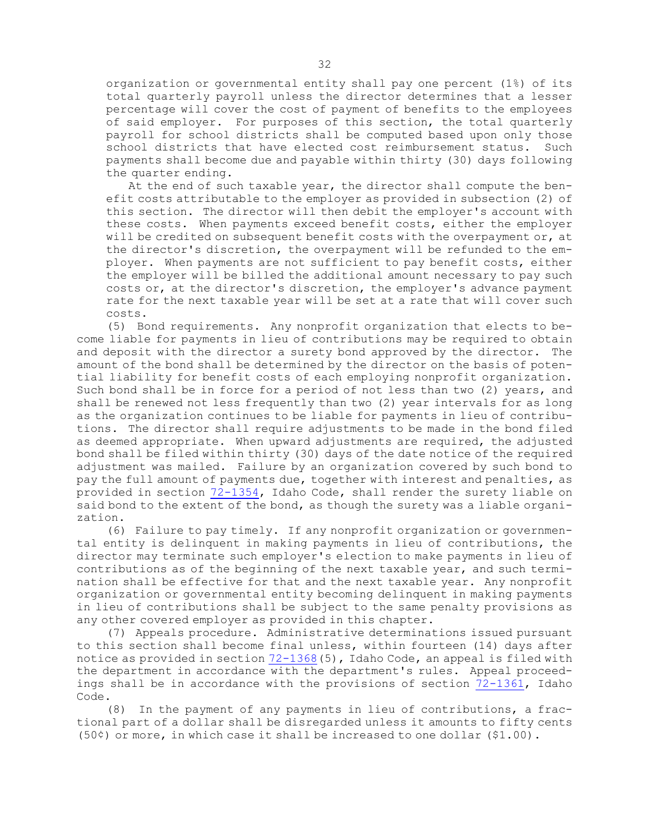organization or governmental entity shall pay one percent (1%) of its total quarterly payroll unless the director determines that <sup>a</sup> lesser percentage will cover the cost of payment of benefits to the employees of said employer. For purposes of this section, the total quarterly payroll for school districts shall be computed based upon only those school districts that have elected cost reimbursement status. Such payments shall become due and payable within thirty (30) days following the quarter ending.

At the end of such taxable year, the director shall compute the benefit costs attributable to the employer as provided in subsection (2) of this section. The director will then debit the employer's account with these costs. When payments exceed benefit costs, either the employer will be credited on subsequent benefit costs with the overpayment or, at the director's discretion, the overpayment will be refunded to the employer. When payments are not sufficient to pay benefit costs, either the employer will be billed the additional amount necessary to pay such costs or, at the director's discretion, the employer's advance payment rate for the next taxable year will be set at <sup>a</sup> rate that will cover such costs.

(5) Bond requirements. Any nonprofit organization that elects to become liable for payments in lieu of contributions may be required to obtain and deposit with the director <sup>a</sup> surety bond approved by the director. The amount of the bond shall be determined by the director on the basis of potential liability for benefit costs of each employing nonprofit organization. Such bond shall be in force for <sup>a</sup> period of not less than two (2) years, and shall be renewed not less frequently than two (2) year intervals for as long as the organization continues to be liable for payments in lieu of contributions. The director shall require adjustments to be made in the bond filed as deemed appropriate. When upward adjustments are required, the adjusted bond shall be filed within thirty (30) days of the date notice of the required adjustment was mailed. Failure by an organization covered by such bond to pay the full amount of payments due, together with interest and penalties, as provided in section [72-1354](https://legislature.idaho.gov/statutesrules/idstat/Title72/T72CH13/SECT72-1354), Idaho Code, shall render the surety liable on said bond to the extent of the bond, as though the surety was a liable organization.

(6) Failure to pay timely. If any nonprofit organization or governmental entity is delinquent in making payments in lieu of contributions, the director may terminate such employer's election to make payments in lieu of contributions as of the beginning of the next taxable year, and such termination shall be effective for that and the next taxable year. Any nonprofit organization or governmental entity becoming delinquent in making payments in lieu of contributions shall be subject to the same penalty provisions as any other covered employer as provided in this chapter.

(7) Appeals procedure. Administrative determinations issued pursuant to this section shall become final unless, within fourteen (14) days after notice as provided in section  $72-1368(5)$  $72-1368(5)$ , Idaho Code, an appeal is filed with the department in accordance with the department's rules. Appeal proceedings shall be in accordance with the provisions of section [72-1361](https://legislature.idaho.gov/statutesrules/idstat/Title72/T72CH13/SECT72-1361), Idaho Code.

(8) In the payment of any payments in lieu of contributions, <sup>a</sup> fractional part of <sup>a</sup> dollar shall be disregarded unless it amounts to fifty cents (50¢) or more, in which case it shall be increased to one dollar (\$1.00).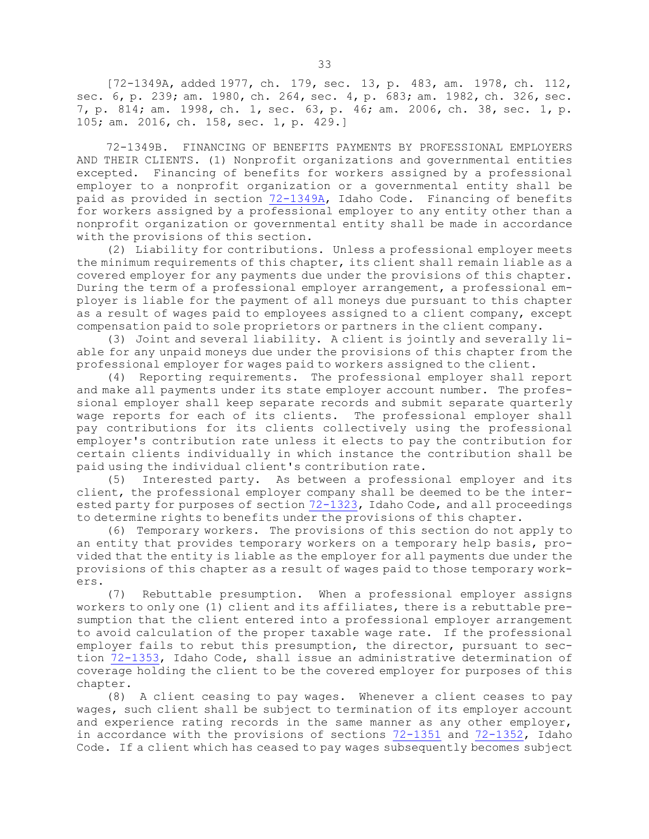[72-1349A, added 1977, ch. 179, sec. 13, p. 483, am. 1978, ch. 112, sec. 6, p. 239; am. 1980, ch. 264, sec. 4, p. 683; am. 1982, ch. 326, sec. 7, p. 814; am. 1998, ch. 1, sec. 63, p. 46; am. 2006, ch. 38, sec. 1, p. 105; am. 2016, ch. 158, sec. 1, p. 429.]

72-1349B. FINANCING OF BENEFITS PAYMENTS BY PROFESSIONAL EMPLOYERS AND THEIR CLIENTS. (1) Nonprofit organizations and governmental entities excepted. Financing of benefits for workers assigned by <sup>a</sup> professional employer to <sup>a</sup> nonprofit organization or <sup>a</sup> governmental entity shall be paid as provided in section [72-1349A](https://legislature.idaho.gov/statutesrules/idstat/Title72/T72CH13/SECT72-1349A), Idaho Code. Financing of benefits for workers assigned by <sup>a</sup> professional employer to any entity other than <sup>a</sup> nonprofit organization or governmental entity shall be made in accordance with the provisions of this section.

(2) Liability for contributions. Unless <sup>a</sup> professional employer meets the minimum requirements of this chapter, its client shall remain liable as <sup>a</sup> covered employer for any payments due under the provisions of this chapter. During the term of <sup>a</sup> professional employer arrangement, <sup>a</sup> professional employer is liable for the payment of all moneys due pursuant to this chapter as <sup>a</sup> result of wages paid to employees assigned to <sup>a</sup> client company, except compensation paid to sole proprietors or partners in the client company.

(3) Joint and several liability. <sup>A</sup> client is jointly and severally liable for any unpaid moneys due under the provisions of this chapter from the professional employer for wages paid to workers assigned to the client.

(4) Reporting requirements. The professional employer shall report and make all payments under its state employer account number. The professional employer shall keep separate records and submit separate quarterly wage reports for each of its clients. The professional employer shall pay contributions for its clients collectively using the professional employer's contribution rate unless it elects to pay the contribution for certain clients individually in which instance the contribution shall be paid using the individual client's contribution rate.

(5) Interested party. As between <sup>a</sup> professional employer and its client, the professional employer company shall be deemed to be the interested party for purposes of section [72-1323](https://legislature.idaho.gov/statutesrules/idstat/Title72/T72CH13/SECT72-1323), Idaho Code, and all proceedings to determine rights to benefits under the provisions of this chapter.

(6) Temporary workers. The provisions of this section do not apply to an entity that provides temporary workers on <sup>a</sup> temporary help basis, provided that the entity is liable as the employer for all payments due under the provisions of this chapter as <sup>a</sup> result of wages paid to those temporary workers.

(7) Rebuttable presumption. When <sup>a</sup> professional employer assigns workers to only one (1) client and its affiliates, there is <sup>a</sup> rebuttable presumption that the client entered into <sup>a</sup> professional employer arrangement to avoid calculation of the proper taxable wage rate. If the professional employer fails to rebut this presumption, the director, pursuant to section [72-1353](https://legislature.idaho.gov/statutesrules/idstat/Title72/T72CH13/SECT72-1353), Idaho Code, shall issue an administrative determination of coverage holding the client to be the covered employer for purposes of this chapter.

(8) <sup>A</sup> client ceasing to pay wages. Whenever <sup>a</sup> client ceases to pay wages, such client shall be subject to termination of its employer account and experience rating records in the same manner as any other employer, in accordance with the provisions of sections [72-1351](https://legislature.idaho.gov/statutesrules/idstat/Title72/T72CH13/SECT72-1351) and [72-1352](https://legislature.idaho.gov/statutesrules/idstat/Title72/T72CH13/SECT72-1352), Idaho Code. If <sup>a</sup> client which has ceased to pay wages subsequently becomes subject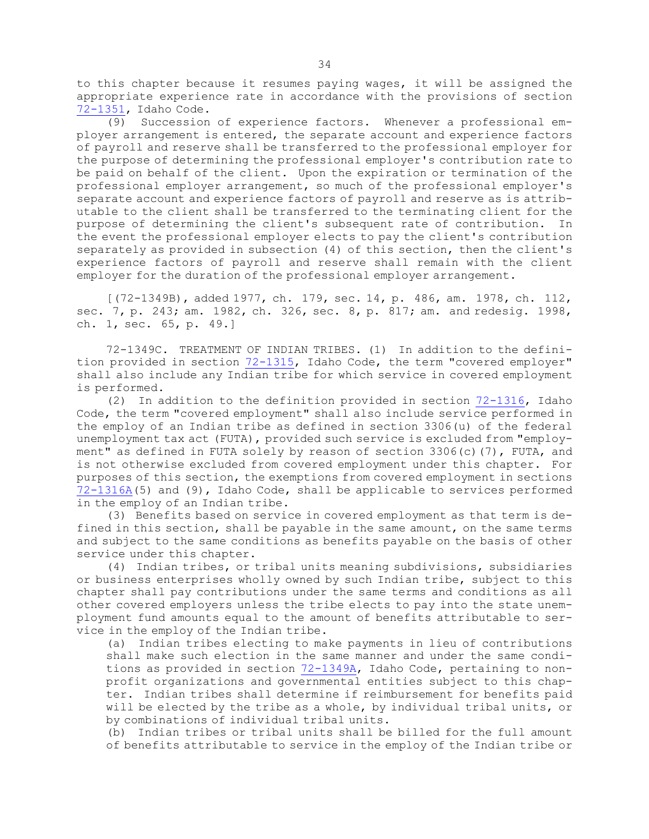to this chapter because it resumes paying wages, it will be assigned the appropriate experience rate in accordance with the provisions of section [72-1351](https://legislature.idaho.gov/statutesrules/idstat/Title72/T72CH13/SECT72-1351), Idaho Code.

(9) Succession of experience factors. Whenever <sup>a</sup> professional employer arrangement is entered, the separate account and experience factors of payroll and reserve shall be transferred to the professional employer for the purpose of determining the professional employer's contribution rate to be paid on behalf of the client. Upon the expiration or termination of the professional employer arrangement, so much of the professional employer's separate account and experience factors of payroll and reserve as is attributable to the client shall be transferred to the terminating client for the purpose of determining the client's subsequent rate of contribution. In the event the professional employer elects to pay the client's contribution separately as provided in subsection (4) of this section, then the client's experience factors of payroll and reserve shall remain with the client employer for the duration of the professional employer arrangement.

[(72-1349B), added 1977, ch. 179, sec. 14, p. 486, am. 1978, ch. 112, sec. 7, p. 243; am. 1982, ch. 326, sec. 8, p. 817; am. and redesig. 1998, ch. 1, sec. 65, p. 49.]

72-1349C. TREATMENT OF INDIAN TRIBES. (1) In addition to the definition provided in section [72-1315](https://legislature.idaho.gov/statutesrules/idstat/Title72/T72CH13/SECT72-1315), Idaho Code, the term "covered employer" shall also include any Indian tribe for which service in covered employment is performed.

(2) In addition to the definition provided in section [72-1316](https://legislature.idaho.gov/statutesrules/idstat/Title72/T72CH13/SECT72-1316), Idaho Code, the term "covered employment" shall also include service performed in the employ of an Indian tribe as defined in section 3306(u) of the federal unemployment tax act (FUTA), provided such service is excluded from "employment" as defined in FUTA solely by reason of section 3306(c)(7), FUTA, and is not otherwise excluded from covered employment under this chapter. For purposes of this section, the exemptions from covered employment in sections [72-1316A](https://legislature.idaho.gov/statutesrules/idstat/Title72/T72CH13/SECT72-1316A)(5) and (9), Idaho Code, shall be applicable to services performed in the employ of an Indian tribe.

(3) Benefits based on service in covered employment as that term is defined in this section, shall be payable in the same amount, on the same terms and subject to the same conditions as benefits payable on the basis of other service under this chapter.

(4) Indian tribes, or tribal units meaning subdivisions, subsidiaries or business enterprises wholly owned by such Indian tribe, subject to this chapter shall pay contributions under the same terms and conditions as all other covered employers unless the tribe elects to pay into the state unemployment fund amounts equal to the amount of benefits attributable to service in the employ of the Indian tribe.

(a) Indian tribes electing to make payments in lieu of contributions shall make such election in the same manner and under the same conditions as provided in section [72-1349A](https://legislature.idaho.gov/statutesrules/idstat/Title72/T72CH13/SECT72-1349A), Idaho Code, pertaining to nonprofit organizations and governmental entities subject to this chapter. Indian tribes shall determine if reimbursement for benefits paid will be elected by the tribe as <sup>a</sup> whole, by individual tribal units, or by combinations of individual tribal units.

(b) Indian tribes or tribal units shall be billed for the full amount of benefits attributable to service in the employ of the Indian tribe or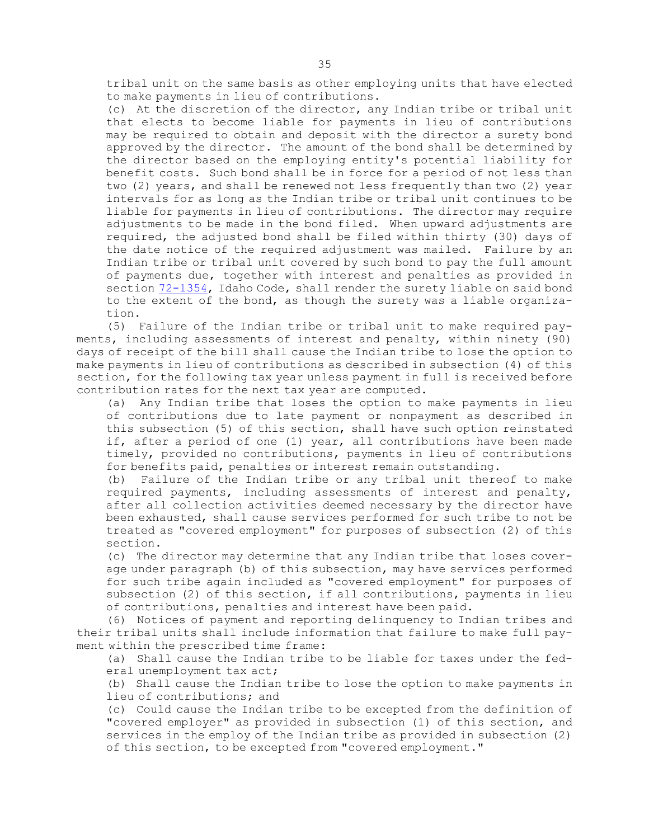tribal unit on the same basis as other employing units that have elected to make payments in lieu of contributions.

(c) At the discretion of the director, any Indian tribe or tribal unit that elects to become liable for payments in lieu of contributions may be required to obtain and deposit with the director <sup>a</sup> surety bond approved by the director. The amount of the bond shall be determined by the director based on the employing entity's potential liability for benefit costs. Such bond shall be in force for <sup>a</sup> period of not less than two (2) years, and shall be renewed not less frequently than two (2) year intervals for as long as the Indian tribe or tribal unit continues to be liable for payments in lieu of contributions. The director may require adjustments to be made in the bond filed. When upward adjustments are required, the adjusted bond shall be filed within thirty (30) days of the date notice of the required adjustment was mailed. Failure by an Indian tribe or tribal unit covered by such bond to pay the full amount of payments due, together with interest and penalties as provided in section [72-1354](https://legislature.idaho.gov/statutesrules/idstat/Title72/T72CH13/SECT72-1354), Idaho Code, shall render the surety liable on said bond to the extent of the bond, as though the surety was <sup>a</sup> liable organization.

(5) Failure of the Indian tribe or tribal unit to make required payments, including assessments of interest and penalty, within ninety (90) days of receipt of the bill shall cause the Indian tribe to lose the option to make payments in lieu of contributions as described in subsection (4) of this section, for the following tax year unless payment in full is received before contribution rates for the next tax year are computed.

(a) Any Indian tribe that loses the option to make payments in lieu of contributions due to late payment or nonpayment as described in this subsection (5) of this section, shall have such option reinstated if, after <sup>a</sup> period of one (1) year, all contributions have been made timely, provided no contributions, payments in lieu of contributions for benefits paid, penalties or interest remain outstanding.

(b) Failure of the Indian tribe or any tribal unit thereof to make required payments, including assessments of interest and penalty, after all collection activities deemed necessary by the director have been exhausted, shall cause services performed for such tribe to not be treated as "covered employment" for purposes of subsection (2) of this section.

(c) The director may determine that any Indian tribe that loses coverage under paragraph (b) of this subsection, may have services performed for such tribe again included as "covered employment" for purposes of subsection (2) of this section, if all contributions, payments in lieu of contributions, penalties and interest have been paid.

(6) Notices of payment and reporting delinquency to Indian tribes and their tribal units shall include information that failure to make full payment within the prescribed time frame:

(a) Shall cause the Indian tribe to be liable for taxes under the federal unemployment tax act;

(b) Shall cause the Indian tribe to lose the option to make payments in lieu of contributions; and

(c) Could cause the Indian tribe to be excepted from the definition of "covered employer" as provided in subsection (1) of this section, and services in the employ of the Indian tribe as provided in subsection (2) of this section, to be excepted from "covered employment."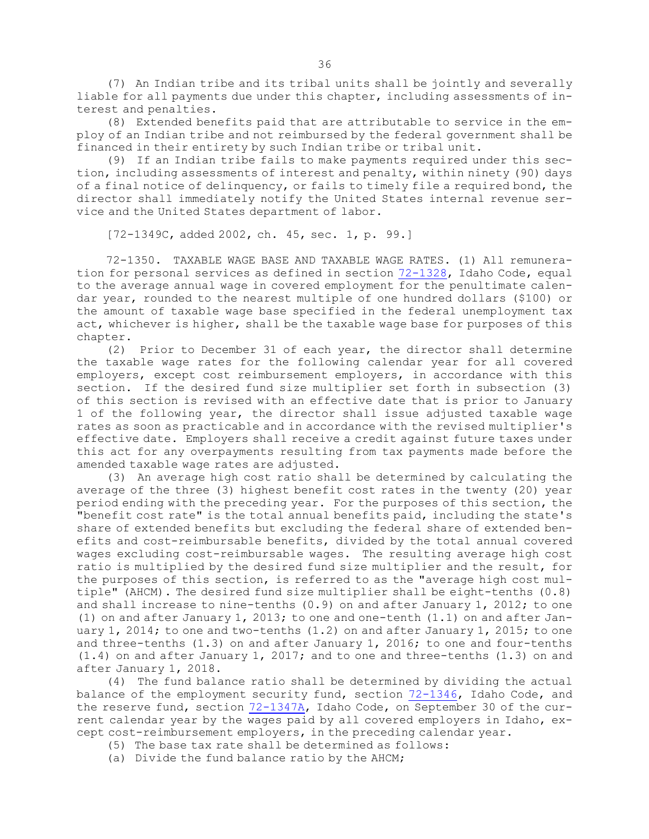(7) An Indian tribe and its tribal units shall be jointly and severally liable for all payments due under this chapter, including assessments of interest and penalties.

(8) Extended benefits paid that are attributable to service in the employ of an Indian tribe and not reimbursed by the federal government shall be financed in their entirety by such Indian tribe or tribal unit.

(9) If an Indian tribe fails to make payments required under this section, including assessments of interest and penalty, within ninety (90) days of <sup>a</sup> final notice of delinquency, or fails to timely file <sup>a</sup> required bond, the director shall immediately notify the United States internal revenue service and the United States department of labor.

[72-1349C, added 2002, ch. 45, sec. 1, p. 99.]

72-1350. TAXABLE WAGE BASE AND TAXABLE WAGE RATES. (1) All remuneration for personal services as defined in section [72-1328](https://legislature.idaho.gov/statutesrules/idstat/Title72/T72CH13/SECT72-1328), Idaho Code, equal to the average annual wage in covered employment for the penultimate calendar year, rounded to the nearest multiple of one hundred dollars (\$100) or the amount of taxable wage base specified in the federal unemployment tax act, whichever is higher, shall be the taxable wage base for purposes of this chapter.

(2) Prior to December 31 of each year, the director shall determine the taxable wage rates for the following calendar year for all covered employers, except cost reimbursement employers, in accordance with this section. If the desired fund size multiplier set forth in subsection (3) of this section is revised with an effective date that is prior to January 1 of the following year, the director shall issue adjusted taxable wage rates as soon as practicable and in accordance with the revised multiplier's effective date. Employers shall receive <sup>a</sup> credit against future taxes under this act for any overpayments resulting from tax payments made before the amended taxable wage rates are adjusted.

(3) An average high cost ratio shall be determined by calculating the average of the three (3) highest benefit cost rates in the twenty (20) year period ending with the preceding year. For the purposes of this section, the "benefit cost rate" is the total annual benefits paid, including the state's share of extended benefits but excluding the federal share of extended benefits and cost-reimbursable benefits, divided by the total annual covered wages excluding cost-reimbursable wages. The resulting average high cost ratio is multiplied by the desired fund size multiplier and the result, for the purposes of this section, is referred to as the "average high cost multiple" (AHCM). The desired fund size multiplier shall be eight-tenths (0.8) and shall increase to nine-tenths (0.9) on and after January 1, 2012; to one (1) on and after January 1, 2013; to one and one-tenth (1.1) on and after January 1, 2014; to one and two-tenths (1.2) on and after January 1, 2015; to one and three-tenths (1.3) on and after January 1, 2016; to one and four-tenths (1.4) on and after January 1, 2017; and to one and three-tenths (1.3) on and after January 1, 2018.

(4) The fund balance ratio shall be determined by dividing the actual balance of the employment security fund, section [72-1346](https://legislature.idaho.gov/statutesrules/idstat/Title72/T72CH13/SECT72-1346), Idaho Code, and the reserve fund, section [72-1347A](https://legislature.idaho.gov/statutesrules/idstat/Title72/T72CH13/SECT72-1347A), Idaho Code, on September 30 of the current calendar year by the wages paid by all covered employers in Idaho, except cost-reimbursement employers, in the preceding calendar year.

- (5) The base tax rate shall be determined as follows:
- (a) Divide the fund balance ratio by the AHCM;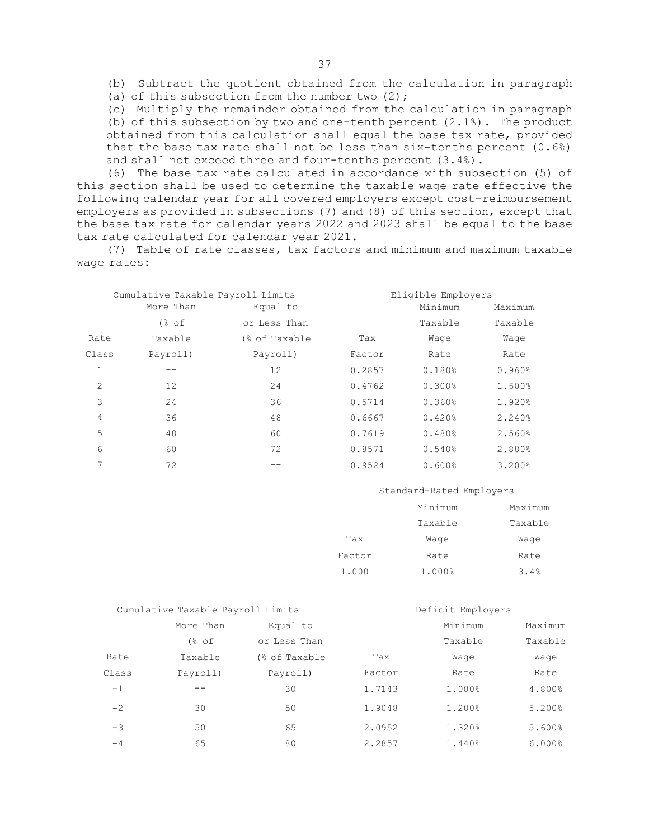(b) Subtract the quotient obtained from the calculation in paragraph (a) of this subsection from the number two  $(2)$ ;

(c) Multiply the remainder obtained from the calculation in paragraph (b) of this subsection by two and one-tenth percent (2.1%). The product obtained from this calculation shall equal the base tax rate, provided that the base tax rate shall not be less than six-tenths percent (0.6%) and shall not exceed three and four-tenths percent (3.4%).

(6) The base tax rate calculated in accordance with subsection (5) of this section shall be used to determine the taxable wage rate effective the following calendar year for all covered employers except cost-reimbursement employers as provided in subsections (7) and (8) of this section, except that the base tax rate for calendar years 2022 and 2023 shall be equal to the base tax rate calculated for calendar year 2021.

(7) Table of rate classes, tax factors and minimum and maximum taxable wage rates:

|              | Cumulative Taxable Payroll Limits |               |        | Eligible Employers |         |  |  |  |
|--------------|-----------------------------------|---------------|--------|--------------------|---------|--|--|--|
|              | More Than                         | Equal to      |        | Minimum            | Maximum |  |  |  |
|              | $\frac{8}{6}$ of                  | or Less Than  |        | Taxable            | Taxable |  |  |  |
| Rate         | Taxable                           | (% of Taxable | Tax    | Waqe               | Waqe    |  |  |  |
| Class        | Payroll)                          | Payroll)      | Factor | Rate               | Rate    |  |  |  |
| $\mathbf{1}$ |                                   | 12            | 0.2857 | 0.180%             | 0.960%  |  |  |  |
| 2            | 12                                | 24            | 0.4762 | 0.300%             | 1.600%  |  |  |  |
| 3            | 24                                | 36            | 0.5714 | 0.360%             | 1.920%  |  |  |  |
| 4            | 36                                | 48            | 0.6667 | 0.420%             | 2.240%  |  |  |  |
| 5            | 48                                | 60            | 0.7619 | 0.480%             | 2.560%  |  |  |  |
| 6            | 60                                | 72            | 0.8571 | 0.540%             | 2.880%  |  |  |  |
| 7            | 72                                |               | 0.9524 | 0.600%             | 3.200%  |  |  |  |

## Standard-Rated Employers

|        | Minimum | Maximum |
|--------|---------|---------|
|        | Taxable | Taxable |
| Tax    | Waqe    | Waqe    |
| Factor | Rate    | Rate    |
| 1.000  | 1.000%  | 3.4%    |

| Cumulative Taxable Payroll Limits |                  | Deficit Employers |        |         |         |
|-----------------------------------|------------------|-------------------|--------|---------|---------|
|                                   | More Than        | Equal to          |        | Minimum | Maximum |
|                                   | $\frac{8}{6}$ of | or Less Than      |        | Taxable | Taxable |
| Rate                              | Taxable          | (% of Taxable     | Tax    | Waqe    | Waqe    |
| Class                             | Payroll)         | Payroll)          | Factor | Rate    | Rate    |
| $-1$                              |                  | 30                | 1.7143 | 1.080%  | 4.800%  |
| $-2$                              | 30               | 50                | 1.9048 | 1.200%  | 5.200%  |
| $-3$                              | 50               | 65                | 2.0952 | 1.320%  | 5.600%  |
| $-4$                              | 65               | 80                | 2.2857 | 1.440%  | 6.000%  |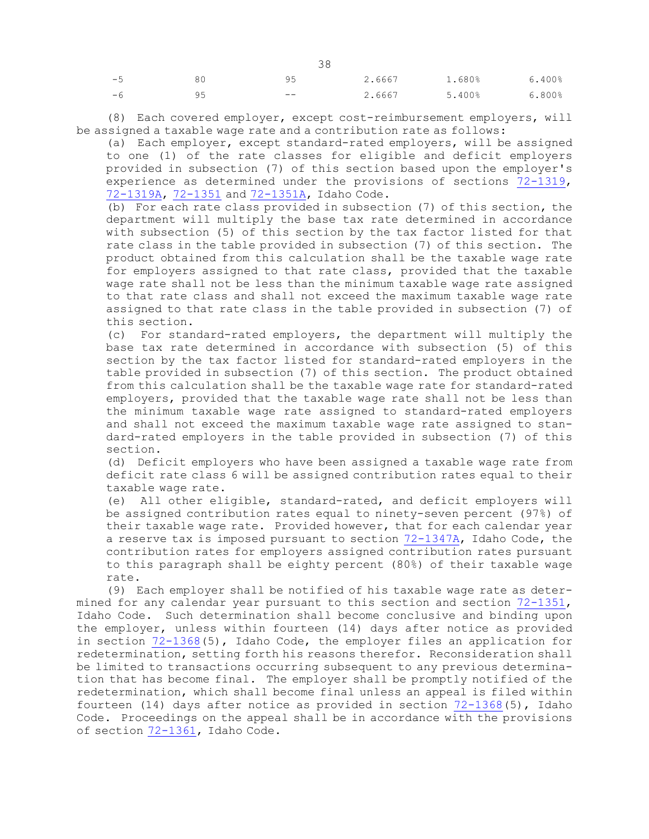| $-5$ |    | 95    | 2.6667 | 1.680% | 6.400% |
|------|----|-------|--------|--------|--------|
| $-6$ | 95 | $- -$ | 2.6667 | 5.400% | 6.800% |

(8) Each covered employer, except cost-reimbursement employers, will be assigned <sup>a</sup> taxable wage rate and <sup>a</sup> contribution rate as follows:

(a) Each employer, except standard-rated employers, will be assigned to one (1) of the rate classes for eligible and deficit employers provided in subsection (7) of this section based upon the employer's experience as determined under the provisions of sections [72-1319](https://legislature.idaho.gov/statutesrules/idstat/Title72/T72CH13/SECT72-1319), [72-1319A](https://legislature.idaho.gov/statutesrules/idstat/Title72/T72CH13/SECT72-1319A), [72-1351](https://legislature.idaho.gov/statutesrules/idstat/Title72/T72CH13/SECT72-1351) and [72-1351A](https://legislature.idaho.gov/statutesrules/idstat/Title72/T72CH13/SECT72-1351A), Idaho Code.

(b) For each rate class provided in subsection (7) of this section, the department will multiply the base tax rate determined in accordance with subsection (5) of this section by the tax factor listed for that rate class in the table provided in subsection (7) of this section. The product obtained from this calculation shall be the taxable wage rate for employers assigned to that rate class, provided that the taxable wage rate shall not be less than the minimum taxable wage rate assigned to that rate class and shall not exceed the maximum taxable wage rate assigned to that rate class in the table provided in subsection (7) of this section.

(c) For standard-rated employers, the department will multiply the base tax rate determined in accordance with subsection (5) of this section by the tax factor listed for standard-rated employers in the table provided in subsection (7) of this section. The product obtained from this calculation shall be the taxable wage rate for standard-rated employers, provided that the taxable wage rate shall not be less than the minimum taxable wage rate assigned to standard-rated employers and shall not exceed the maximum taxable wage rate assigned to standard-rated employers in the table provided in subsection (7) of this section.

(d) Deficit employers who have been assigned <sup>a</sup> taxable wage rate from deficit rate class 6 will be assigned contribution rates equal to their taxable wage rate.

(e) All other eligible, standard-rated, and deficit employers will be assigned contribution rates equal to ninety-seven percent (97%) of their taxable wage rate. Provided however, that for each calendar year <sup>a</sup> reserve tax is imposed pursuant to section [72-1347A](https://legislature.idaho.gov/statutesrules/idstat/Title72/T72CH13/SECT72-1347A), Idaho Code, the contribution rates for employers assigned contribution rates pursuant to this paragraph shall be eighty percent (80%) of their taxable wage rate.

(9) Each employer shall be notified of his taxable wage rate as determined for any calendar year pursuant to this section and section [72-1351](https://legislature.idaho.gov/statutesrules/idstat/Title72/T72CH13/SECT72-1351), Idaho Code. Such determination shall become conclusive and binding upon the employer, unless within fourteen (14) days after notice as provided in section [72-1368](https://legislature.idaho.gov/statutesrules/idstat/Title72/T72CH13/SECT72-1368)(5), Idaho Code, the employer files an application for redetermination, setting forth his reasons therefor. Reconsideration shall be limited to transactions occurring subsequent to any previous determination that has become final. The employer shall be promptly notified of the redetermination, which shall become final unless an appeal is filed within fourteen (14) days after notice as provided in section [72-1368](https://legislature.idaho.gov/statutesrules/idstat/Title72/T72CH13/SECT72-1368)(5), Idaho Code. Proceedings on the appeal shall be in accordance with the provisions of section [72-1361](https://legislature.idaho.gov/statutesrules/idstat/Title72/T72CH13/SECT72-1361), Idaho Code.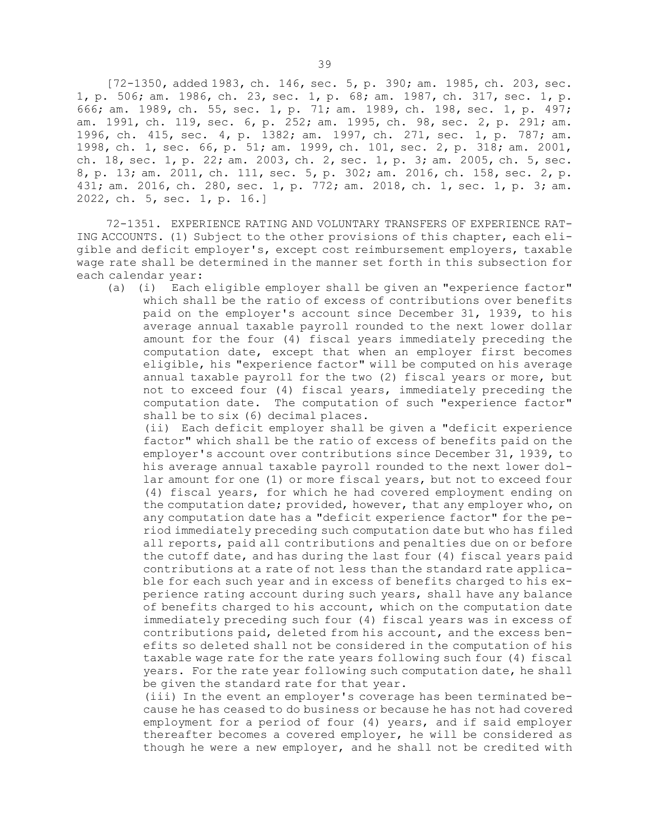[72-1350, added 1983, ch. 146, sec. 5, p. 390; am. 1985, ch. 203, sec. 1, p. 506; am. 1986, ch. 23, sec. 1, p. 68; am. 1987, ch. 317, sec. 1, p. 666; am. 1989, ch. 55, sec. 1, p. 71; am. 1989, ch. 198, sec. 1, p. 497; am. 1991, ch. 119, sec. 6, p. 252; am. 1995, ch. 98, sec. 2, p. 291; am. 1996, ch. 415, sec. 4, p. 1382; am. 1997, ch. 271, sec. 1, p. 787; am. 1998, ch. 1, sec. 66, p. 51; am. 1999, ch. 101, sec. 2, p. 318; am. 2001, ch. 18, sec. 1, p. 22; am. 2003, ch. 2, sec. 1, p. 3; am. 2005, ch. 5, sec. 8, p. 13; am. 2011, ch. 111, sec. 5, p. 302; am. 2016, ch. 158, sec. 2, p. 431; am. 2016, ch. 280, sec. 1, p. 772; am. 2018, ch. 1, sec. 1, p. 3; am. 2022, ch. 5, sec. 1, p. 16.]

72-1351. EXPERIENCE RATING AND VOLUNTARY TRANSFERS OF EXPERIENCE RAT-ING ACCOUNTS. (1) Subject to the other provisions of this chapter, each eligible and deficit employer's, except cost reimbursement employers, taxable wage rate shall be determined in the manner set forth in this subsection for each calendar year:

(a) (i) Each eligible employer shall be given an "experience factor" which shall be the ratio of excess of contributions over benefits paid on the employer's account since December 31, 1939, to his average annual taxable payroll rounded to the next lower dollar amount for the four (4) fiscal years immediately preceding the computation date, except that when an employer first becomes eligible, his "experience factor" will be computed on his average annual taxable payroll for the two (2) fiscal years or more, but not to exceed four (4) fiscal years, immediately preceding the computation date. The computation of such "experience factor" shall be to six (6) decimal places.

(ii) Each deficit employer shall be given <sup>a</sup> "deficit experience factor" which shall be the ratio of excess of benefits paid on the employer's account over contributions since December 31, 1939, to his average annual taxable payroll rounded to the next lower dollar amount for one (1) or more fiscal years, but not to exceed four (4) fiscal years, for which he had covered employment ending on the computation date; provided, however, that any employer who, on any computation date has <sup>a</sup> "deficit experience factor" for the period immediately preceding such computation date but who has filed all reports, paid all contributions and penalties due on or before the cutoff date, and has during the last four (4) fiscal years paid contributions at <sup>a</sup> rate of not less than the standard rate applicable for each such year and in excess of benefits charged to his experience rating account during such years, shall have any balance of benefits charged to his account, which on the computation date immediately preceding such four (4) fiscal years was in excess of contributions paid, deleted from his account, and the excess benefits so deleted shall not be considered in the computation of his taxable wage rate for the rate years following such four (4) fiscal years. For the rate year following such computation date, he shall be given the standard rate for that year.

(iii) In the event an employer's coverage has been terminated because he has ceased to do business or because he has not had covered employment for <sup>a</sup> period of four (4) years, and if said employer thereafter becomes <sup>a</sup> covered employer, he will be considered as though he were <sup>a</sup> new employer, and he shall not be credited with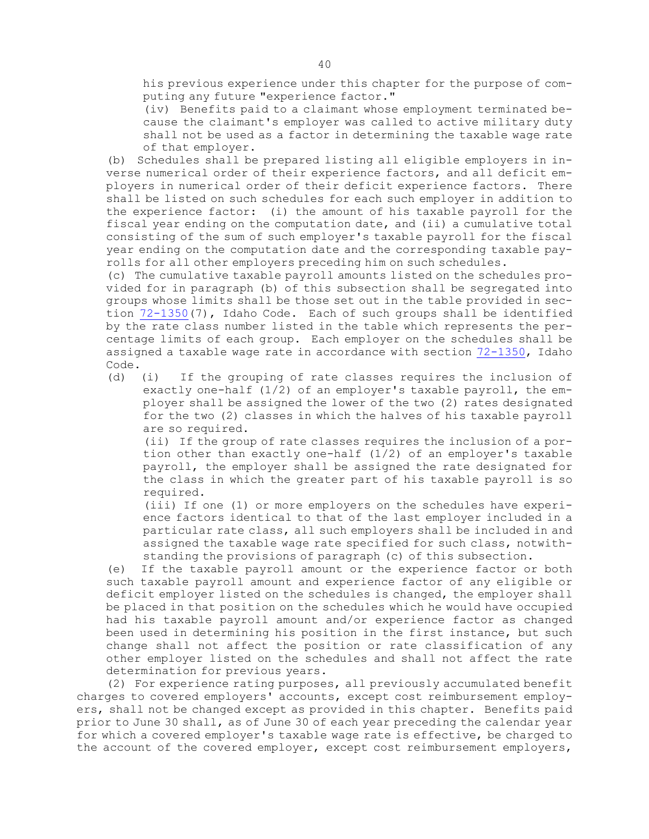his previous experience under this chapter for the purpose of computing any future "experience factor."

(iv) Benefits paid to <sup>a</sup> claimant whose employment terminated because the claimant's employer was called to active military duty shall not be used as <sup>a</sup> factor in determining the taxable wage rate of that employer.

(b) Schedules shall be prepared listing all eligible employers in inverse numerical order of their experience factors, and all deficit employers in numerical order of their deficit experience factors. There shall be listed on such schedules for each such employer in addition to the experience factor: (i) the amount of his taxable payroll for the fiscal year ending on the computation date, and (ii) <sup>a</sup> cumulative total consisting of the sum of such employer's taxable payroll for the fiscal year ending on the computation date and the corresponding taxable payrolls for all other employers preceding him on such schedules.

(c) The cumulative taxable payroll amounts listed on the schedules provided for in paragraph (b) of this subsection shall be segregated into groups whose limits shall be those set out in the table provided in section [72-1350](https://legislature.idaho.gov/statutesrules/idstat/Title72/T72CH13/SECT72-1350)(7), Idaho Code. Each of such groups shall be identified by the rate class number listed in the table which represents the percentage limits of each group. Each employer on the schedules shall be assigned <sup>a</sup> taxable wage rate in accordance with section [72-1350](https://legislature.idaho.gov/statutesrules/idstat/Title72/T72CH13/SECT72-1350), Idaho Code.

(d) (i) If the grouping of rate classes requires the inclusion of exactly one-half  $(1/2)$  of an employer's taxable payroll, the employer shall be assigned the lower of the two (2) rates designated for the two (2) classes in which the halves of his taxable payroll are so required.

(ii) If the group of rate classes requires the inclusion of <sup>a</sup> portion other than exactly one-half (1/2) of an employer's taxable payroll, the employer shall be assigned the rate designated for the class in which the greater part of his taxable payroll is so required.

(iii) If one (1) or more employers on the schedules have experience factors identical to that of the last employer included in <sup>a</sup> particular rate class, all such employers shall be included in and assigned the taxable wage rate specified for such class, notwithstanding the provisions of paragraph (c) of this subsection.

(e) If the taxable payroll amount or the experience factor or both such taxable payroll amount and experience factor of any eligible or deficit employer listed on the schedules is changed, the employer shall be placed in that position on the schedules which he would have occupied had his taxable payroll amount and/or experience factor as changed been used in determining his position in the first instance, but such change shall not affect the position or rate classification of any other employer listed on the schedules and shall not affect the rate determination for previous years.

(2) For experience rating purposes, all previously accumulated benefit charges to covered employers' accounts, except cost reimbursement employers, shall not be changed except as provided in this chapter. Benefits paid prior to June 30 shall, as of June 30 of each year preceding the calendar year for which <sup>a</sup> covered employer's taxable wage rate is effective, be charged to the account of the covered employer, except cost reimbursement employers,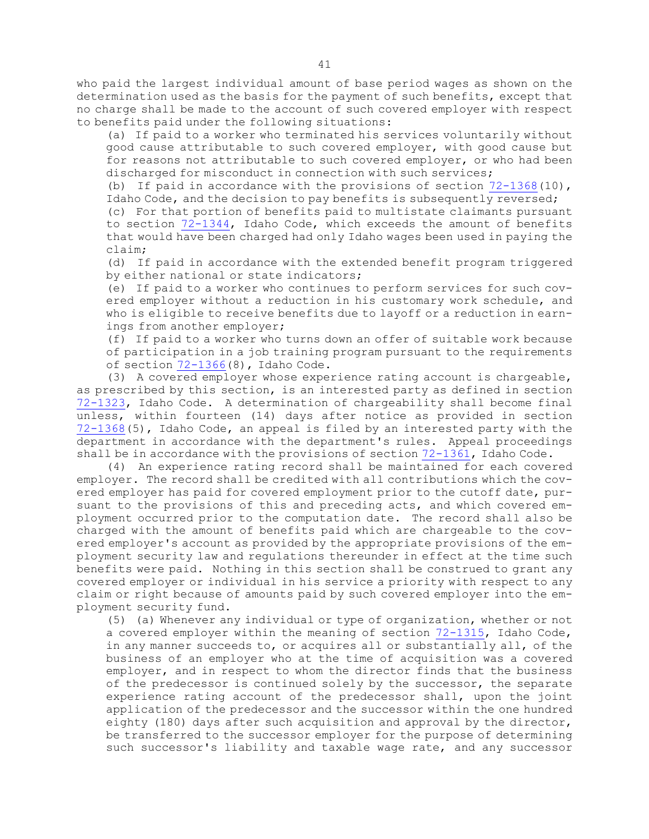who paid the largest individual amount of base period wages as shown on the determination used as the basis for the payment of such benefits, except that no charge shall be made to the account of such covered employer with respect to benefits paid under the following situations:

(a) If paid to <sup>a</sup> worker who terminated his services voluntarily without good cause attributable to such covered employer, with good cause but for reasons not attributable to such covered employer, or who had been discharged for misconduct in connection with such services;

(b) If paid in accordance with the provisions of section  $72-1368(10)$  $72-1368(10)$ , Idaho Code, and the decision to pay benefits is subsequently reversed;

(c) For that portion of benefits paid to multistate claimants pursuant to section [72-1344](https://legislature.idaho.gov/statutesrules/idstat/Title72/T72CH13/SECT72-1344), Idaho Code, which exceeds the amount of benefits that would have been charged had only Idaho wages been used in paying the claim;

(d) If paid in accordance with the extended benefit program triggered by either national or state indicators;

(e) If paid to <sup>a</sup> worker who continues to perform services for such covered employer without <sup>a</sup> reduction in his customary work schedule, and who is eligible to receive benefits due to layoff or <sup>a</sup> reduction in earnings from another employer;

(f) If paid to <sup>a</sup> worker who turns down an offer of suitable work because of participation in <sup>a</sup> job training program pursuant to the requirements of section [72-1366](https://legislature.idaho.gov/statutesrules/idstat/Title72/T72CH13/SECT72-1366)(8), Idaho Code.

(3) <sup>A</sup> covered employer whose experience rating account is chargeable, as prescribed by this section, is an interested party as defined in section [72-1323](https://legislature.idaho.gov/statutesrules/idstat/Title72/T72CH13/SECT72-1323), Idaho Code. <sup>A</sup> determination of chargeability shall become final unless, within fourteen (14) days after notice as provided in section [72-1368](https://legislature.idaho.gov/statutesrules/idstat/Title72/T72CH13/SECT72-1368)(5), Idaho Code, an appeal is filed by an interested party with the department in accordance with the department's rules. Appeal proceedings shall be in accordance with the provisions of section  $72-1361$ , Idaho Code.

(4) An experience rating record shall be maintained for each covered employer. The record shall be credited with all contributions which the covered employer has paid for covered employment prior to the cutoff date, pursuant to the provisions of this and preceding acts, and which covered employment occurred prior to the computation date. The record shall also be charged with the amount of benefits paid which are chargeable to the covered employer's account as provided by the appropriate provisions of the employment security law and regulations thereunder in effect at the time such benefits were paid. Nothing in this section shall be construed to grant any covered employer or individual in his service <sup>a</sup> priority with respect to any claim or right because of amounts paid by such covered employer into the employment security fund.

(5) (a) Whenever any individual or type of organization, whether or not <sup>a</sup> covered employer within the meaning of section [72-1315](https://legislature.idaho.gov/statutesrules/idstat/Title72/T72CH13/SECT72-1315), Idaho Code, in any manner succeeds to, or acquires all or substantially all, of the business of an employer who at the time of acquisition was <sup>a</sup> covered employer, and in respect to whom the director finds that the business of the predecessor is continued solely by the successor, the separate experience rating account of the predecessor shall, upon the joint application of the predecessor and the successor within the one hundred eighty (180) days after such acquisition and approval by the director, be transferred to the successor employer for the purpose of determining such successor's liability and taxable wage rate, and any successor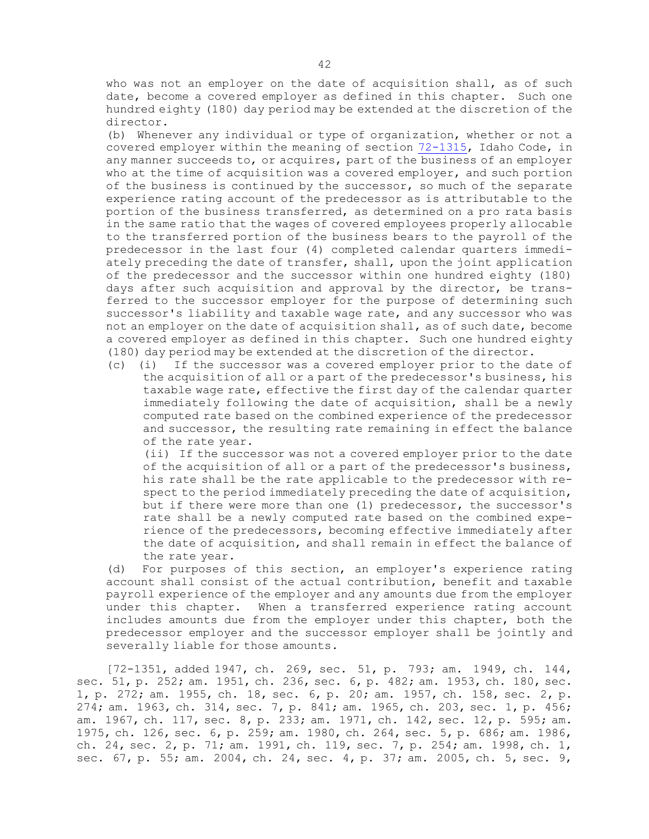who was not an employer on the date of acquisition shall, as of such date, become <sup>a</sup> covered employer as defined in this chapter. Such one hundred eighty (180) day period may be extended at the discretion of the director.

(b) Whenever any individual or type of organization, whether or not <sup>a</sup> covered employer within the meaning of section [72-1315](https://legislature.idaho.gov/statutesrules/idstat/Title72/T72CH13/SECT72-1315), Idaho Code, in any manner succeeds to, or acquires, part of the business of an employer who at the time of acquisition was a covered employer, and such portion of the business is continued by the successor, so much of the separate experience rating account of the predecessor as is attributable to the portion of the business transferred, as determined on <sup>a</sup> pro rata basis in the same ratio that the wages of covered employees properly allocable to the transferred portion of the business bears to the payroll of the predecessor in the last four (4) completed calendar quarters immediately preceding the date of transfer, shall, upon the joint application of the predecessor and the successor within one hundred eighty (180) days after such acquisition and approval by the director, be transferred to the successor employer for the purpose of determining such successor's liability and taxable wage rate, and any successor who was not an employer on the date of acquisition shall, as of such date, become <sup>a</sup> covered employer as defined in this chapter. Such one hundred eighty (180) day period may be extended at the discretion of the director.

(c) (i) If the successor was <sup>a</sup> covered employer prior to the date of the acquisition of all or <sup>a</sup> part of the predecessor's business, his taxable wage rate, effective the first day of the calendar quarter immediately following the date of acquisition, shall be <sup>a</sup> newly computed rate based on the combined experience of the predecessor and successor, the resulting rate remaining in effect the balance of the rate year.

(ii) If the successor was not <sup>a</sup> covered employer prior to the date of the acquisition of all or <sup>a</sup> part of the predecessor's business, his rate shall be the rate applicable to the predecessor with respect to the period immediately preceding the date of acquisition, but if there were more than one (1) predecessor, the successor's rate shall be <sup>a</sup> newly computed rate based on the combined experience of the predecessors, becoming effective immediately after the date of acquisition, and shall remain in effect the balance of the rate year.

(d) For purposes of this section, an employer's experience rating account shall consist of the actual contribution, benefit and taxable payroll experience of the employer and any amounts due from the employer under this chapter. When <sup>a</sup> transferred experience rating account includes amounts due from the employer under this chapter, both the predecessor employer and the successor employer shall be jointly and severally liable for those amounts.

[72-1351, added 1947, ch. 269, sec. 51, p. 793; am. 1949, ch. 144, sec. 51, p. 252; am. 1951, ch. 236, sec. 6, p. 482; am. 1953, ch. 180, sec. 1, p. 272; am. 1955, ch. 18, sec. 6, p. 20; am. 1957, ch. 158, sec. 2, p. 274; am. 1963, ch. 314, sec. 7, p. 841; am. 1965, ch. 203, sec. 1, p. 456; am. 1967, ch. 117, sec. 8, p. 233; am. 1971, ch. 142, sec. 12, p. 595; am. 1975, ch. 126, sec. 6, p. 259; am. 1980, ch. 264, sec. 5, p. 686; am. 1986, ch. 24, sec. 2, p. 71; am. 1991, ch. 119, sec. 7, p. 254; am. 1998, ch. 1, sec. 67, p. 55; am. 2004, ch. 24, sec. 4, p. 37; am. 2005, ch. 5, sec. 9,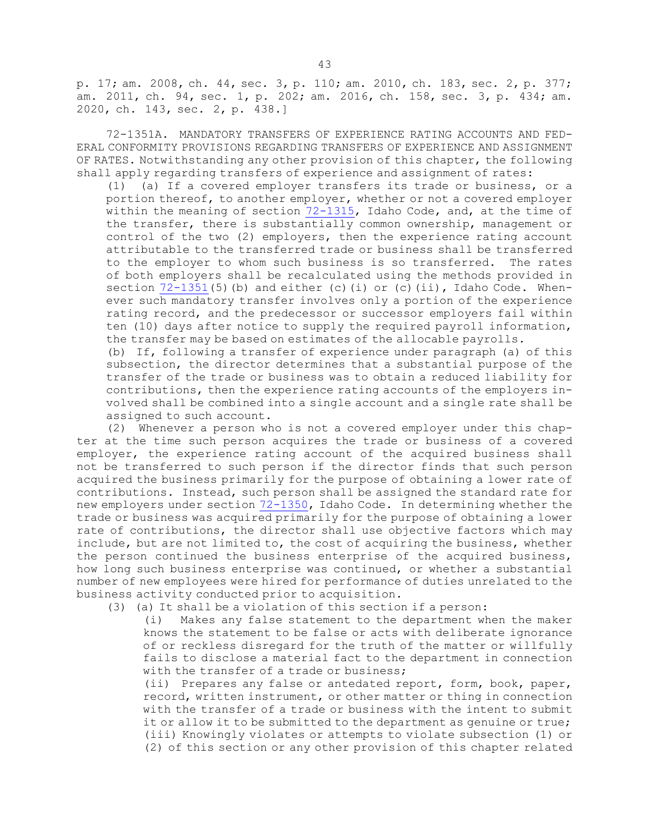p. 17; am. 2008, ch. 44, sec. 3, p. 110; am. 2010, ch. 183, sec. 2, p. 377; am. 2011, ch. 94, sec. 1, p. 202; am. 2016, ch. 158, sec. 3, p. 434; am. 2020, ch. 143, sec. 2, p. 438.]

72-1351A. MANDATORY TRANSFERS OF EXPERIENCE RATING ACCOUNTS AND FED-ERAL CONFORMITY PROVISIONS REGARDING TRANSFERS OF EXPERIENCE AND ASSIGNMENT OF RATES. Notwithstanding any other provision of this chapter, the following shall apply regarding transfers of experience and assignment of rates:

(1) (a) If <sup>a</sup> covered employer transfers its trade or business, or <sup>a</sup> portion thereof, to another employer, whether or not <sup>a</sup> covered employer within the meaning of section [72-1315](https://legislature.idaho.gov/statutesrules/idstat/Title72/T72CH13/SECT72-1315), Idaho Code, and, at the time of the transfer, there is substantially common ownership, management or control of the two (2) employers, then the experience rating account attributable to the transferred trade or business shall be transferred to the employer to whom such business is so transferred. The rates of both employers shall be recalculated using the methods provided in section  $72-1351(5)$  $72-1351(5)$  (b) and either (c)(i) or (c)(ii), Idaho Code. Whenever such mandatory transfer involves only <sup>a</sup> portion of the experience rating record, and the predecessor or successor employers fail within ten (10) days after notice to supply the required payroll information, the transfer may be based on estimates of the allocable payrolls.

(b) If, following <sup>a</sup> transfer of experience under paragraph (a) of this subsection, the director determines that <sup>a</sup> substantial purpose of the transfer of the trade or business was to obtain <sup>a</sup> reduced liability for contributions, then the experience rating accounts of the employers involved shall be combined into <sup>a</sup> single account and <sup>a</sup> single rate shall be assigned to such account.

(2) Whenever <sup>a</sup> person who is not <sup>a</sup> covered employer under this chapter at the time such person acquires the trade or business of <sup>a</sup> covered employer, the experience rating account of the acquired business shall not be transferred to such person if the director finds that such person acquired the business primarily for the purpose of obtaining <sup>a</sup> lower rate of contributions. Instead, such person shall be assigned the standard rate for new employers under section [72-1350](https://legislature.idaho.gov/statutesrules/idstat/Title72/T72CH13/SECT72-1350), Idaho Code. In determining whether the trade or business was acquired primarily for the purpose of obtaining <sup>a</sup> lower rate of contributions, the director shall use objective factors which may include, but are not limited to, the cost of acquiring the business, whether the person continued the business enterprise of the acquired business, how long such business enterprise was continued, or whether <sup>a</sup> substantial number of new employees were hired for performance of duties unrelated to the business activity conducted prior to acquisition.

(3) (a) It shall be <sup>a</sup> violation of this section if <sup>a</sup> person:

(i) Makes any false statement to the department when the maker knows the statement to be false or acts with deliberate ignorance of or reckless disregard for the truth of the matter or willfully fails to disclose <sup>a</sup> material fact to the department in connection with the transfer of a trade or business;

(ii) Prepares any false or antedated report, form, book, paper, record, written instrument, or other matter or thing in connection with the transfer of <sup>a</sup> trade or business with the intent to submit it or allow it to be submitted to the department as genuine or true; (iii) Knowingly violates or attempts to violate subsection (1) or (2) of this section or any other provision of this chapter related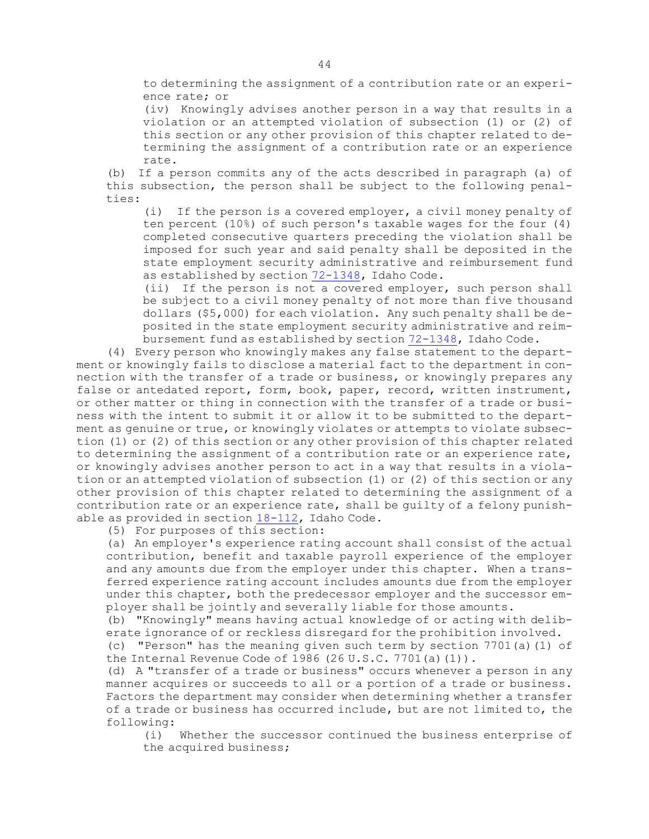to determining the assignment of <sup>a</sup> contribution rate or an experience rate; or

(iv) Knowingly advises another person in <sup>a</sup> way that results in <sup>a</sup> violation or an attempted violation of subsection (1) or (2) of this section or any other provision of this chapter related to determining the assignment of <sup>a</sup> contribution rate or an experience rate.

(b) If <sup>a</sup> person commits any of the acts described in paragraph (a) of this subsection, the person shall be subject to the following penalties:

(i) If the person is <sup>a</sup> covered employer, <sup>a</sup> civil money penalty of ten percent (10%) of such person's taxable wages for the four (4) completed consecutive quarters preceding the violation shall be imposed for such year and said penalty shall be deposited in the state employment security administrative and reimbursement fund as established by section [72-1348](https://legislature.idaho.gov/statutesrules/idstat/Title72/T72CH13/SECT72-1348), Idaho Code.

(ii) If the person is not <sup>a</sup> covered employer, such person shall be subject to <sup>a</sup> civil money penalty of not more than five thousand dollars (\$5,000) for each violation. Any such penalty shall be deposited in the state employment security administrative and reimbursement fund as established by section [72-1348](https://legislature.idaho.gov/statutesrules/idstat/Title72/T72CH13/SECT72-1348), Idaho Code.

(4) Every person who knowingly makes any false statement to the department or knowingly fails to disclose <sup>a</sup> material fact to the department in connection with the transfer of <sup>a</sup> trade or business, or knowingly prepares any false or antedated report, form, book, paper, record, written instrument, or other matter or thing in connection with the transfer of <sup>a</sup> trade or business with the intent to submit it or allow it to be submitted to the department as genuine or true, or knowingly violates or attempts to violate subsection (1) or (2) of this section or any other provision of this chapter related to determining the assignment of <sup>a</sup> contribution rate or an experience rate, or knowingly advises another person to act in <sup>a</sup> way that results in <sup>a</sup> violation or an attempted violation of subsection (1) or (2) of this section or any other provision of this chapter related to determining the assignment of <sup>a</sup> contribution rate or an experience rate, shall be guilty of <sup>a</sup> felony punishable as provided in section [18-112](https://legislature.idaho.gov/statutesrules/idstat/Title18/T18CH1/SECT18-112), Idaho Code.

(5) For purposes of this section:

(a) An employer's experience rating account shall consist of the actual contribution, benefit and taxable payroll experience of the employer and any amounts due from the employer under this chapter. When <sup>a</sup> transferred experience rating account includes amounts due from the employer under this chapter, both the predecessor employer and the successor employer shall be jointly and severally liable for those amounts.

(b) "Knowingly" means having actual knowledge of or acting with deliberate ignorance of or reckless disregard for the prohibition involved.

(c) "Person" has the meaning given such term by section 7701(a)(1) of the Internal Revenue Code of 1986 (26 U.S.C. 7701 (a) (1)).

(d) <sup>A</sup> "transfer of <sup>a</sup> trade or business" occurs whenever <sup>a</sup> person in any manner acquires or succeeds to all or <sup>a</sup> portion of <sup>a</sup> trade or business. Factors the department may consider when determining whether <sup>a</sup> transfer of <sup>a</sup> trade or business has occurred include, but are not limited to, the following:

(i) Whether the successor continued the business enterprise of the acquired business;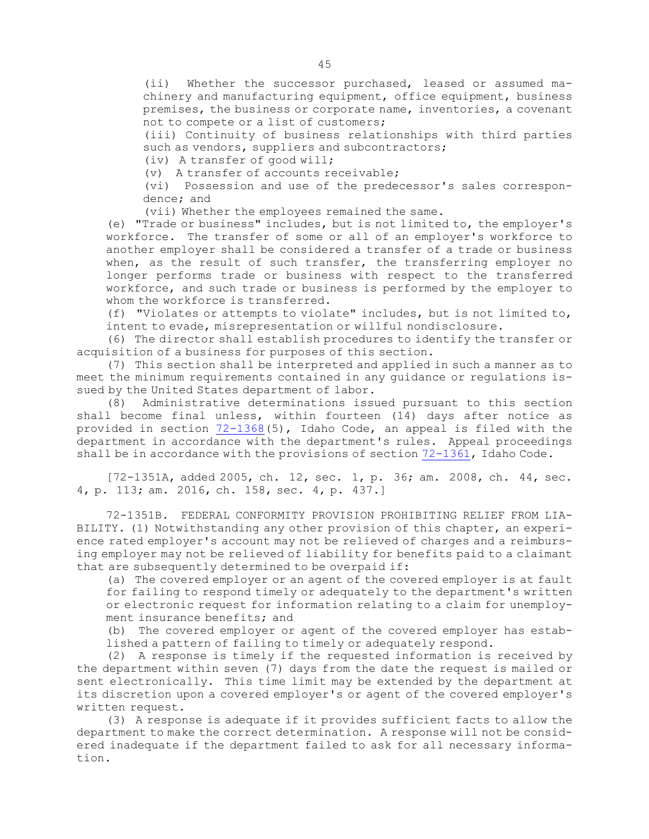(ii) Whether the successor purchased, leased or assumed machinery and manufacturing equipment, office equipment, business premises, the business or corporate name, inventories, <sup>a</sup> covenant not to compete or <sup>a</sup> list of customers;

(iii) Continuity of business relationships with third parties such as vendors, suppliers and subcontractors;

(iv) <sup>A</sup> transfer of good will;

(v) A transfer of accounts receivable;

(vi) Possession and use of the predecessor's sales correspondence; and

(vii) Whether the employees remained the same.

(e) "Trade or business" includes, but is not limited to, the employer's workforce. The transfer of some or all of an employer's workforce to another employer shall be considered <sup>a</sup> transfer of <sup>a</sup> trade or business when, as the result of such transfer, the transferring employer no longer performs trade or business with respect to the transferred workforce, and such trade or business is performed by the employer to whom the workforce is transferred.

(f) "Violates or attempts to violate" includes, but is not limited to, intent to evade, misrepresentation or willful nondisclosure.

(6) The director shall establish procedures to identify the transfer or acquisition of <sup>a</sup> business for purposes of this section.

(7) This section shall be interpreted and applied in such <sup>a</sup> manner as to meet the minimum requirements contained in any guidance or regulations issued by the United States department of labor.

(8) Administrative determinations issued pursuant to this section shall become final unless, within fourteen (14) days after notice as provided in section [72-1368](https://legislature.idaho.gov/statutesrules/idstat/Title72/T72CH13/SECT72-1368)(5), Idaho Code, an appeal is filed with the department in accordance with the department's rules. Appeal proceedings shall be in accordance with the provisions of section  $72-1361$ , Idaho Code.

[72-1351A, added 2005, ch. 12, sec. 1, p. 36; am. 2008, ch. 44, sec. 4, p. 113; am. 2016, ch. 158, sec. 4, p. 437.]

72-1351B. FEDERAL CONFORMITY PROVISION PROHIBITING RELIEF FROM LIA-BILITY. (1) Notwithstanding any other provision of this chapter, an experience rated employer's account may not be relieved of charges and <sup>a</sup> reimbursing employer may not be relieved of liability for benefits paid to <sup>a</sup> claimant that are subsequently determined to be overpaid if:

(a) The covered employer or an agent of the covered employer is at fault for failing to respond timely or adequately to the department's written or electronic request for information relating to <sup>a</sup> claim for unemployment insurance benefits; and

(b) The covered employer or agent of the covered employer has established <sup>a</sup> pattern of failing to timely or adequately respond.

(2) <sup>A</sup> response is timely if the requested information is received by the department within seven (7) days from the date the request is mailed or sent electronically. This time limit may be extended by the department at its discretion upon <sup>a</sup> covered employer's or agent of the covered employer's written request.

(3) <sup>A</sup> response is adequate if it provides sufficient facts to allow the department to make the correct determination. <sup>A</sup> response will not be considered inadequate if the department failed to ask for all necessary information.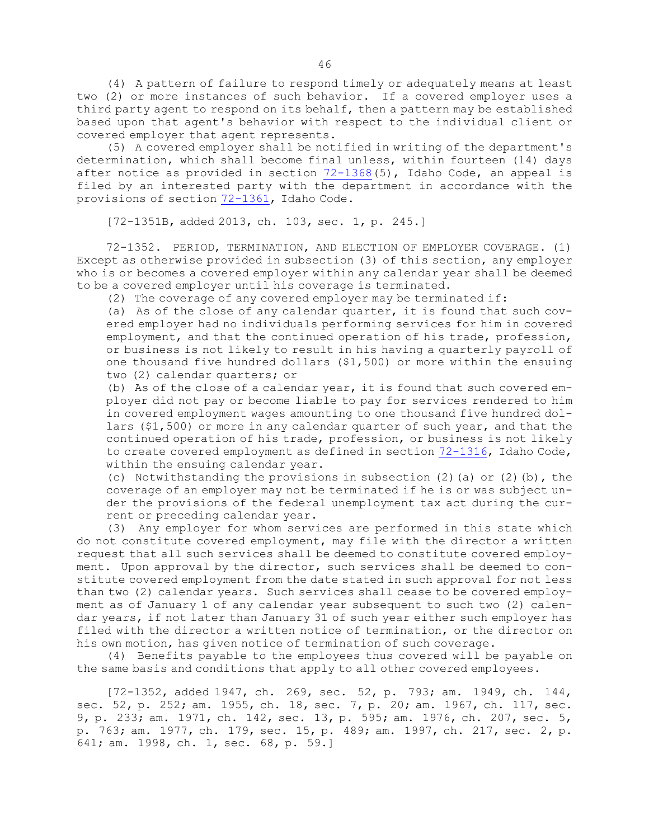(4) <sup>A</sup> pattern of failure to respond timely or adequately means at least two (2) or more instances of such behavior. If <sup>a</sup> covered employer uses <sup>a</sup> third party agent to respond on its behalf, then <sup>a</sup> pattern may be established based upon that agent's behavior with respect to the individual client or covered employer that agent represents.

(5) <sup>A</sup> covered employer shall be notified in writing of the department's determination, which shall become final unless, within fourteen (14) days after notice as provided in section [72-1368](https://legislature.idaho.gov/statutesrules/idstat/Title72/T72CH13/SECT72-1368)(5), Idaho Code, an appeal is filed by an interested party with the department in accordance with the provisions of section [72-1361](https://legislature.idaho.gov/statutesrules/idstat/Title72/T72CH13/SECT72-1361), Idaho Code.

[72-1351B, added 2013, ch. 103, sec. 1, p. 245.]

72-1352. PERIOD, TERMINATION, AND ELECTION OF EMPLOYER COVERAGE. (1) Except as otherwise provided in subsection (3) of this section, any employer who is or becomes <sup>a</sup> covered employer within any calendar year shall be deemed to be <sup>a</sup> covered employer until his coverage is terminated.

(2) The coverage of any covered employer may be terminated if:

(a) As of the close of any calendar quarter, it is found that such covered employer had no individuals performing services for him in covered employment, and that the continued operation of his trade, profession, or business is not likely to result in his having <sup>a</sup> quarterly payroll of one thousand five hundred dollars (\$1,500) or more within the ensuing two (2) calendar quarters; or

(b) As of the close of <sup>a</sup> calendar year, it is found that such covered employer did not pay or become liable to pay for services rendered to him in covered employment wages amounting to one thousand five hundred dollars (\$1,500) or more in any calendar quarter of such year, and that the continued operation of his trade, profession, or business is not likely to create covered employment as defined in section [72-1316](https://legislature.idaho.gov/statutesrules/idstat/Title72/T72CH13/SECT72-1316), Idaho Code, within the ensuing calendar year.

(c) Notwithstanding the provisions in subsection  $(2)$  (a) or  $(2)$  (b), the coverage of an employer may not be terminated if he is or was subject under the provisions of the federal unemployment tax act during the current or preceding calendar year.

(3) Any employer for whom services are performed in this state which do not constitute covered employment, may file with the director <sup>a</sup> written request that all such services shall be deemed to constitute covered employment. Upon approval by the director, such services shall be deemed to constitute covered employment from the date stated in such approval for not less than two (2) calendar years. Such services shall cease to be covered employment as of January 1 of any calendar year subsequent to such two (2) calendar years, if not later than January 31 of such year either such employer has filed with the director <sup>a</sup> written notice of termination, or the director on his own motion, has given notice of termination of such coverage.

(4) Benefits payable to the employees thus covered will be payable on the same basis and conditions that apply to all other covered employees.

[72-1352, added 1947, ch. 269, sec. 52, p. 793; am. 1949, ch. 144, sec. 52, p. 252; am. 1955, ch. 18, sec. 7, p. 20; am. 1967, ch. 117, sec. 9, p. 233; am. 1971, ch. 142, sec. 13, p. 595; am. 1976, ch. 207, sec. 5, p. 763; am. 1977, ch. 179, sec. 15, p. 489; am. 1997, ch. 217, sec. 2, p. 641; am. 1998, ch. 1, sec. 68, p. 59.]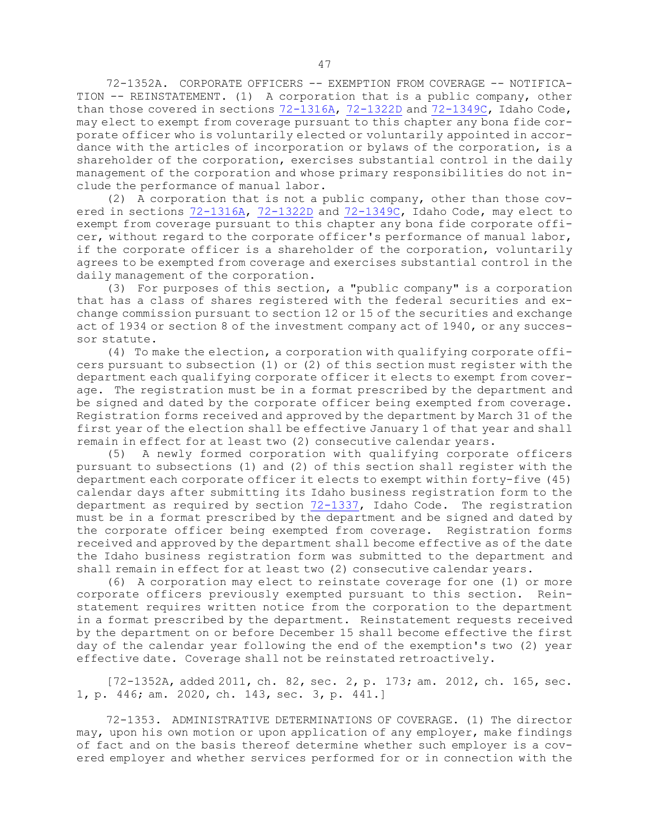72-1352A. CORPORATE OFFICERS -- EXEMPTION FROM COVERAGE -- NOTIFICA-TION -- REINSTATEMENT. (1) <sup>A</sup> corporation that is <sup>a</sup> public company, other than those covered in sections  $72-1316A$ ,  $72-1322D$  and  $72-1349C$ , Idaho Code, may elect to exempt from coverage pursuant to this chapter any bona fide corporate officer who is voluntarily elected or voluntarily appointed in accordance with the articles of incorporation or bylaws of the corporation, is <sup>a</sup> shareholder of the corporation, exercises substantial control in the daily management of the corporation and whose primary responsibilities do not include the performance of manual labor.

(2) <sup>A</sup> corporation that is not <sup>a</sup> public company, other than those covered in sections [72-1316A](https://legislature.idaho.gov/statutesrules/idstat/Title72/T72CH13/SECT72-1316A), [72-1322D](https://legislature.idaho.gov/statutesrules/idstat/Title72/T72CH13/SECT72-1322D) and [72-1349C](https://legislature.idaho.gov/statutesrules/idstat/Title72/T72CH13/SECT72-1349C), Idaho Code, may elect to exempt from coverage pursuant to this chapter any bona fide corporate officer, without regard to the corporate officer's performance of manual labor, if the corporate officer is <sup>a</sup> shareholder of the corporation, voluntarily agrees to be exempted from coverage and exercises substantial control in the daily management of the corporation.

(3) For purposes of this section, <sup>a</sup> "public company" is <sup>a</sup> corporation that has <sup>a</sup> class of shares registered with the federal securities and exchange commission pursuant to section 12 or 15 of the securities and exchange act of 1934 or section 8 of the investment company act of 1940, or any successor statute.

(4) To make the election, <sup>a</sup> corporation with qualifying corporate officers pursuant to subsection (1) or (2) of this section must register with the department each qualifying corporate officer it elects to exempt from coverage. The registration must be in <sup>a</sup> format prescribed by the department and be signed and dated by the corporate officer being exempted from coverage. Registration forms received and approved by the department by March 31 of the first year of the election shall be effective January 1 of that year and shall remain in effect for at least two (2) consecutive calendar years.

(5) <sup>A</sup> newly formed corporation with qualifying corporate officers pursuant to subsections (1) and (2) of this section shall register with the department each corporate officer it elects to exempt within forty-five (45) calendar days after submitting its Idaho business registration form to the department as required by section [72-1337](https://legislature.idaho.gov/statutesrules/idstat/Title72/T72CH13/SECT72-1337), Idaho Code. The registration must be in <sup>a</sup> format prescribed by the department and be signed and dated by the corporate officer being exempted from coverage. Registration forms received and approved by the department shall become effective as of the date the Idaho business registration form was submitted to the department and shall remain in effect for at least two (2) consecutive calendar years.

(6) <sup>A</sup> corporation may elect to reinstate coverage for one (1) or more corporate officers previously exempted pursuant to this section. Reinstatement requires written notice from the corporation to the department in <sup>a</sup> format prescribed by the department. Reinstatement requests received by the department on or before December 15 shall become effective the first day of the calendar year following the end of the exemption's two (2) year effective date. Coverage shall not be reinstated retroactively.

[72-1352A, added 2011, ch. 82, sec. 2, p. 173; am. 2012, ch. 165, sec. 1, p. 446; am. 2020, ch. 143, sec. 3, p. 441.]

72-1353. ADMINISTRATIVE DETERMINATIONS OF COVERAGE. (1) The director may, upon his own motion or upon application of any employer, make findings of fact and on the basis thereof determine whether such employer is <sup>a</sup> covered employer and whether services performed for or in connection with the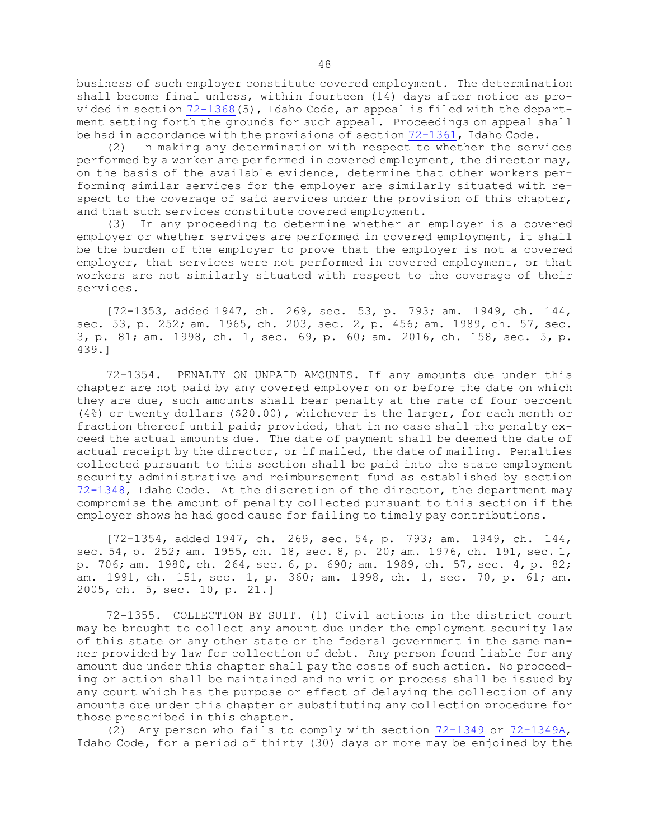business of such employer constitute covered employment. The determination shall become final unless, within fourteen (14) days after notice as provided in section [72-1368](https://legislature.idaho.gov/statutesrules/idstat/Title72/T72CH13/SECT72-1368)(5), Idaho Code, an appeal is filed with the department setting forth the grounds for such appeal. Proceedings on appeal shall be had in accordance with the provisions of section [72-1361](https://legislature.idaho.gov/statutesrules/idstat/Title72/T72CH13/SECT72-1361), Idaho Code.

(2) In making any determination with respect to whether the services performed by <sup>a</sup> worker are performed in covered employment, the director may, on the basis of the available evidence, determine that other workers performing similar services for the employer are similarly situated with respect to the coverage of said services under the provision of this chapter, and that such services constitute covered employment.

(3) In any proceeding to determine whether an employer is <sup>a</sup> covered employer or whether services are performed in covered employment, it shall be the burden of the employer to prove that the employer is not <sup>a</sup> covered employer, that services were not performed in covered employment, or that workers are not similarly situated with respect to the coverage of their services.

[72-1353, added 1947, ch. 269, sec. 53, p. 793; am. 1949, ch. 144, sec. 53, p. 252; am. 1965, ch. 203, sec. 2, p. 456; am. 1989, ch. 57, sec. 3, p. 81; am. 1998, ch. 1, sec. 69, p. 60; am. 2016, ch. 158, sec. 5, p. 439.]

72-1354. PENALTY ON UNPAID AMOUNTS. If any amounts due under this chapter are not paid by any covered employer on or before the date on which they are due, such amounts shall bear penalty at the rate of four percent (4%) or twenty dollars (\$20.00), whichever is the larger, for each month or fraction thereof until paid; provided, that in no case shall the penalty exceed the actual amounts due. The date of payment shall be deemed the date of actual receipt by the director, or if mailed, the date of mailing. Penalties collected pursuant to this section shall be paid into the state employment security administrative and reimbursement fund as established by section [72-1348](https://legislature.idaho.gov/statutesrules/idstat/Title72/T72CH13/SECT72-1348), Idaho Code. At the discretion of the director, the department may compromise the amount of penalty collected pursuant to this section if the employer shows he had good cause for failing to timely pay contributions.

[72-1354, added 1947, ch. 269, sec. 54, p. 793; am. 1949, ch. 144, sec. 54, p. 252; am. 1955, ch. 18, sec. 8, p. 20; am. 1976, ch. 191, sec. 1, p. 706; am. 1980, ch. 264, sec. 6, p. 690; am. 1989, ch. 57, sec. 4, p. 82; am. 1991, ch. 151, sec. 1, p. 360; am. 1998, ch. 1, sec. 70, p. 61; am. 2005, ch. 5, sec. 10, p. 21.]

72-1355. COLLECTION BY SUIT. (1) Civil actions in the district court may be brought to collect any amount due under the employment security law of this state or any other state or the federal government in the same manner provided by law for collection of debt. Any person found liable for any amount due under this chapter shall pay the costs of such action. No proceeding or action shall be maintained and no writ or process shall be issued by any court which has the purpose or effect of delaying the collection of any amounts due under this chapter or substituting any collection procedure for those prescribed in this chapter.

(2) Any person who fails to comply with section [72-1349](https://legislature.idaho.gov/statutesrules/idstat/Title72/T72CH13/SECT72-1349) or [72-1349A](https://legislature.idaho.gov/statutesrules/idstat/Title72/T72CH13/SECT72-1349A), Idaho Code, for <sup>a</sup> period of thirty (30) days or more may be enjoined by the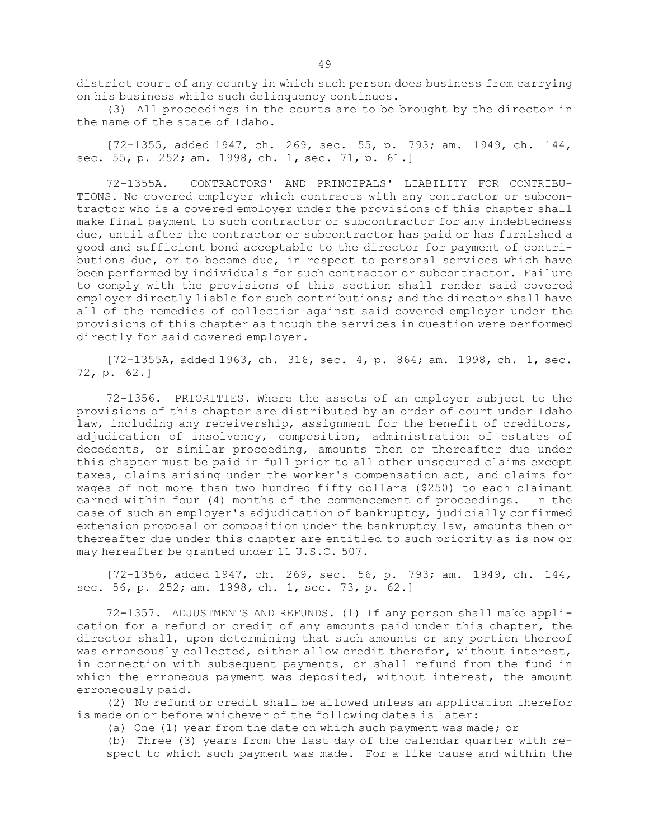district court of any county in which such person does business from carrying on his business while such delinquency continues.

(3) All proceedings in the courts are to be brought by the director in the name of the state of Idaho.

[72-1355, added 1947, ch. 269, sec. 55, p. 793; am. 1949, ch. 144, sec. 55, p. 252; am. 1998, ch. 1, sec. 71, p. 61.]

72-1355A. CONTRACTORS' AND PRINCIPALS' LIABILITY FOR CONTRIBU-TIONS. No covered employer which contracts with any contractor or subcontractor who is <sup>a</sup> covered employer under the provisions of this chapter shall make final payment to such contractor or subcontractor for any indebtedness due, until after the contractor or subcontractor has paid or has furnished <sup>a</sup> good and sufficient bond acceptable to the director for payment of contributions due, or to become due, in respect to personal services which have been performed by individuals for such contractor or subcontractor. Failure to comply with the provisions of this section shall render said covered employer directly liable for such contributions; and the director shall have all of the remedies of collection against said covered employer under the provisions of this chapter as though the services in question were performed directly for said covered employer.

[72-1355A, added 1963, ch. 316, sec. 4, p. 864; am. 1998, ch. 1, sec. 72, p. 62.]

72-1356. PRIORITIES. Where the assets of an employer subject to the provisions of this chapter are distributed by an order of court under Idaho law, including any receivership, assignment for the benefit of creditors, adjudication of insolvency, composition, administration of estates of decedents, or similar proceeding, amounts then or thereafter due under this chapter must be paid in full prior to all other unsecured claims except taxes, claims arising under the worker's compensation act, and claims for wages of not more than two hundred fifty dollars (\$250) to each claimant earned within four (4) months of the commencement of proceedings. In the case of such an employer's adjudication of bankruptcy, judicially confirmed extension proposal or composition under the bankruptcy law, amounts then or thereafter due under this chapter are entitled to such priority as is now or may hereafter be granted under 11 U.S.C. 507.

[72-1356, added 1947, ch. 269, sec. 56, p. 793; am. 1949, ch. 144, sec. 56, p. 252; am. 1998, ch. 1, sec. 73, p. 62.]

72-1357. ADJUSTMENTS AND REFUNDS. (1) If any person shall make application for <sup>a</sup> refund or credit of any amounts paid under this chapter, the director shall, upon determining that such amounts or any portion thereof was erroneously collected, either allow credit therefor, without interest, in connection with subsequent payments, or shall refund from the fund in which the erroneous payment was deposited, without interest, the amount erroneously paid.

(2) No refund or credit shall be allowed unless an application therefor is made on or before whichever of the following dates is later:

(a) One (1) year from the date on which such payment was made; or

(b) Three (3) years from the last day of the calendar quarter with respect to which such payment was made. For <sup>a</sup> like cause and within the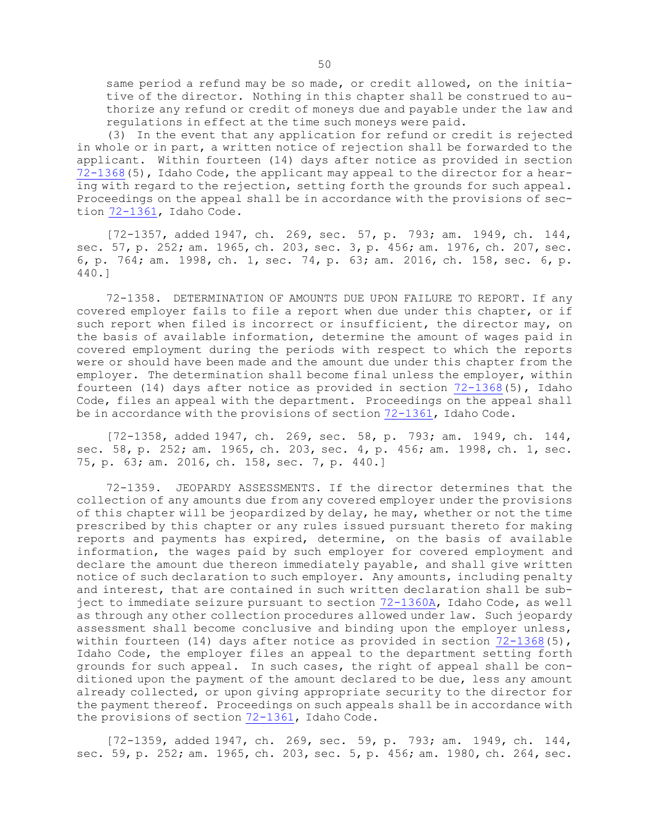same period <sup>a</sup> refund may be so made, or credit allowed, on the initiative of the director. Nothing in this chapter shall be construed to authorize any refund or credit of moneys due and payable under the law and regulations in effect at the time such moneys were paid.

(3) In the event that any application for refund or credit is rejected in whole or in part, <sup>a</sup> written notice of rejection shall be forwarded to the applicant. Within fourteen (14) days after notice as provided in section [72-1368](https://legislature.idaho.gov/statutesrules/idstat/Title72/T72CH13/SECT72-1368)(5), Idaho Code, the applicant may appeal to the director for <sup>a</sup> hearing with regard to the rejection, setting forth the grounds for such appeal. Proceedings on the appeal shall be in accordance with the provisions of section [72-1361](https://legislature.idaho.gov/statutesrules/idstat/Title72/T72CH13/SECT72-1361), Idaho Code.

[72-1357, added 1947, ch. 269, sec. 57, p. 793; am. 1949, ch. 144, sec. 57, p. 252; am. 1965, ch. 203, sec. 3, p. 456; am. 1976, ch. 207, sec. 6, p. 764; am. 1998, ch. 1, sec. 74, p. 63; am. 2016, ch. 158, sec. 6, p. 440.]

72-1358. DETERMINATION OF AMOUNTS DUE UPON FAILURE TO REPORT. If any covered employer fails to file <sup>a</sup> report when due under this chapter, or if such report when filed is incorrect or insufficient, the director may, on the basis of available information, determine the amount of wages paid in covered employment during the periods with respect to which the reports were or should have been made and the amount due under this chapter from the employer. The determination shall become final unless the employer, within fourteen (14) days after notice as provided in section [72-1368](https://legislature.idaho.gov/statutesrules/idstat/Title72/T72CH13/SECT72-1368)(5), Idaho Code, files an appeal with the department. Proceedings on the appeal shall be in accordance with the provisions of section [72-1361](https://legislature.idaho.gov/statutesrules/idstat/Title72/T72CH13/SECT72-1361), Idaho Code.

[72-1358, added 1947, ch. 269, sec. 58, p. 793; am. 1949, ch. 144, sec. 58, p. 252; am. 1965, ch. 203, sec. 4, p. 456; am. 1998, ch. 1, sec. 75, p. 63; am. 2016, ch. 158, sec. 7, p. 440.]

72-1359. JEOPARDY ASSESSMENTS. If the director determines that the collection of any amounts due from any covered employer under the provisions of this chapter will be jeopardized by delay, he may, whether or not the time prescribed by this chapter or any rules issued pursuant thereto for making reports and payments has expired, determine, on the basis of available information, the wages paid by such employer for covered employment and declare the amount due thereon immediately payable, and shall give written notice of such declaration to such employer. Any amounts, including penalty and interest, that are contained in such written declaration shall be subject to immediate seizure pursuant to section [72-1360A](https://legislature.idaho.gov/statutesrules/idstat/Title72/T72CH13/SECT72-1360A), Idaho Code, as well as through any other collection procedures allowed under law. Such jeopardy assessment shall become conclusive and binding upon the employer unless, within fourteen (14) days after notice as provided in section  $72-1368(5)$  $72-1368(5)$ , Idaho Code, the employer files an appeal to the department setting forth grounds for such appeal. In such cases, the right of appeal shall be conditioned upon the payment of the amount declared to be due, less any amount already collected, or upon giving appropriate security to the director for the payment thereof. Proceedings on such appeals shall be in accordance with the provisions of section [72-1361](https://legislature.idaho.gov/statutesrules/idstat/Title72/T72CH13/SECT72-1361), Idaho Code.

[72-1359, added 1947, ch. 269, sec. 59, p. 793; am. 1949, ch. 144, sec. 59, p. 252; am. 1965, ch. 203, sec. 5, p. 456; am. 1980, ch. 264, sec.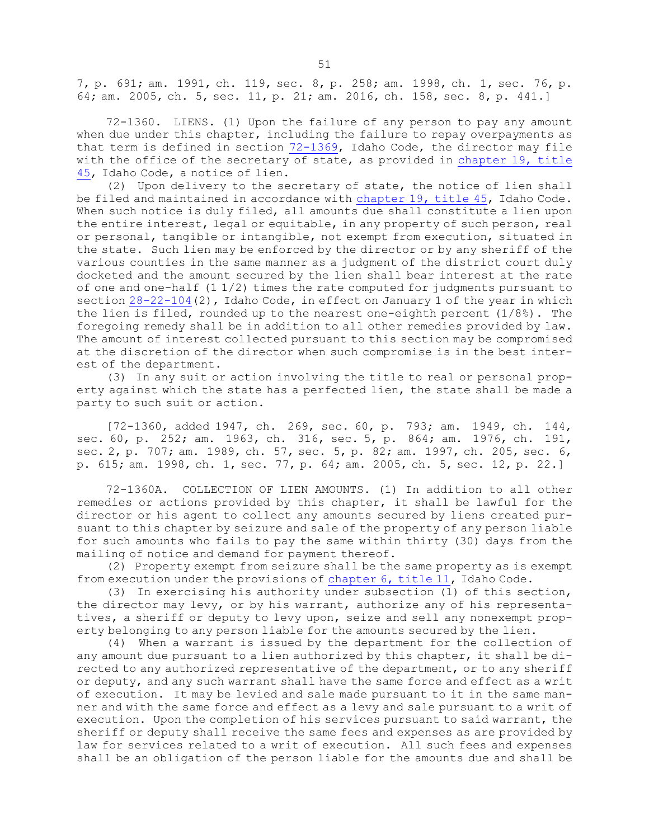7, p. 691; am. 1991, ch. 119, sec. 8, p. 258; am. 1998, ch. 1, sec. 76, p. 64; am. 2005, ch. 5, sec. 11, p. 21; am. 2016, ch. 158, sec. 8, p. 441.]

72-1360. LIENS. (1) Upon the failure of any person to pay any amount when due under this chapter, including the failure to repay overpayments as that term is defined in section [72-1369](https://legislature.idaho.gov/statutesrules/idstat/Title72/T72CH13/SECT72-1369), Idaho Code, the director may file with the office of the secretary of state, as provided in [chapter](https://legislature.idaho.gov/statutesrules/idstat/Title45/T45CH19) 19, title [45](https://legislature.idaho.gov/statutesrules/idstat/Title45/T45CH19), Idaho Code, <sup>a</sup> notice of lien.

(2) Upon delivery to the secretary of state, the notice of lien shall be filed and maintained in accordance with [chapter](https://legislature.idaho.gov/statutesrules/idstat/Title45/T45CH19) 19, title 45, Idaho Code. When such notice is duly filed, all amounts due shall constitute a lien upon the entire interest, legal or equitable, in any property of such person, real or personal, tangible or intangible, not exempt from execution, situated in the state. Such lien may be enforced by the director or by any sheriff of the various counties in the same manner as <sup>a</sup> judgment of the district court duly docketed and the amount secured by the lien shall bear interest at the rate of one and one-half (1 1/2) times the rate computed for judgments pursuant to section  $28-22-104(2)$  $28-22-104(2)$ , Idaho Code, in effect on January 1 of the year in which the lien is filed, rounded up to the nearest one-eighth percent (1/8%). The foregoing remedy shall be in addition to all other remedies provided by law. The amount of interest collected pursuant to this section may be compromised at the discretion of the director when such compromise is in the best interest of the department.

(3) In any suit or action involving the title to real or personal property against which the state has <sup>a</sup> perfected lien, the state shall be made <sup>a</sup> party to such suit or action.

[72-1360, added 1947, ch. 269, sec. 60, p. 793; am. 1949, ch. 144, sec. 60, p. 252; am. 1963, ch. 316, sec. 5, p. 864; am. 1976, ch. 191, sec. 2, p. 707; am. 1989, ch. 57, sec. 5, p. 82; am. 1997, ch. 205, sec. 6, p. 615; am. 1998, ch. 1, sec. 77, p. 64; am. 2005, ch. 5, sec. 12, p. 22.]

72-1360A. COLLECTION OF LIEN AMOUNTS. (1) In addition to all other remedies or actions provided by this chapter, it shall be lawful for the director or his agent to collect any amounts secured by liens created pursuant to this chapter by seizure and sale of the property of any person liable for such amounts who fails to pay the same within thirty (30) days from the mailing of notice and demand for payment thereof.

(2) Property exempt from seizure shall be the same property as is exempt from execution under the provisions of [chapter](https://legislature.idaho.gov/statutesrules/idstat/Title11/T11CH6) 6, title 11, Idaho Code.

(3) In exercising his authority under subsection (1) of this section, the director may levy, or by his warrant, authorize any of his representatives, <sup>a</sup> sheriff or deputy to levy upon, seize and sell any nonexempt property belonging to any person liable for the amounts secured by the lien.

(4) When <sup>a</sup> warrant is issued by the department for the collection of any amount due pursuant to <sup>a</sup> lien authorized by this chapter, it shall be directed to any authorized representative of the department, or to any sheriff or deputy, and any such warrant shall have the same force and effect as <sup>a</sup> writ of execution. It may be levied and sale made pursuant to it in the same manner and with the same force and effect as <sup>a</sup> levy and sale pursuant to <sup>a</sup> writ of execution. Upon the completion of his services pursuant to said warrant, the sheriff or deputy shall receive the same fees and expenses as are provided by law for services related to <sup>a</sup> writ of execution. All such fees and expenses shall be an obligation of the person liable for the amounts due and shall be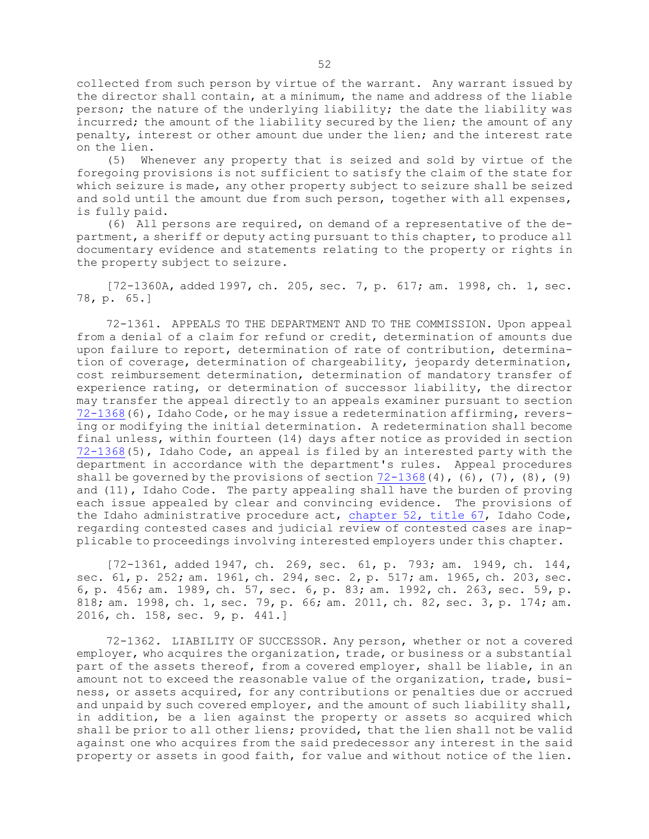collected from such person by virtue of the warrant. Any warrant issued by the director shall contain, at <sup>a</sup> minimum, the name and address of the liable person; the nature of the underlying liability; the date the liability was incurred; the amount of the liability secured by the lien; the amount of any penalty, interest or other amount due under the lien; and the interest rate on the lien.

(5) Whenever any property that is seized and sold by virtue of the foregoing provisions is not sufficient to satisfy the claim of the state for which seizure is made, any other property subject to seizure shall be seized and sold until the amount due from such person, together with all expenses, is fully paid.

(6) All persons are required, on demand of <sup>a</sup> representative of the department, <sup>a</sup> sheriff or deputy acting pursuant to this chapter, to produce all documentary evidence and statements relating to the property or rights in the property subject to seizure.

[72-1360A, added 1997, ch. 205, sec. 7, p. 617; am. 1998, ch. 1, sec. 78, p. 65.]

72-1361. APPEALS TO THE DEPARTMENT AND TO THE COMMISSION. Upon appeal from <sup>a</sup> denial of <sup>a</sup> claim for refund or credit, determination of amounts due upon failure to report, determination of rate of contribution, determination of coverage, determination of chargeability, jeopardy determination, cost reimbursement determination, determination of mandatory transfer of experience rating, or determination of successor liability, the director may transfer the appeal directly to an appeals examiner pursuant to section [72-1368](https://legislature.idaho.gov/statutesrules/idstat/Title72/T72CH13/SECT72-1368)(6), Idaho Code, or he may issue <sup>a</sup> redetermination affirming, reversing or modifying the initial determination. <sup>A</sup> redetermination shall become final unless, within fourteen (14) days after notice as provided in section [72-1368](https://legislature.idaho.gov/statutesrules/idstat/Title72/T72CH13/SECT72-1368)(5), Idaho Code, an appeal is filed by an interested party with the department in accordance with the department's rules. Appeal procedures shall be governed by the provisions of section  $72-1368(4)$  $72-1368(4)$ ,  $(6)$ ,  $(7)$ ,  $(8)$ ,  $(9)$ and (11), Idaho Code. The party appealing shall have the burden of proving each issue appealed by clear and convincing evidence. The provisions of the Idaho administrative procedure act, [chapter](https://legislature.idaho.gov/statutesrules/idstat/Title67/T67CH52) 52, title 67, Idaho Code, regarding contested cases and judicial review of contested cases are inapplicable to proceedings involving interested employers under this chapter.

[72-1361, added 1947, ch. 269, sec. 61, p. 793; am. 1949, ch. 144, sec. 61, p. 252; am. 1961, ch. 294, sec. 2, p. 517; am. 1965, ch. 203, sec. 6, p. 456; am. 1989, ch. 57, sec. 6, p. 83; am. 1992, ch. 263, sec. 59, p. 818; am. 1998, ch. 1, sec. 79, p. 66; am. 2011, ch. 82, sec. 3, p. 174; am. 2016, ch. 158, sec. 9, p. 441.]

72-1362. LIABILITY OF SUCCESSOR. Any person, whether or not <sup>a</sup> covered employer, who acquires the organization, trade, or business or <sup>a</sup> substantial part of the assets thereof, from <sup>a</sup> covered employer, shall be liable, in an amount not to exceed the reasonable value of the organization, trade, business, or assets acquired, for any contributions or penalties due or accrued and unpaid by such covered employer, and the amount of such liability shall, in addition, be <sup>a</sup> lien against the property or assets so acquired which shall be prior to all other liens; provided, that the lien shall not be valid against one who acquires from the said predecessor any interest in the said property or assets in good faith, for value and without notice of the lien.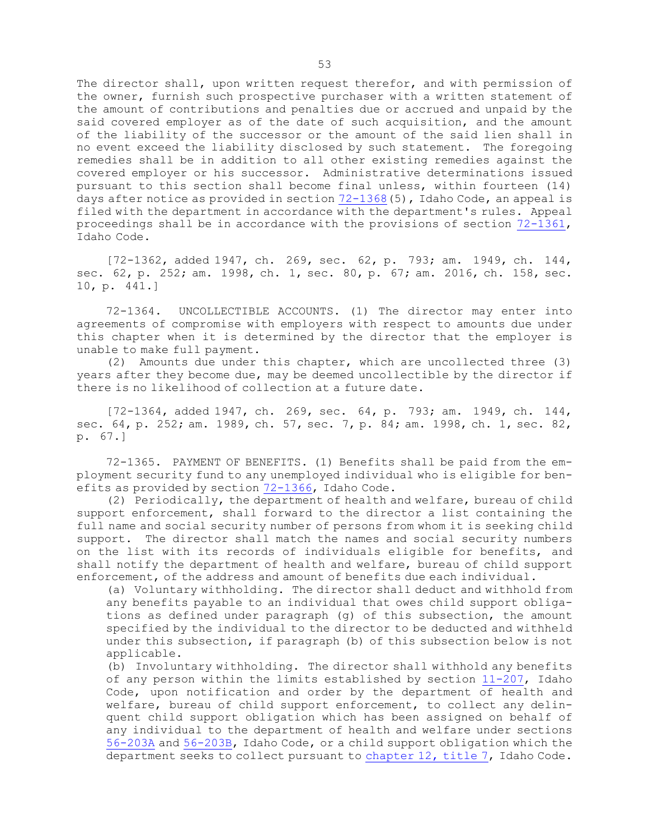The director shall, upon written request therefor, and with permission of the owner, furnish such prospective purchaser with <sup>a</sup> written statement of the amount of contributions and penalties due or accrued and unpaid by the said covered employer as of the date of such acquisition, and the amount of the liability of the successor or the amount of the said lien shall in no event exceed the liability disclosed by such statement. The foregoing remedies shall be in addition to all other existing remedies against the covered employer or his successor. Administrative determinations issued pursuant to this section shall become final unless, within fourteen (14) days after notice as provided in section [72-1368](https://legislature.idaho.gov/statutesrules/idstat/Title72/T72CH13/SECT72-1368)(5), Idaho Code, an appeal is filed with the department in accordance with the department's rules. Appeal proceedings shall be in accordance with the provisions of section [72-1361](https://legislature.idaho.gov/statutesrules/idstat/Title72/T72CH13/SECT72-1361), Idaho Code.

[72-1362, added 1947, ch. 269, sec. 62, p. 793; am. 1949, ch. 144, sec. 62, p. 252; am. 1998, ch. 1, sec. 80, p. 67; am. 2016, ch. 158, sec. 10, p. 441.]

72-1364. UNCOLLECTIBLE ACCOUNTS. (1) The director may enter into agreements of compromise with employers with respect to amounts due under this chapter when it is determined by the director that the employer is unable to make full payment.

(2) Amounts due under this chapter, which are uncollected three (3) years after they become due, may be deemed uncollectible by the director if there is no likelihood of collection at <sup>a</sup> future date.

[72-1364, added 1947, ch. 269, sec. 64, p. 793; am. 1949, ch. 144, sec. 64, p. 252; am. 1989, ch. 57, sec. 7, p. 84; am. 1998, ch. 1, sec. 82, p. 67.]

72-1365. PAYMENT OF BENEFITS. (1) Benefits shall be paid from the employment security fund to any unemployed individual who is eligible for benefits as provided by section [72-1366](https://legislature.idaho.gov/statutesrules/idstat/Title72/T72CH13/SECT72-1366), Idaho Code.

(2) Periodically, the department of health and welfare, bureau of child support enforcement, shall forward to the director <sup>a</sup> list containing the full name and social security number of persons from whom it is seeking child support. The director shall match the names and social security numbers on the list with its records of individuals eligible for benefits, and shall notify the department of health and welfare, bureau of child support enforcement, of the address and amount of benefits due each individual.

(a) Voluntary withholding. The director shall deduct and withhold from any benefits payable to an individual that owes child support obligations as defined under paragraph (g) of this subsection, the amount specified by the individual to the director to be deducted and withheld under this subsection, if paragraph (b) of this subsection below is not applicable.

(b) Involuntary withholding. The director shall withhold any benefits of any person within the limits established by section [11-207](https://legislature.idaho.gov/statutesrules/idstat/Title11/T11CH2/SECT11-207), Idaho Code, upon notification and order by the department of health and welfare, bureau of child support enforcement, to collect any delinquent child support obligation which has been assigned on behalf of any individual to the department of health and welfare under sections [56-203A](https://legislature.idaho.gov/statutesrules/idstat/Title56/T56CH2/SECT56-203A) and [56-203B](https://legislature.idaho.gov/statutesrules/idstat/Title56/T56CH2/SECT56-203B), Idaho Code, or <sup>a</sup> child support obligation which the department seeks to collect pursuant to [chapter](https://legislature.idaho.gov/statutesrules/idstat/Title7/T7CH12) 12, title 7, Idaho Code.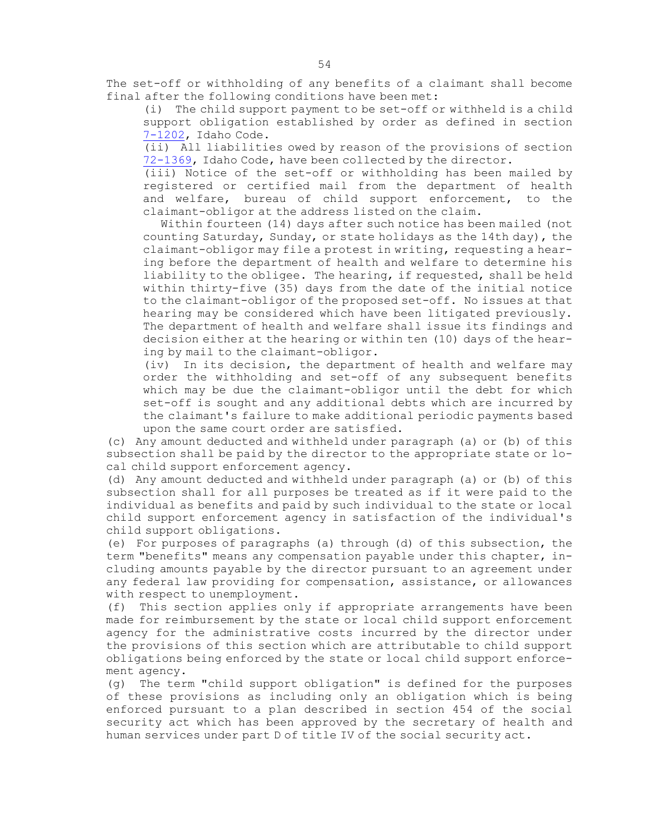The set-off or withholding of any benefits of <sup>a</sup> claimant shall become final after the following conditions have been met:

(i) The child support payment to be set-off or withheld is <sup>a</sup> child support obligation established by order as defined in section [7-1202](https://legislature.idaho.gov/statutesrules/idstat/Title7/T7CH12/SECT7-1202), Idaho Code.

(ii) All liabilities owed by reason of the provisions of section [72-1369](https://legislature.idaho.gov/statutesrules/idstat/Title72/T72CH13/SECT72-1369), Idaho Code, have been collected by the director.

(iii) Notice of the set-off or withholding has been mailed by registered or certified mail from the department of health and welfare, bureau of child support enforcement, to the claimant-obligor at the address listed on the claim.

Within fourteen (14) days after such notice has been mailed (not counting Saturday, Sunday, or state holidays as the 14th day), the claimant-obligor may file <sup>a</sup> protest in writing, requesting <sup>a</sup> hearing before the department of health and welfare to determine his liability to the obligee. The hearing, if requested, shall be held within thirty-five (35) days from the date of the initial notice to the claimant-obligor of the proposed set-off. No issues at that hearing may be considered which have been litigated previously. The department of health and welfare shall issue its findings and decision either at the hearing or within ten (10) days of the hearing by mail to the claimant-obligor.

(iv) In its decision, the department of health and welfare may order the withholding and set-off of any subsequent benefits which may be due the claimant-obligor until the debt for which set-off is sought and any additional debts which are incurred by the claimant's failure to make additional periodic payments based upon the same court order are satisfied.

(c) Any amount deducted and withheld under paragraph (a) or (b) of this subsection shall be paid by the director to the appropriate state or local child support enforcement agency.

(d) Any amount deducted and withheld under paragraph (a) or (b) of this subsection shall for all purposes be treated as if it were paid to the individual as benefits and paid by such individual to the state or local child support enforcement agency in satisfaction of the individual's child support obligations.

(e) For purposes of paragraphs (a) through (d) of this subsection, the term "benefits" means any compensation payable under this chapter, including amounts payable by the director pursuant to an agreement under any federal law providing for compensation, assistance, or allowances with respect to unemployment.

(f) This section applies only if appropriate arrangements have been made for reimbursement by the state or local child support enforcement agency for the administrative costs incurred by the director under the provisions of this section which are attributable to child support obligations being enforced by the state or local child support enforcement agency.

(g) The term "child support obligation" is defined for the purposes of these provisions as including only an obligation which is being enforced pursuant to <sup>a</sup> plan described in section 454 of the social security act which has been approved by the secretary of health and human services under part <sup>D</sup> of title IV of the social security act.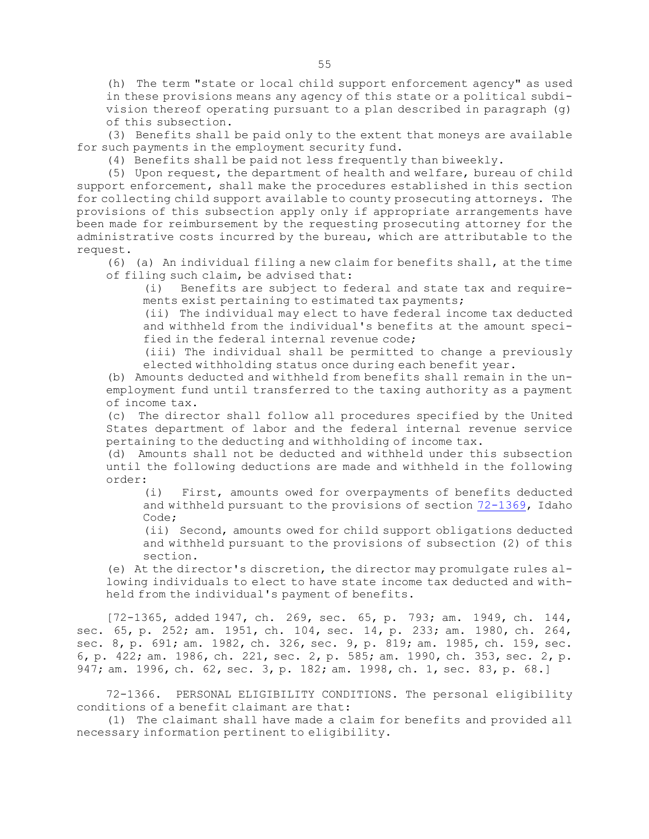(h) The term "state or local child support enforcement agency" as used in these provisions means any agency of this state or <sup>a</sup> political subdivision thereof operating pursuant to <sup>a</sup> plan described in paragraph (g) of this subsection.

(3) Benefits shall be paid only to the extent that moneys are available for such payments in the employment security fund.

(4) Benefits shall be paid not less frequently than biweekly.

(5) Upon request, the department of health and welfare, bureau of child support enforcement, shall make the procedures established in this section for collecting child support available to county prosecuting attorneys. The provisions of this subsection apply only if appropriate arrangements have been made for reimbursement by the requesting prosecuting attorney for the administrative costs incurred by the bureau, which are attributable to the request.

(6) (a) An individual filing <sup>a</sup> new claim for benefits shall, at the time of filing such claim, be advised that:

(i) Benefits are subject to federal and state tax and requirements exist pertaining to estimated tax payments;

(ii) The individual may elect to have federal income tax deducted and withheld from the individual's benefits at the amount specified in the federal internal revenue code;

(iii) The individual shall be permitted to change <sup>a</sup> previously elected withholding status once during each benefit year.

(b) Amounts deducted and withheld from benefits shall remain in the unemployment fund until transferred to the taxing authority as <sup>a</sup> payment of income tax.

(c) The director shall follow all procedures specified by the United States department of labor and the federal internal revenue service pertaining to the deducting and withholding of income tax.

(d) Amounts shall not be deducted and withheld under this subsection until the following deductions are made and withheld in the following order:

(i) First, amounts owed for overpayments of benefits deducted and withheld pursuant to the provisions of section [72-1369](https://legislature.idaho.gov/statutesrules/idstat/Title72/T72CH13/SECT72-1369), Idaho Code;

(ii) Second, amounts owed for child support obligations deducted and withheld pursuant to the provisions of subsection (2) of this section.

(e) At the director's discretion, the director may promulgate rules allowing individuals to elect to have state income tax deducted and withheld from the individual's payment of benefits.

[72-1365, added 1947, ch. 269, sec. 65, p. 793; am. 1949, ch. 144, sec. 65, p. 252; am. 1951, ch. 104, sec. 14, p. 233; am. 1980, ch. 264, sec. 8, p. 691; am. 1982, ch. 326, sec. 9, p. 819; am. 1985, ch. 159, sec. 6, p. 422; am. 1986, ch. 221, sec. 2, p. 585; am. 1990, ch. 353, sec. 2, p. 947; am. 1996, ch. 62, sec. 3, p. 182; am. 1998, ch. 1, sec. 83, p. 68.]

72-1366. PERSONAL ELIGIBILITY CONDITIONS. The personal eligibility conditions of <sup>a</sup> benefit claimant are that:

(1) The claimant shall have made <sup>a</sup> claim for benefits and provided all necessary information pertinent to eligibility.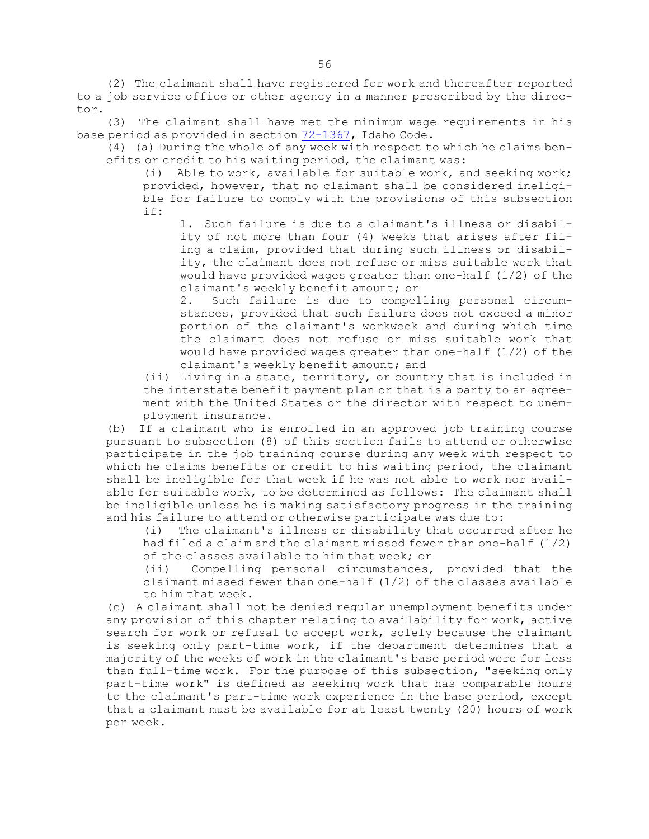(2) The claimant shall have registered for work and thereafter reported to <sup>a</sup> job service office or other agency in <sup>a</sup> manner prescribed by the director.

(3) The claimant shall have met the minimum wage requirements in his base period as provided in section [72-1367](https://legislature.idaho.gov/statutesrules/idstat/Title72/T72CH13/SECT72-1367), Idaho Code.

(4) (a) During the whole of any week with respect to which he claims benefits or credit to his waiting period, the claimant was:

(i) Able to work, available for suitable work, and seeking work; provided, however, that no claimant shall be considered ineligible for failure to comply with the provisions of this subsection if:

1. Such failure is due to <sup>a</sup> claimant's illness or disability of not more than four (4) weeks that arises after filing <sup>a</sup> claim, provided that during such illness or disability, the claimant does not refuse or miss suitable work that would have provided wages greater than one-half (1/2) of the claimant's weekly benefit amount; or

2. Such failure is due to compelling personal circumstances, provided that such failure does not exceed <sup>a</sup> minor portion of the claimant's workweek and during which time the claimant does not refuse or miss suitable work that would have provided wages greater than one-half  $(1/2)$  of the claimant's weekly benefit amount; and

(ii) Living in <sup>a</sup> state, territory, or country that is included in the interstate benefit payment plan or that is <sup>a</sup> party to an agreement with the United States or the director with respect to unemployment insurance.

(b) If <sup>a</sup> claimant who is enrolled in an approved job training course pursuant to subsection (8) of this section fails to attend or otherwise participate in the job training course during any week with respect to which he claims benefits or credit to his waiting period, the claimant shall be ineligible for that week if he was not able to work nor available for suitable work, to be determined as follows: The claimant shall be ineligible unless he is making satisfactory progress in the training and his failure to attend or otherwise participate was due to:

(i) The claimant's illness or disability that occurred after he had filed <sup>a</sup> claim and the claimant missed fewer than one-half (1/2) of the classes available to him that week; or

(ii) Compelling personal circumstances, provided that the claimant missed fewer than one-half  $(1/2)$  of the classes available to him that week.

(c) <sup>A</sup> claimant shall not be denied regular unemployment benefits under any provision of this chapter relating to availability for work, active search for work or refusal to accept work, solely because the claimant is seeking only part-time work, if the department determines that <sup>a</sup> majority of the weeks of work in the claimant's base period were for less than full-time work. For the purpose of this subsection, "seeking only part-time work" is defined as seeking work that has comparable hours to the claimant's part-time work experience in the base period, except that <sup>a</sup> claimant must be available for at least twenty (20) hours of work per week.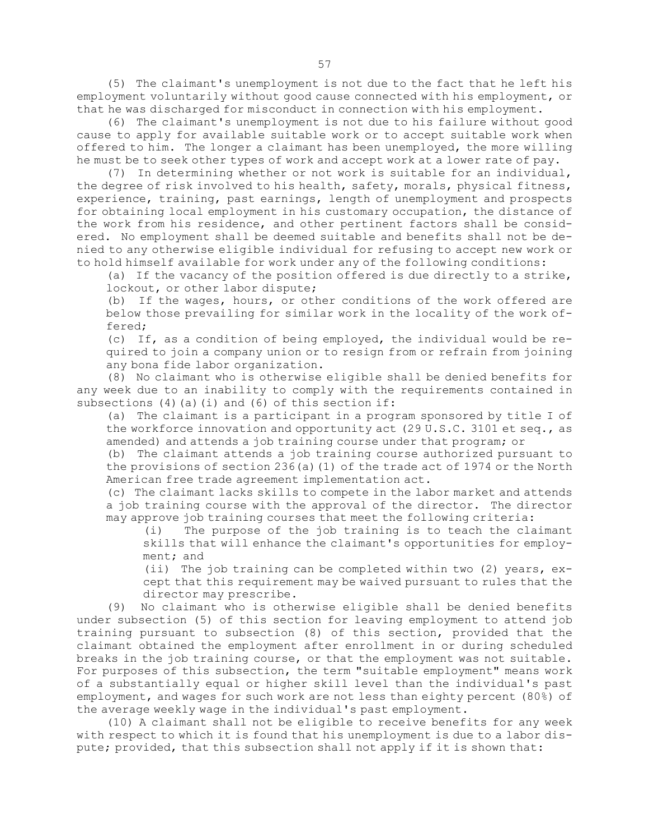(5) The claimant's unemployment is not due to the fact that he left his employment voluntarily without good cause connected with his employment, or that he was discharged for misconduct in connection with his employment.

(6) The claimant's unemployment is not due to his failure without good cause to apply for available suitable work or to accept suitable work when offered to him. The longer <sup>a</sup> claimant has been unemployed, the more willing he must be to seek other types of work and accept work at <sup>a</sup> lower rate of pay.

(7) In determining whether or not work is suitable for an individual, the degree of risk involved to his health, safety, morals, physical fitness, experience, training, past earnings, length of unemployment and prospects for obtaining local employment in his customary occupation, the distance of the work from his residence, and other pertinent factors shall be considered. No employment shall be deemed suitable and benefits shall not be denied to any otherwise eligible individual for refusing to accept new work or to hold himself available for work under any of the following conditions:

(a) If the vacancy of the position offered is due directly to <sup>a</sup> strike, lockout, or other labor dispute;

(b) If the wages, hours, or other conditions of the work offered are below those prevailing for similar work in the locality of the work offered;

(c) If, as <sup>a</sup> condition of being employed, the individual would be required to join <sup>a</sup> company union or to resign from or refrain from joining any bona fide labor organization.

(8) No claimant who is otherwise eligible shall be denied benefits for any week due to an inability to comply with the requirements contained in subsections  $(4)$  (a)(i) and  $(6)$  of this section if:

(a) The claimant is <sup>a</sup> participant in <sup>a</sup> program sponsored by title <sup>I</sup> of the workforce innovation and opportunity act (29 U.S.C. 3101 et seq., as amended) and attends <sup>a</sup> job training course under that program; or

(b) The claimant attends <sup>a</sup> job training course authorized pursuant to the provisions of section 236(a)(1) of the trade act of 1974 or the North American free trade agreement implementation act.

(c) The claimant lacks skills to compete in the labor market and attends <sup>a</sup> job training course with the approval of the director. The director may approve job training courses that meet the following criteria:

(i) The purpose of the job training is to teach the claimant skills that will enhance the claimant's opportunities for employment; and

(ii) The job training can be completed within two (2) years, except that this requirement may be waived pursuant to rules that the director may prescribe.

(9) No claimant who is otherwise eligible shall be denied benefits under subsection (5) of this section for leaving employment to attend job training pursuant to subsection (8) of this section, provided that the claimant obtained the employment after enrollment in or during scheduled breaks in the job training course, or that the employment was not suitable. For purposes of this subsection, the term "suitable employment" means work of <sup>a</sup> substantially equal or higher skill level than the individual's past employment, and wages for such work are not less than eighty percent (80%) of the average weekly wage in the individual's past employment.

(10) <sup>A</sup> claimant shall not be eligible to receive benefits for any week with respect to which it is found that his unemployment is due to <sup>a</sup> labor dispute; provided, that this subsection shall not apply if it is shown that: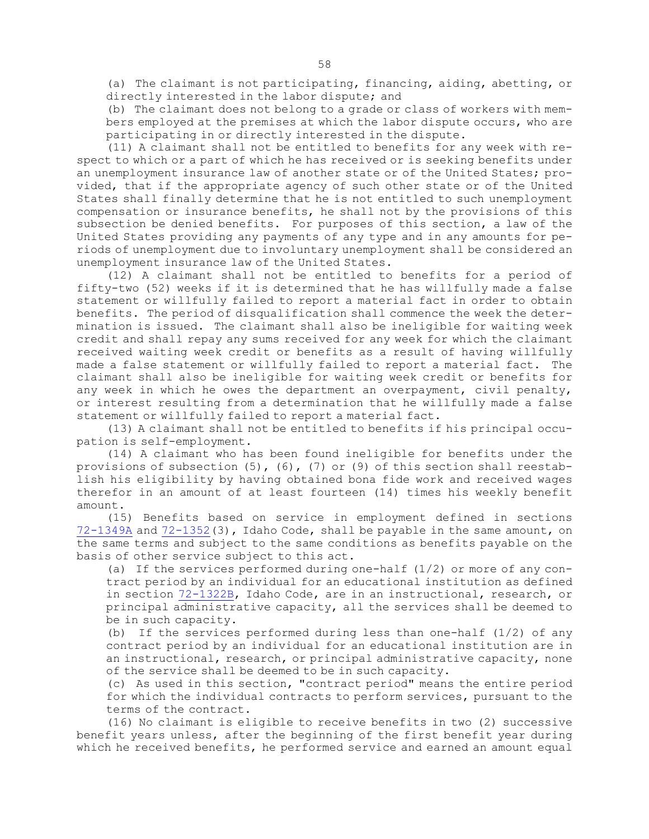(a) The claimant is not participating, financing, aiding, abetting, or directly interested in the labor dispute; and

(b) The claimant does not belong to <sup>a</sup> grade or class of workers with members employed at the premises at which the labor dispute occurs, who are participating in or directly interested in the dispute.

(11) <sup>A</sup> claimant shall not be entitled to benefits for any week with respect to which or <sup>a</sup> part of which he has received or is seeking benefits under an unemployment insurance law of another state or of the United States; provided, that if the appropriate agency of such other state or of the United States shall finally determine that he is not entitled to such unemployment compensation or insurance benefits, he shall not by the provisions of this subsection be denied benefits. For purposes of this section, <sup>a</sup> law of the United States providing any payments of any type and in any amounts for periods of unemployment due to involuntary unemployment shall be considered an unemployment insurance law of the United States.

(12) <sup>A</sup> claimant shall not be entitled to benefits for <sup>a</sup> period of fifty-two (52) weeks if it is determined that he has willfully made <sup>a</sup> false statement or willfully failed to report <sup>a</sup> material fact in order to obtain benefits. The period of disqualification shall commence the week the determination is issued. The claimant shall also be ineligible for waiting week credit and shall repay any sums received for any week for which the claimant received waiting week credit or benefits as <sup>a</sup> result of having willfully made <sup>a</sup> false statement or willfully failed to report <sup>a</sup> material fact. The claimant shall also be ineligible for waiting week credit or benefits for any week in which he owes the department an overpayment, civil penalty, or interest resulting from <sup>a</sup> determination that he willfully made <sup>a</sup> false statement or willfully failed to report <sup>a</sup> material fact.

(13) <sup>A</sup> claimant shall not be entitled to benefits if his principal occupation is self-employment.

(14) <sup>A</sup> claimant who has been found ineligible for benefits under the provisions of subsection (5), (6), (7) or (9) of this section shall reestablish his eligibility by having obtained bona fide work and received wages therefor in an amount of at least fourteen (14) times his weekly benefit amount.

(15) Benefits based on service in employment defined in sections [72-1349A](https://legislature.idaho.gov/statutesrules/idstat/Title72/T72CH13/SECT72-1349A) and [72-1352](https://legislature.idaho.gov/statutesrules/idstat/Title72/T72CH13/SECT72-1352)(3), Idaho Code, shall be payable in the same amount, on the same terms and subject to the same conditions as benefits payable on the basis of other service subject to this act.

(a) If the services performed during one-half  $(1/2)$  or more of any contract period by an individual for an educational institution as defined in section [72-1322B](https://legislature.idaho.gov/statutesrules/idstat/Title72/T72CH13/SECT72-1322B), Idaho Code, are in an instructional, research, or principal administrative capacity, all the services shall be deemed to be in such capacity.

(b) If the services performed during less than one-half  $(1/2)$  of any contract period by an individual for an educational institution are in an instructional, research, or principal administrative capacity, none of the service shall be deemed to be in such capacity.

(c) As used in this section, "contract period" means the entire period for which the individual contracts to perform services, pursuant to the terms of the contract.

(16) No claimant is eligible to receive benefits in two (2) successive benefit years unless, after the beginning of the first benefit year during which he received benefits, he performed service and earned an amount equal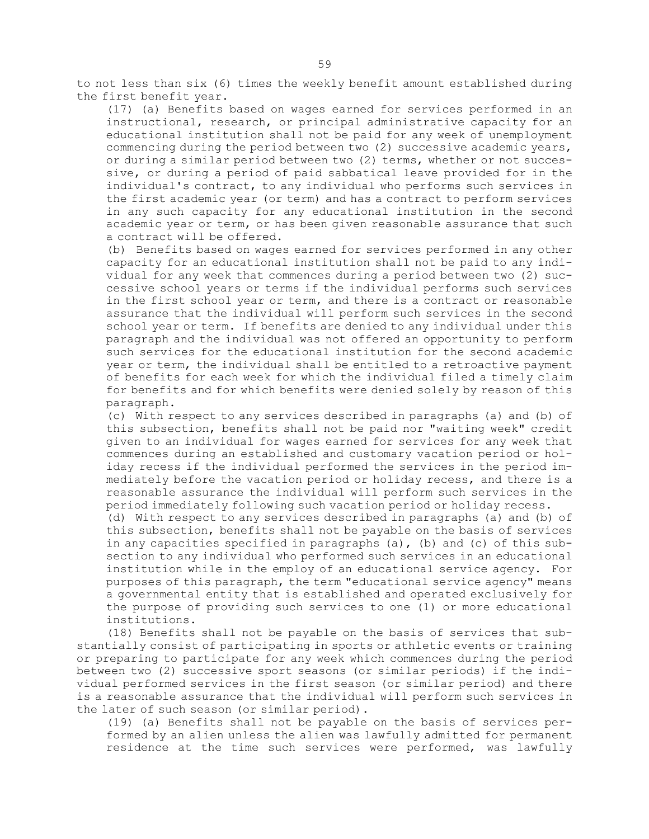to not less than six (6) times the weekly benefit amount established during the first benefit year.

(17) (a) Benefits based on wages earned for services performed in an instructional, research, or principal administrative capacity for an educational institution shall not be paid for any week of unemployment commencing during the period between two (2) successive academic years, or during <sup>a</sup> similar period between two (2) terms, whether or not successive, or during <sup>a</sup> period of paid sabbatical leave provided for in the individual's contract, to any individual who performs such services in the first academic year (or term) and has <sup>a</sup> contract to perform services in any such capacity for any educational institution in the second academic year or term, or has been given reasonable assurance that such <sup>a</sup> contract will be offered.

(b) Benefits based on wages earned for services performed in any other capacity for an educational institution shall not be paid to any individual for any week that commences during <sup>a</sup> period between two (2) successive school years or terms if the individual performs such services in the first school year or term, and there is <sup>a</sup> contract or reasonable assurance that the individual will perform such services in the second school year or term. If benefits are denied to any individual under this paragraph and the individual was not offered an opportunity to perform such services for the educational institution for the second academic year or term, the individual shall be entitled to <sup>a</sup> retroactive payment of benefits for each week for which the individual filed <sup>a</sup> timely claim for benefits and for which benefits were denied solely by reason of this paragraph.

(c) With respect to any services described in paragraphs (a) and (b) of this subsection, benefits shall not be paid nor "waiting week" credit given to an individual for wages earned for services for any week that commences during an established and customary vacation period or holiday recess if the individual performed the services in the period immediately before the vacation period or holiday recess, and there is <sup>a</sup> reasonable assurance the individual will perform such services in the period immediately following such vacation period or holiday recess.

(d) With respect to any services described in paragraphs (a) and (b) of this subsection, benefits shall not be payable on the basis of services in any capacities specified in paragraphs  $(a)$ ,  $(b)$  and  $(c)$  of this subsection to any individual who performed such services in an educational institution while in the employ of an educational service agency. For purposes of this paragraph, the term "educational service agency" means <sup>a</sup> governmental entity that is established and operated exclusively for the purpose of providing such services to one (1) or more educational institutions.

(18) Benefits shall not be payable on the basis of services that substantially consist of participating in sports or athletic events or training or preparing to participate for any week which commences during the period between two (2) successive sport seasons (or similar periods) if the individual performed services in the first season (or similar period) and there is <sup>a</sup> reasonable assurance that the individual will perform such services in the later of such season (or similar period).

(19) (a) Benefits shall not be payable on the basis of services performed by an alien unless the alien was lawfully admitted for permanent residence at the time such services were performed, was lawfully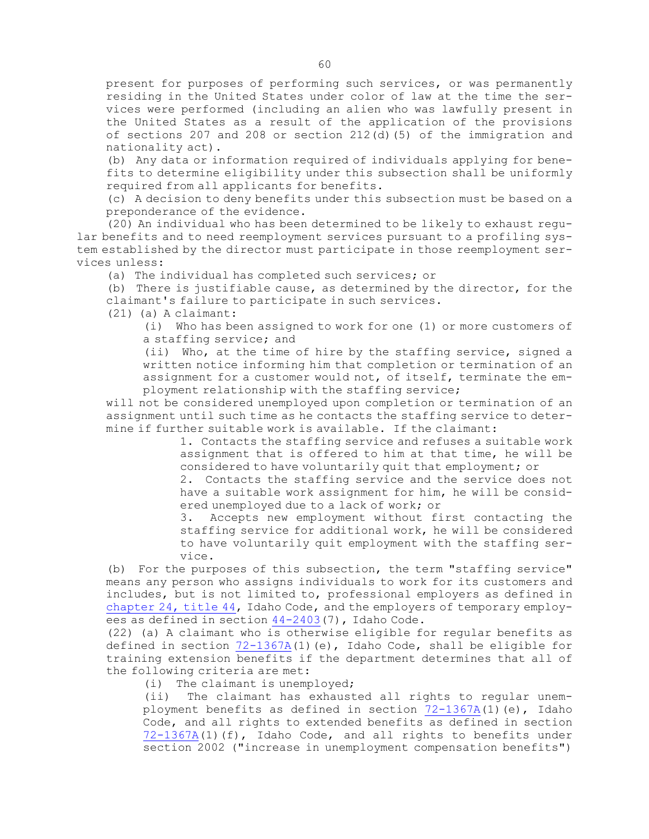present for purposes of performing such services, or was permanently residing in the United States under color of law at the time the services were performed (including an alien who was lawfully present in the United States as <sup>a</sup> result of the application of the provisions of sections 207 and 208 or section 212(d)(5) of the immigration and nationality act).

(b) Any data or information required of individuals applying for benefits to determine eligibility under this subsection shall be uniformly required from all applicants for benefits.

(c) <sup>A</sup> decision to deny benefits under this subsection must be based on <sup>a</sup> preponderance of the evidence.

(20) An individual who has been determined to be likely to exhaust regular benefits and to need reemployment services pursuant to <sup>a</sup> profiling system established by the director must participate in those reemployment services unless:

(a) The individual has completed such services; or

(b) There is justifiable cause, as determined by the director, for the claimant's failure to participate in such services.

(21) (a) A claimant:

(i) Who has been assigned to work for one (1) or more customers of <sup>a</sup> staffing service; and

(ii) Who, at the time of hire by the staffing service, signed <sup>a</sup> written notice informing him that completion or termination of an assignment for <sup>a</sup> customer would not, of itself, terminate the employment relationship with the staffing service;

will not be considered unemployed upon completion or termination of an assignment until such time as he contacts the staffing service to determine if further suitable work is available. If the claimant:

> 1. Contacts the staffing service and refuses <sup>a</sup> suitable work assignment that is offered to him at that time, he will be considered to have voluntarily quit that employment; or

> 2. Contacts the staffing service and the service does not have <sup>a</sup> suitable work assignment for him, he will be considered unemployed due to <sup>a</sup> lack of work; or

> 3. Accepts new employment without first contacting the staffing service for additional work, he will be considered to have voluntarily quit employment with the staffing service.

(b) For the purposes of this subsection, the term "staffing service" means any person who assigns individuals to work for its customers and includes, but is not limited to, professional employers as defined in [chapter](https://legislature.idaho.gov/statutesrules/idstat/Title44/T44CH24) 24, title 44, Idaho Code, and the employers of temporary employees as defined in section [44-2403](https://legislature.idaho.gov/statutesrules/idstat/Title44/T44CH24/SECT44-2403)(7), Idaho Code.

(22) (a) <sup>A</sup> claimant who is otherwise eligible for regular benefits as defined in section [72-1367A](https://legislature.idaho.gov/statutesrules/idstat/Title72/T72CH13/SECT72-1367A)(1)(e), Idaho Code, shall be eligible for training extension benefits if the department determines that all of the following criteria are met:

(i) The claimant is unemployed;

(ii) The claimant has exhausted all rights to regular unemployment benefits as defined in section  $72-1367A(1)(e)$  $72-1367A(1)(e)$ , Idaho Code, and all rights to extended benefits as defined in section [72-1367A](https://legislature.idaho.gov/statutesrules/idstat/Title72/T72CH13/SECT72-1367A)(1)(f), Idaho Code, and all rights to benefits under section 2002 ("increase in unemployment compensation benefits")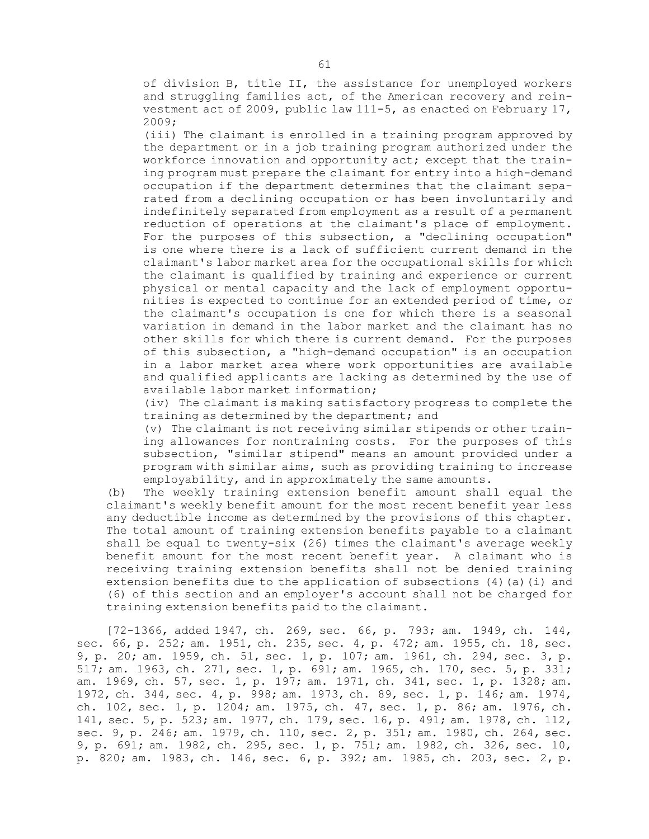of division B, title II, the assistance for unemployed workers and struggling families act, of the American recovery and reinvestment act of 2009, public law 111-5, as enacted on February 17, 2009;

(iii) The claimant is enrolled in <sup>a</sup> training program approved by the department or in <sup>a</sup> job training program authorized under the workforce innovation and opportunity act; except that the training program must prepare the claimant for entry into <sup>a</sup> high-demand occupation if the department determines that the claimant separated from <sup>a</sup> declining occupation or has been involuntarily and indefinitely separated from employment as <sup>a</sup> result of <sup>a</sup> permanent reduction of operations at the claimant's place of employment. For the purposes of this subsection, <sup>a</sup> "declining occupation" is one where there is <sup>a</sup> lack of sufficient current demand in the claimant's labor market area for the occupational skills for which the claimant is qualified by training and experience or current physical or mental capacity and the lack of employment opportunities is expected to continue for an extended period of time, or the claimant's occupation is one for which there is <sup>a</sup> seasonal variation in demand in the labor market and the claimant has no other skills for which there is current demand. For the purposes of this subsection, <sup>a</sup> "high-demand occupation" is an occupation in <sup>a</sup> labor market area where work opportunities are available and qualified applicants are lacking as determined by the use of available labor market information;

(iv) The claimant is making satisfactory progress to complete the training as determined by the department; and

(v) The claimant is not receiving similar stipends or other training allowances for nontraining costs. For the purposes of this subsection, "similar stipend" means an amount provided under <sup>a</sup> program with similar aims, such as providing training to increase employability, and in approximately the same amounts.

(b) The weekly training extension benefit amount shall equal the claimant's weekly benefit amount for the most recent benefit year less any deductible income as determined by the provisions of this chapter. The total amount of training extension benefits payable to <sup>a</sup> claimant shall be equal to twenty-six (26) times the claimant's average weekly benefit amount for the most recent benefit year. <sup>A</sup> claimant who is receiving training extension benefits shall not be denied training extension benefits due to the application of subsections (4)(a)(i) and (6) of this section and an employer's account shall not be charged for training extension benefits paid to the claimant.

[72-1366, added 1947, ch. 269, sec. 66, p. 793; am. 1949, ch. 144, sec. 66, p. 252; am. 1951, ch. 235, sec. 4, p. 472; am. 1955, ch. 18, sec. 9, p. 20; am. 1959, ch. 51, sec. 1, p. 107; am. 1961, ch. 294, sec. 3, p. 517; am. 1963, ch. 271, sec. 1, p. 691; am. 1965, ch. 170, sec. 5, p. 331; am. 1969, ch. 57, sec. 1, p. 197; am. 1971, ch. 341, sec. 1, p. 1328; am. 1972, ch. 344, sec. 4, p. 998; am. 1973, ch. 89, sec. 1, p. 146; am. 1974, ch. 102, sec. 1, p. 1204; am. 1975, ch. 47, sec. 1, p. 86; am. 1976, ch. 141, sec. 5, p. 523; am. 1977, ch. 179, sec. 16, p. 491; am. 1978, ch. 112, sec. 9, p. 246; am. 1979, ch. 110, sec. 2, p. 351; am. 1980, ch. 264, sec. 9, p. 691; am. 1982, ch. 295, sec. 1, p. 751; am. 1982, ch. 326, sec. 10, p. 820; am. 1983, ch. 146, sec. 6, p. 392; am. 1985, ch. 203, sec. 2, p.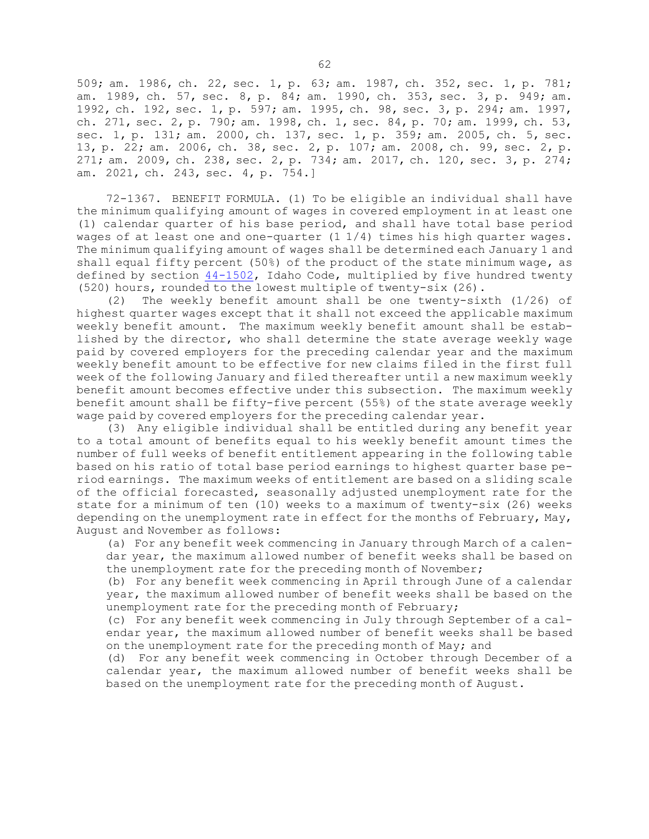509; am. 1986, ch. 22, sec. 1, p. 63; am. 1987, ch. 352, sec. 1, p. 781; am. 1989, ch. 57, sec. 8, p. 84; am. 1990, ch. 353, sec. 3, p. 949; am. 1992, ch. 192, sec. 1, p. 597; am. 1995, ch. 98, sec. 3, p. 294; am. 1997, ch. 271, sec. 2, p. 790; am. 1998, ch. 1, sec. 84, p. 70; am. 1999, ch. 53, sec. 1, p. 131; am. 2000, ch. 137, sec. 1, p. 359; am. 2005, ch. 5, sec. 13, p. 22; am. 2006, ch. 38, sec. 2, p. 107; am. 2008, ch. 99, sec. 2, p. 271; am. 2009, ch. 238, sec. 2, p. 734; am. 2017, ch. 120, sec. 3, p. 274; am. 2021, ch. 243, sec. 4, p. 754.]

72-1367. BENEFIT FORMULA. (1) To be eligible an individual shall have the minimum qualifying amount of wages in covered employment in at least one (1) calendar quarter of his base period, and shall have total base period wages of at least one and one-quarter  $(1\ 1/4)$  times his high quarter wages. The minimum qualifying amount of wages shall be determined each January 1 and shall equal fifty percent (50%) of the product of the state minimum wage, as defined by section [44-1502](https://legislature.idaho.gov/statutesrules/idstat/Title44/T44CH15/SECT44-1502), Idaho Code, multiplied by five hundred twenty (520) hours, rounded to the lowest multiple of twenty-six (26).

(2) The weekly benefit amount shall be one twenty-sixth (1/26) of highest quarter wages except that it shall not exceed the applicable maximum weekly benefit amount. The maximum weekly benefit amount shall be established by the director, who shall determine the state average weekly wage paid by covered employers for the preceding calendar year and the maximum weekly benefit amount to be effective for new claims filed in the first full week of the following January and filed thereafter until <sup>a</sup> new maximum weekly benefit amount becomes effective under this subsection. The maximum weekly benefit amount shall be fifty-five percent (55%) of the state average weekly wage paid by covered employers for the preceding calendar year.

(3) Any eligible individual shall be entitled during any benefit year to <sup>a</sup> total amount of benefits equal to his weekly benefit amount times the number of full weeks of benefit entitlement appearing in the following table based on his ratio of total base period earnings to highest quarter base period earnings. The maximum weeks of entitlement are based on <sup>a</sup> sliding scale of the official forecasted, seasonally adjusted unemployment rate for the state for <sup>a</sup> minimum of ten (10) weeks to <sup>a</sup> maximum of twenty-six (26) weeks depending on the unemployment rate in effect for the months of February, May, August and November as follows:

(a) For any benefit week commencing in January through March of <sup>a</sup> calendar year, the maximum allowed number of benefit weeks shall be based on the unemployment rate for the preceding month of November;

(b) For any benefit week commencing in April through June of <sup>a</sup> calendar year, the maximum allowed number of benefit weeks shall be based on the unemployment rate for the preceding month of February;

(c) For any benefit week commencing in July through September of <sup>a</sup> calendar year, the maximum allowed number of benefit weeks shall be based on the unemployment rate for the preceding month of May; and

(d) For any benefit week commencing in October through December of <sup>a</sup> calendar year, the maximum allowed number of benefit weeks shall be based on the unemployment rate for the preceding month of August.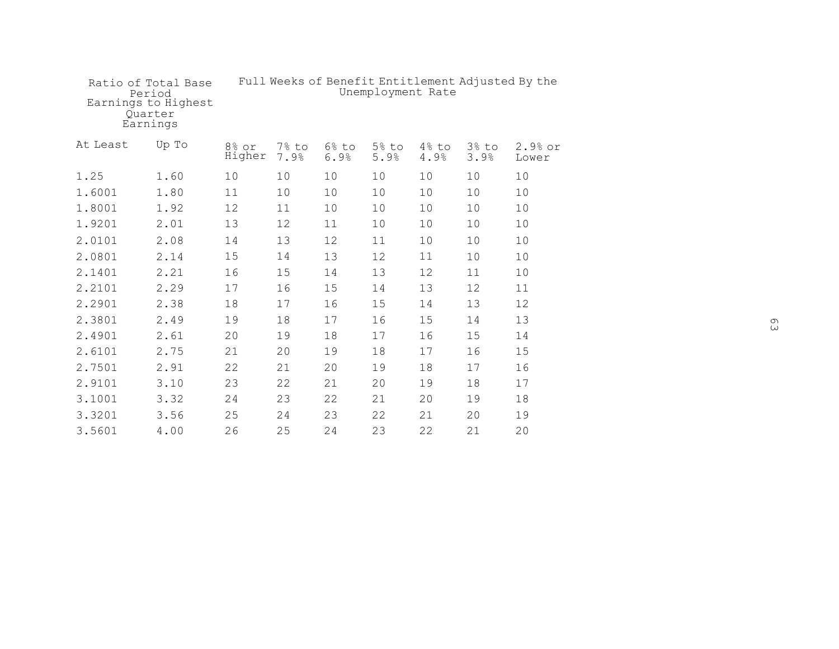|          | Ratio of Total Base<br>Period<br>Earnings to Highest<br>Ouarter<br>Earnings | Full Weeks of Benefit Entitlement Adjusted By the<br>Unemployment Rate |               |               |                  |               |               |                  |
|----------|-----------------------------------------------------------------------------|------------------------------------------------------------------------|---------------|---------------|------------------|---------------|---------------|------------------|
| At Least | Up To                                                                       | 8% or<br>Higher                                                        | 7% to<br>7.9% | 6% to<br>6.9% | $5\%$ to<br>5.9% | 4% to<br>4.9% | 3% to<br>3.9% | 2.9% or<br>Lower |
| 1.25     | 1.60                                                                        | 10                                                                     | 10            | 10            | 10               | 10            | 10            | 10               |
| 1.6001   | 1.80                                                                        | 11                                                                     | 10            | 10            | 10               | 10            | 10            | 10               |
| 1.8001   | 1.92                                                                        | 12                                                                     | 11            | 10            | 10               | 10            | 10            | 10               |
| 1.9201   | 2.01                                                                        | 13                                                                     | 12            | 11            | 10               | 10            | 10            | 10               |
| 2.0101   | 2.08                                                                        | 14                                                                     | 13            | 12            | 11               | 10            | 10            | 10               |
| 2.0801   | 2.14                                                                        | 15                                                                     | 14            | 13            | 12               | 11            | 10            | 10               |
| 2.1401   | 2.21                                                                        | 16                                                                     | 15            | 14            | 13               | 12            | 11            | 10               |
| 2.2101   | 2.29                                                                        | 17                                                                     | 16            | 15            | 14               | 13            | 12            | 11               |
| 2.2901   | 2.38                                                                        | 18                                                                     | 17            | 16            | 15               | 14            | 13            | 12               |
| 2.3801   | 2.49                                                                        | 19                                                                     | 18            | 17            | 16               | 15            | 14            | 13               |
| 2.4901   | 2.61                                                                        | 20                                                                     | 19            | 18            | 17               | 16            | 15            | 14               |
| 2.6101   | 2.75                                                                        | 21                                                                     | 20            | 19            | 18               | 17            | 16            | 15               |
| 2.7501   | 2.91                                                                        | 22                                                                     | 21            | 20            | 19               | 18            | 17            | 16               |
| 2.9101   | 3.10                                                                        | 23                                                                     | 22            | 21            | 20               | 19            | 18            | 17               |
| 3.1001   | 3.32                                                                        | 24                                                                     | 23            | 22            | 21               | 20            | 19            | 18               |
| 3.3201   | 3.56                                                                        | 25                                                                     | 24            | 23            | 22               | 21            | 20            | 19               |
| 3.5601   | 4.00                                                                        | 26                                                                     | 25            | 24            | 23               | 22            | 21            | 20               |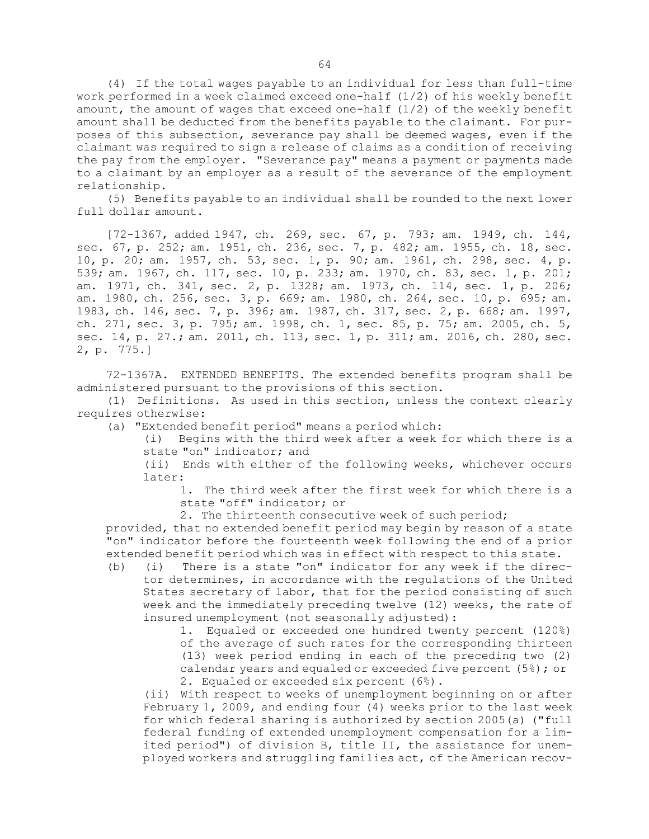(4) If the total wages payable to an individual for less than full-time work performed in <sup>a</sup> week claimed exceed one-half (1/2) of his weekly benefit amount, the amount of wages that exceed one-half (1/2) of the weekly benefit amount shall be deducted from the benefits payable to the claimant. For purposes of this subsection, severance pay shall be deemed wages, even if the claimant was required to sign <sup>a</sup> release of claims as <sup>a</sup> condition of receiving the pay from the employer. "Severance pay" means <sup>a</sup> payment or payments made to <sup>a</sup> claimant by an employer as <sup>a</sup> result of the severance of the employment relationship.

(5) Benefits payable to an individual shall be rounded to the next lower full dollar amount.

[72-1367, added 1947, ch. 269, sec. 67, p. 793; am. 1949, ch. 144, sec. 67, p. 252; am. 1951, ch. 236, sec. 7, p. 482; am. 1955, ch. 18, sec. 10, p. 20; am. 1957, ch. 53, sec. 1, p. 90; am. 1961, ch. 298, sec. 4, p. 539; am. 1967, ch. 117, sec. 10, p. 233; am. 1970, ch. 83, sec. 1, p. 201; am. 1971, ch. 341, sec. 2, p. 1328; am. 1973, ch. 114, sec. 1, p. 206; am. 1980, ch. 256, sec. 3, p. 669; am. 1980, ch. 264, sec. 10, p. 695; am. 1983, ch. 146, sec. 7, p. 396; am. 1987, ch. 317, sec. 2, p. 668; am. 1997, ch. 271, sec. 3, p. 795; am. 1998, ch. 1, sec. 85, p. 75; am. 2005, ch. 5, sec. 14, p. 27.; am. 2011, ch. 113, sec. 1, p. 311; am. 2016, ch. 280, sec. 2, p. 775.]

72-1367A. EXTENDED BENEFITS. The extended benefits program shall be administered pursuant to the provisions of this section.

(1) Definitions. As used in this section, unless the context clearly requires otherwise:

(a) "Extended benefit period" means <sup>a</sup> period which:

(i) Begins with the third week after <sup>a</sup> week for which there is <sup>a</sup> state "on" indicator; and

(ii) Ends with either of the following weeks, whichever occurs later:

1. The third week after the first week for which there is <sup>a</sup> state "off" indicator; or

2. The thirteenth consecutive week of such period;

provided, that no extended benefit period may begin by reason of <sup>a</sup> state "on" indicator before the fourteenth week following the end of <sup>a</sup> prior extended benefit period which was in effect with respect to this state.

(b) (i) There is <sup>a</sup> state "on" indicator for any week if the director determines, in accordance with the regulations of the United States secretary of labor, that for the period consisting of such week and the immediately preceding twelve (12) weeks, the rate of insured unemployment (not seasonally adjusted):

1. Equaled or exceeded one hundred twenty percent (120%) of the average of such rates for the corresponding thirteen (13) week period ending in each of the preceding two (2) calendar years and equaled or exceeded five percent (5%); or 2. Equaled or exceeded six percent (6%).

(ii) With respect to weeks of unemployment beginning on or after February 1, 2009, and ending four (4) weeks prior to the last week for which federal sharing is authorized by section 2005(a) ("full federal funding of extended unemployment compensation for <sup>a</sup> limited period") of division B, title II, the assistance for unemployed workers and struggling families act, of the American recov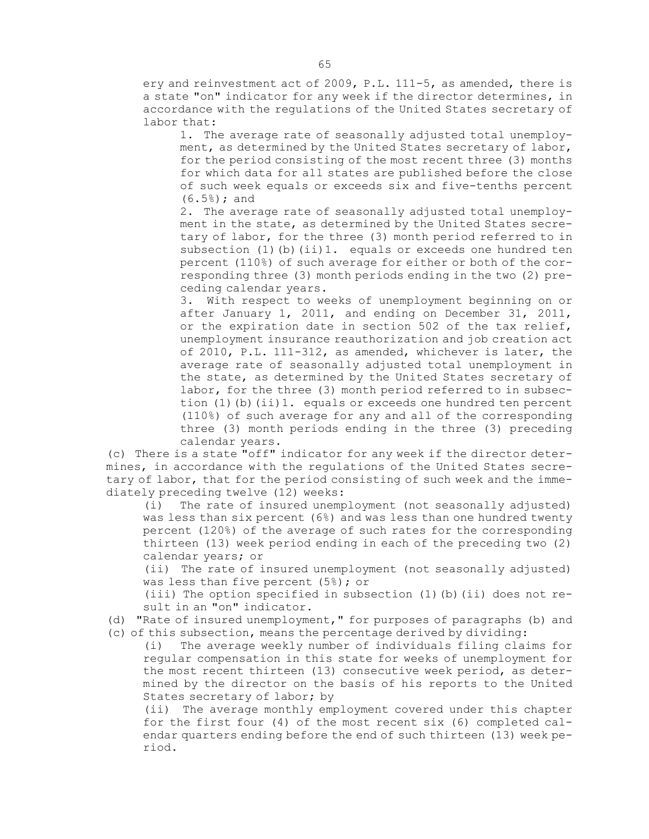ery and reinvestment act of 2009, P.L. 111-5, as amended, there is <sup>a</sup> state "on" indicator for any week if the director determines, in accordance with the regulations of the United States secretary of labor that:

1. The average rate of seasonally adjusted total unemployment, as determined by the United States secretary of labor, for the period consisting of the most recent three (3) months for which data for all states are published before the close of such week equals or exceeds six and five-tenths percent (6.5%); and

2. The average rate of seasonally adjusted total unemployment in the state, as determined by the United States secretary of labor, for the three (3) month period referred to in subsection (1)(b)(ii)1. equals or exceeds one hundred ten percent (110%) of such average for either or both of the corresponding three (3) month periods ending in the two (2) preceding calendar years.

3. With respect to weeks of unemployment beginning on or after January 1, 2011, and ending on December 31, 2011, or the expiration date in section 502 of the tax relief, unemployment insurance reauthorization and job creation act of 2010, P.L. 111-312, as amended, whichever is later, the average rate of seasonally adjusted total unemployment in the state, as determined by the United States secretary of labor, for the three (3) month period referred to in subsection (1)(b)(ii)1. equals or exceeds one hundred ten percent (110%) of such average for any and all of the corresponding three (3) month periods ending in the three (3) preceding calendar years.

(c) There is <sup>a</sup> state "off" indicator for any week if the director determines, in accordance with the regulations of the United States secretary of labor, that for the period consisting of such week and the immediately preceding twelve (12) weeks:

(i) The rate of insured unemployment (not seasonally adjusted) was less than six percent (6%) and was less than one hundred twenty percent (120%) of the average of such rates for the corresponding thirteen (13) week period ending in each of the preceding two (2) calendar years; or

(ii) The rate of insured unemployment (not seasonally adjusted) was less than five percent (5%); or

(iii) The option specified in subsection (1)(b)(ii) does not result in an "on" indicator.

(d) "Rate of insured unemployment," for purposes of paragraphs (b) and (c) of this subsection, means the percentage derived by dividing:

(i) The average weekly number of individuals filing claims for regular compensation in this state for weeks of unemployment for the most recent thirteen (13) consecutive week period, as determined by the director on the basis of his reports to the United States secretary of labor; by

(ii) The average monthly employment covered under this chapter for the first four (4) of the most recent six (6) completed calendar quarters ending before the end of such thirteen (13) week period.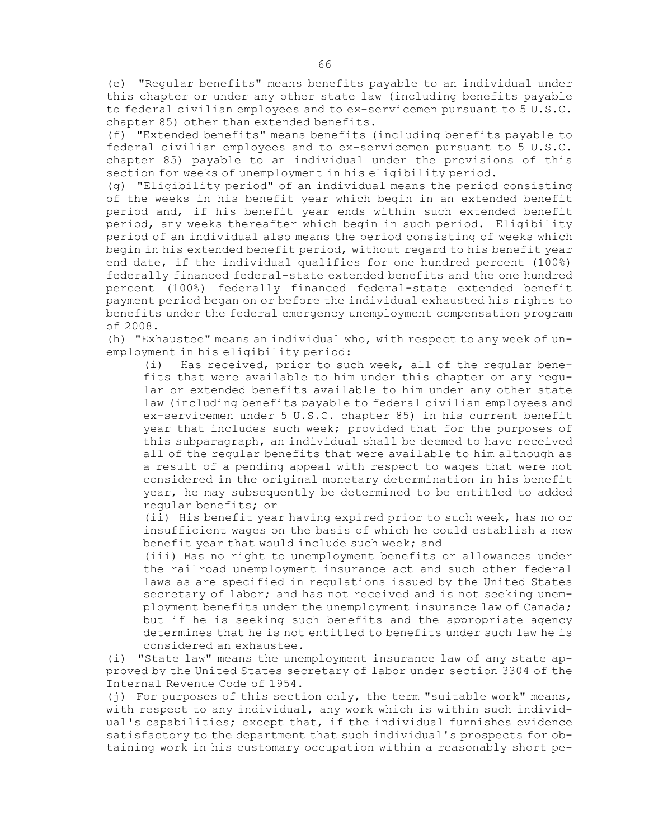(e) "Regular benefits" means benefits payable to an individual under this chapter or under any other state law (including benefits payable to federal civilian employees and to ex-servicemen pursuant to 5 U.S.C. chapter 85) other than extended benefits.

(f) "Extended benefits" means benefits (including benefits payable to federal civilian employees and to ex-servicemen pursuant to 5 U.S.C. chapter 85) payable to an individual under the provisions of this section for weeks of unemployment in his eligibility period.

(g) "Eligibility period" of an individual means the period consisting of the weeks in his benefit year which begin in an extended benefit period and, if his benefit year ends within such extended benefit period, any weeks thereafter which begin in such period. Eligibility period of an individual also means the period consisting of weeks which begin in his extended benefit period, without regard to his benefit year end date, if the individual qualifies for one hundred percent (100%) federally financed federal-state extended benefits and the one hundred percent (100%) federally financed federal-state extended benefit payment period began on or before the individual exhausted his rights to benefits under the federal emergency unemployment compensation program of 2008.

(h) "Exhaustee" means an individual who, with respect to any week of unemployment in his eligibility period:

(i) Has received, prior to such week, all of the regular benefits that were available to him under this chapter or any regular or extended benefits available to him under any other state law (including benefits payable to federal civilian employees and ex-servicemen under 5 U.S.C. chapter 85) in his current benefit year that includes such week; provided that for the purposes of this subparagraph, an individual shall be deemed to have received all of the regular benefits that were available to him although as <sup>a</sup> result of <sup>a</sup> pending appeal with respect to wages that were not considered in the original monetary determination in his benefit year, he may subsequently be determined to be entitled to added regular benefits; or

(ii) His benefit year having expired prior to such week, has no or insufficient wages on the basis of which he could establish <sup>a</sup> new benefit year that would include such week; and

(iii) Has no right to unemployment benefits or allowances under the railroad unemployment insurance act and such other federal laws as are specified in regulations issued by the United States secretary of labor; and has not received and is not seeking unemployment benefits under the unemployment insurance law of Canada; but if he is seeking such benefits and the appropriate agency determines that he is not entitled to benefits under such law he is considered an exhaustee.

(i) "State law" means the unemployment insurance law of any state approved by the United States secretary of labor under section 3304 of the Internal Revenue Code of 1954.

(j) For purposes of this section only, the term "suitable work" means, with respect to any individual, any work which is within such individual's capabilities; except that, if the individual furnishes evidence satisfactory to the department that such individual's prospects for obtaining work in his customary occupation within <sup>a</sup> reasonably short pe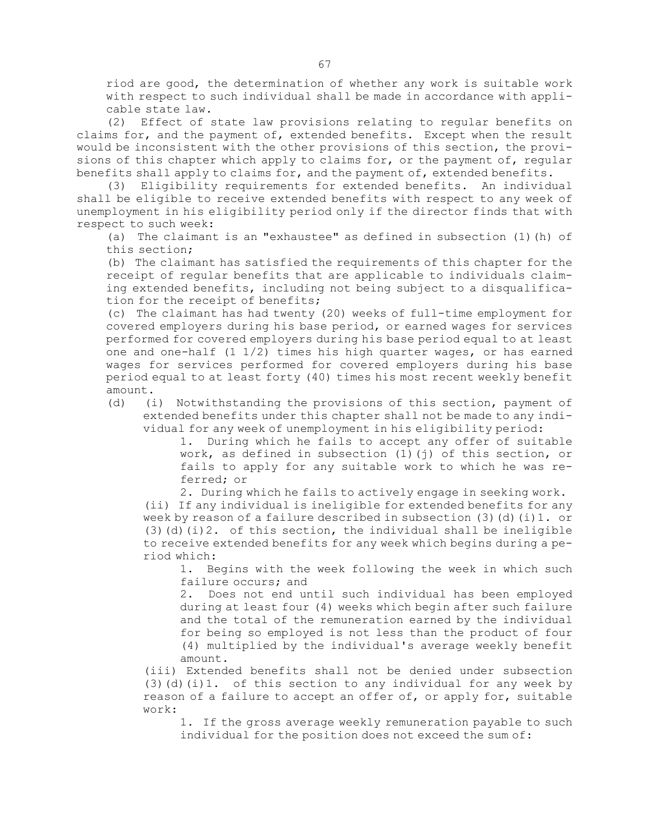riod are good, the determination of whether any work is suitable work with respect to such individual shall be made in accordance with applicable state law.

(2) Effect of state law provisions relating to regular benefits on claims for, and the payment of, extended benefits. Except when the result would be inconsistent with the other provisions of this section, the provisions of this chapter which apply to claims for, or the payment of, regular benefits shall apply to claims for, and the payment of, extended benefits.

(3) Eligibility requirements for extended benefits. An individual shall be eligible to receive extended benefits with respect to any week of unemployment in his eligibility period only if the director finds that with respect to such week:

(a) The claimant is an "exhaustee" as defined in subsection  $(1)$  (h) of this section;

(b) The claimant has satisfied the requirements of this chapter for the receipt of regular benefits that are applicable to individuals claiming extended benefits, including not being subject to <sup>a</sup> disqualification for the receipt of benefits;

(c) The claimant has had twenty (20) weeks of full-time employment for covered employers during his base period, or earned wages for services performed for covered employers during his base period equal to at least one and one-half  $(1\ 1/2)$  times his high quarter wages, or has earned wages for services performed for covered employers during his base period equal to at least forty (40) times his most recent weekly benefit amount.

(d) (i) Notwithstanding the provisions of this section, payment of extended benefits under this chapter shall not be made to any individual for any week of unemployment in his eligibility period:

1. During which he fails to accept any offer of suitable work, as defined in subsection (1)(j) of this section, or fails to apply for any suitable work to which he was referred; or

2. During which he fails to actively engage in seeking work.

(ii) If any individual is ineligible for extended benefits for any week by reason of a failure described in subsection  $(3)(d)(i)1$ . or (3)(d)(i)2. of this section, the individual shall be ineligible to receive extended benefits for any week which begins during <sup>a</sup> period which:

1. Begins with the week following the week in which such failure occurs; and

2. Does not end until such individual has been employed during at least four (4) weeks which begin after such failure and the total of the remuneration earned by the individual for being so employed is not less than the product of four (4) multiplied by the individual's average weekly benefit amount.

(iii) Extended benefits shall not be denied under subsection (3)(d)(i)1. of this section to any individual for any week by reason of <sup>a</sup> failure to accept an offer of, or apply for, suitable work:

1. If the gross average weekly remuneration payable to such individual for the position does not exceed the sum of: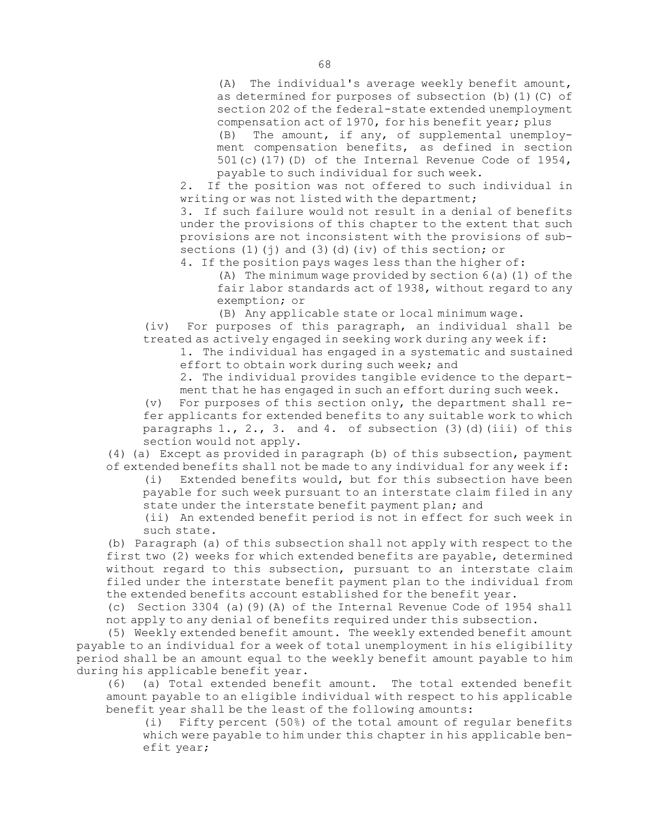(A) The individual's average weekly benefit amount, as determined for purposes of subsection (b)(1)(C) of section 202 of the federal-state extended unemployment compensation act of 1970, for his benefit year; plus

(B) The amount, if any, of supplemental unemployment compensation benefits, as defined in section 501(c)(17)(D) of the Internal Revenue Code of 1954, payable to such individual for such week.

2. If the position was not offered to such individual in writing or was not listed with the department;

3. If such failure would not result in <sup>a</sup> denial of benefits under the provisions of this chapter to the extent that such provisions are not inconsistent with the provisions of subsections  $(1)(j)$  and  $(3)(d)(iv)$  of this section; or

4. If the position pays wages less than the higher of:

(A) The minimum wage provided by section 6(a)(1) of the fair labor standards act of 1938, without regard to any exemption; or

(B) Any applicable state or local minimum wage.

(iv) For purposes of this paragraph, an individual shall be treated as actively engaged in seeking work during any week if:

1. The individual has engaged in <sup>a</sup> systematic and sustained effort to obtain work during such week; and

2. The individual provides tangible evidence to the department that he has engaged in such an effort during such week.

(v) For purposes of this section only, the department shall refer applicants for extended benefits to any suitable work to which paragraphs  $1.$ ,  $2.$ ,  $3.$  and  $4.$  of subsection (3)(d)(iii) of this section would not apply.

(4) (a) Except as provided in paragraph (b) of this subsection, payment of extended benefits shall not be made to any individual for any week if:

(i) Extended benefits would, but for this subsection have been payable for such week pursuant to an interstate claim filed in any state under the interstate benefit payment plan; and

(ii) An extended benefit period is not in effect for such week in such state.

(b) Paragraph (a) of this subsection shall not apply with respect to the first two (2) weeks for which extended benefits are payable, determined without regard to this subsection, pursuant to an interstate claim filed under the interstate benefit payment plan to the individual from the extended benefits account established for the benefit year.

(c) Section 3304 (a)(9)(A) of the Internal Revenue Code of 1954 shall not apply to any denial of benefits required under this subsection.

(5) Weekly extended benefit amount. The weekly extended benefit amount payable to an individual for <sup>a</sup> week of total unemployment in his eligibility period shall be an amount equal to the weekly benefit amount payable to him during his applicable benefit year.

(6) (a) Total extended benefit amount. The total extended benefit amount payable to an eligible individual with respect to his applicable benefit year shall be the least of the following amounts:

(i) Fifty percent (50%) of the total amount of regular benefits which were payable to him under this chapter in his applicable benefit year;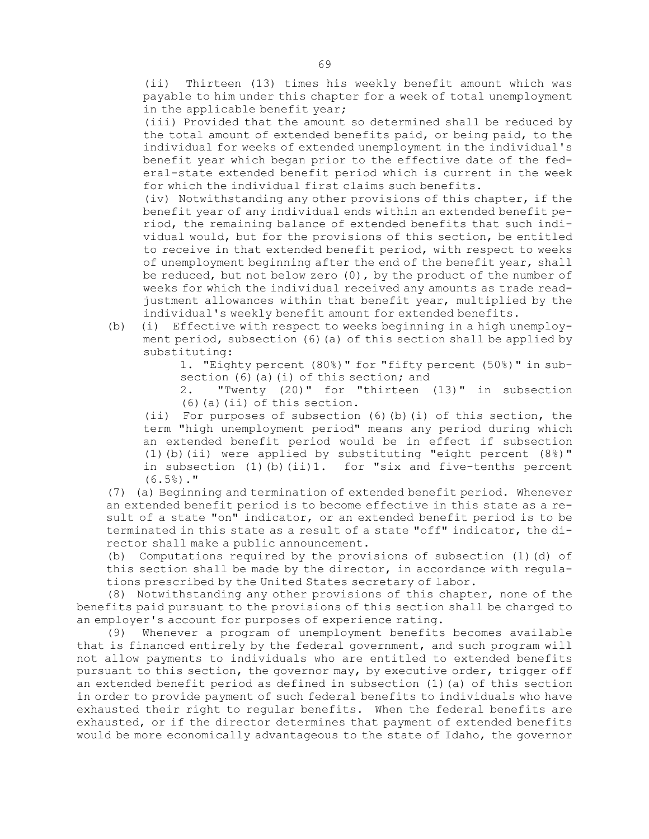(ii) Thirteen (13) times his weekly benefit amount which was payable to him under this chapter for <sup>a</sup> week of total unemployment in the applicable benefit year;

(iii) Provided that the amount so determined shall be reduced by the total amount of extended benefits paid, or being paid, to the individual for weeks of extended unemployment in the individual's benefit year which began prior to the effective date of the federal-state extended benefit period which is current in the week for which the individual first claims such benefits.

(iv) Notwithstanding any other provisions of this chapter, if the benefit year of any individual ends within an extended benefit period, the remaining balance of extended benefits that such individual would, but for the provisions of this section, be entitled to receive in that extended benefit period, with respect to weeks of unemployment beginning after the end of the benefit year, shall be reduced, but not below zero (0), by the product of the number of weeks for which the individual received any amounts as trade readjustment allowances within that benefit year, multiplied by the individual's weekly benefit amount for extended benefits.

(b) (i) Effective with respect to weeks beginning in <sup>a</sup> high unemployment period, subsection (6) (a) of this section shall be applied by substituting:

> 1. "Eighty percent (80%)" for "fifty percent (50%)" in subsection (6)(a)(i) of this section; and

> 2. "Twenty (20)" for "thirteen (13)" in subsection (6)(a)(ii) of this section.

(ii) For purposes of subsection (6)(b)(i) of this section, the term "high unemployment period" means any period during which an extended benefit period would be in effect if subsection (1)(b)(ii) were applied by substituting "eight percent (8%)" in subsection  $(1)$  (b)  $(ii)$ 1. for "six and five-tenths percent  $(6.5\%)$ ."

(7) (a) Beginning and termination of extended benefit period. Whenever an extended benefit period is to become effective in this state as <sup>a</sup> result of <sup>a</sup> state "on" indicator, or an extended benefit period is to be terminated in this state as <sup>a</sup> result of <sup>a</sup> state "off" indicator, the director shall make <sup>a</sup> public announcement.

(b) Computations required by the provisions of subsection (1)(d) of this section shall be made by the director, in accordance with regulations prescribed by the United States secretary of labor.

(8) Notwithstanding any other provisions of this chapter, none of the benefits paid pursuant to the provisions of this section shall be charged to an employer's account for purposes of experience rating.

(9) Whenever <sup>a</sup> program of unemployment benefits becomes available that is financed entirely by the federal government, and such program will not allow payments to individuals who are entitled to extended benefits pursuant to this section, the governor may, by executive order, trigger off an extended benefit period as defined in subsection (1)(a) of this section in order to provide payment of such federal benefits to individuals who have exhausted their right to regular benefits. When the federal benefits are exhausted, or if the director determines that payment of extended benefits would be more economically advantageous to the state of Idaho, the governor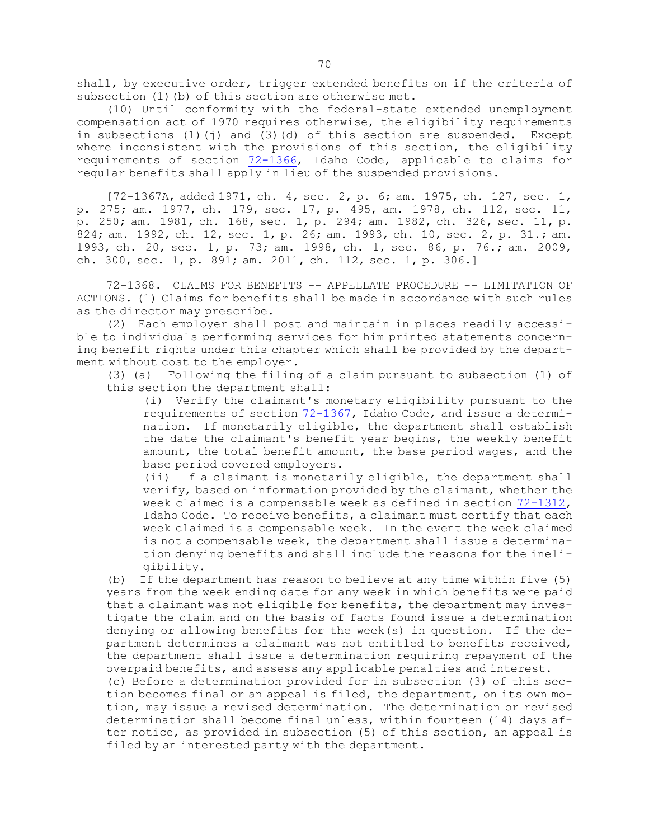shall, by executive order, trigger extended benefits on if the criteria of subsection (1) (b) of this section are otherwise met.

(10) Until conformity with the federal-state extended unemployment compensation act of 1970 requires otherwise, the eligibility requirements in subsections (1)(j) and (3)(d) of this section are suspended. Except where inconsistent with the provisions of this section, the eligibility requirements of section [72-1366](https://legislature.idaho.gov/statutesrules/idstat/Title72/T72CH13/SECT72-1366), Idaho Code, applicable to claims for regular benefits shall apply in lieu of the suspended provisions.

[72-1367A, added 1971, ch. 4, sec. 2, p. 6; am. 1975, ch. 127, sec. 1, p. 275; am. 1977, ch. 179, sec. 17, p. 495, am. 1978, ch. 112, sec. 11, p. 250; am. 1981, ch. 168, sec. 1, p. 294; am. 1982, ch. 326, sec. 11, p. 824; am. 1992, ch. 12, sec. 1, p. 26; am. 1993, ch. 10, sec. 2, p. 31.; am. 1993, ch. 20, sec. 1, p. 73; am. 1998, ch. 1, sec. 86, p. 76.; am. 2009, ch. 300, sec. 1, p. 891; am. 2011, ch. 112, sec. 1, p. 306.]

72-1368. CLAIMS FOR BENEFITS -- APPELLATE PROCEDURE -- LIMITATION OF ACTIONS. (1) Claims for benefits shall be made in accordance with such rules as the director may prescribe.

(2) Each employer shall post and maintain in places readily accessible to individuals performing services for him printed statements concerning benefit rights under this chapter which shall be provided by the department without cost to the employer.

(3) (a) Following the filing of <sup>a</sup> claim pursuant to subsection (1) of this section the department shall:

(i) Verify the claimant's monetary eligibility pursuant to the requirements of section [72-1367](https://legislature.idaho.gov/statutesrules/idstat/Title72/T72CH13/SECT72-1367), Idaho Code, and issue <sup>a</sup> determination. If monetarily eligible, the department shall establish the date the claimant's benefit year begins, the weekly benefit amount, the total benefit amount, the base period wages, and the base period covered employers.

(ii) If <sup>a</sup> claimant is monetarily eligible, the department shall verify, based on information provided by the claimant, whether the week claimed is <sup>a</sup> compensable week as defined in section [72-1312](https://legislature.idaho.gov/statutesrules/idstat/Title72/T72CH13/SECT72-1312), Idaho Code. To receive benefits, <sup>a</sup> claimant must certify that each week claimed is <sup>a</sup> compensable week. In the event the week claimed is not <sup>a</sup> compensable week, the department shall issue <sup>a</sup> determination denying benefits and shall include the reasons for the ineligibility.

(b) If the department has reason to believe at any time within five (5) years from the week ending date for any week in which benefits were paid that <sup>a</sup> claimant was not eligible for benefits, the department may investigate the claim and on the basis of facts found issue <sup>a</sup> determination denying or allowing benefits for the week(s) in question. If the department determines <sup>a</sup> claimant was not entitled to benefits received, the department shall issue <sup>a</sup> determination requiring repayment of the overpaid benefits, and assess any applicable penalties and interest.

(c) Before <sup>a</sup> determination provided for in subsection (3) of this section becomes final or an appeal is filed, the department, on its own motion, may issue <sup>a</sup> revised determination. The determination or revised determination shall become final unless, within fourteen (14) days after notice, as provided in subsection (5) of this section, an appeal is filed by an interested party with the department.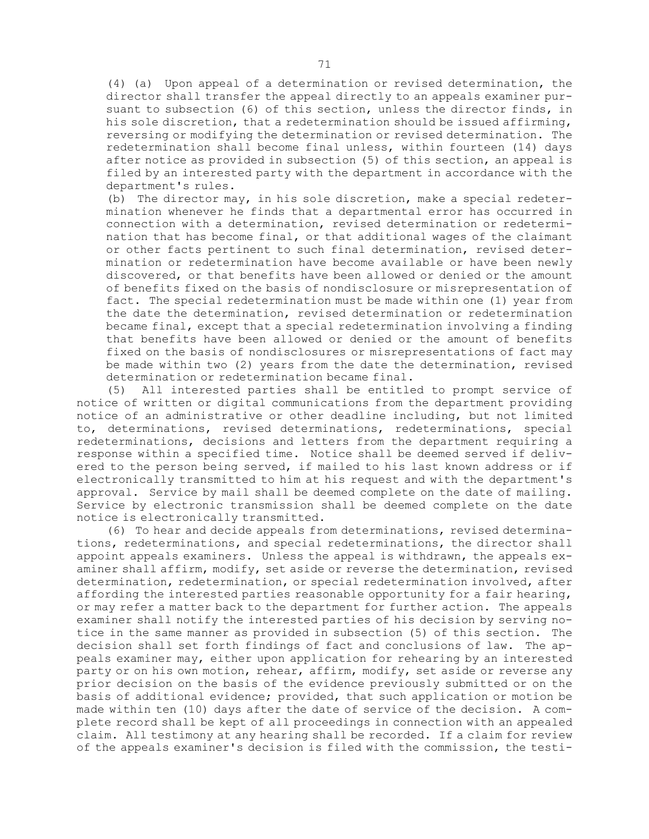(4) (a) Upon appeal of <sup>a</sup> determination or revised determination, the director shall transfer the appeal directly to an appeals examiner pursuant to subsection (6) of this section, unless the director finds, in his sole discretion, that <sup>a</sup> redetermination should be issued affirming, reversing or modifying the determination or revised determination. The redetermination shall become final unless, within fourteen (14) days after notice as provided in subsection (5) of this section, an appeal is filed by an interested party with the department in accordance with the department's rules.

(b) The director may, in his sole discretion, make <sup>a</sup> special redetermination whenever he finds that <sup>a</sup> departmental error has occurred in connection with <sup>a</sup> determination, revised determination or redetermination that has become final, or that additional wages of the claimant or other facts pertinent to such final determination, revised determination or redetermination have become available or have been newly discovered, or that benefits have been allowed or denied or the amount of benefits fixed on the basis of nondisclosure or misrepresentation of fact. The special redetermination must be made within one (1) year from the date the determination, revised determination or redetermination became final, except that <sup>a</sup> special redetermination involving <sup>a</sup> finding that benefits have been allowed or denied or the amount of benefits fixed on the basis of nondisclosures or misrepresentations of fact may be made within two (2) years from the date the determination, revised determination or redetermination became final.

(5) All interested parties shall be entitled to prompt service of notice of written or digital communications from the department providing notice of an administrative or other deadline including, but not limited to, determinations, revised determinations, redeterminations, special redeterminations, decisions and letters from the department requiring <sup>a</sup> response within <sup>a</sup> specified time. Notice shall be deemed served if delivered to the person being served, if mailed to his last known address or if electronically transmitted to him at his request and with the department's approval. Service by mail shall be deemed complete on the date of mailing. Service by electronic transmission shall be deemed complete on the date notice is electronically transmitted.

(6) To hear and decide appeals from determinations, revised determinations, redeterminations, and special redeterminations, the director shall appoint appeals examiners. Unless the appeal is withdrawn, the appeals examiner shall affirm, modify, set aside or reverse the determination, revised determination, redetermination, or special redetermination involved, after affording the interested parties reasonable opportunity for <sup>a</sup> fair hearing, or may refer <sup>a</sup> matter back to the department for further action. The appeals examiner shall notify the interested parties of his decision by serving notice in the same manner as provided in subsection (5) of this section. The decision shall set forth findings of fact and conclusions of law. The appeals examiner may, either upon application for rehearing by an interested party or on his own motion, rehear, affirm, modify, set aside or reverse any prior decision on the basis of the evidence previously submitted or on the basis of additional evidence; provided, that such application or motion be made within ten (10) days after the date of service of the decision. <sup>A</sup> complete record shall be kept of all proceedings in connection with an appealed claim. All testimony at any hearing shall be recorded. If <sup>a</sup> claim for review of the appeals examiner's decision is filed with the commission, the testi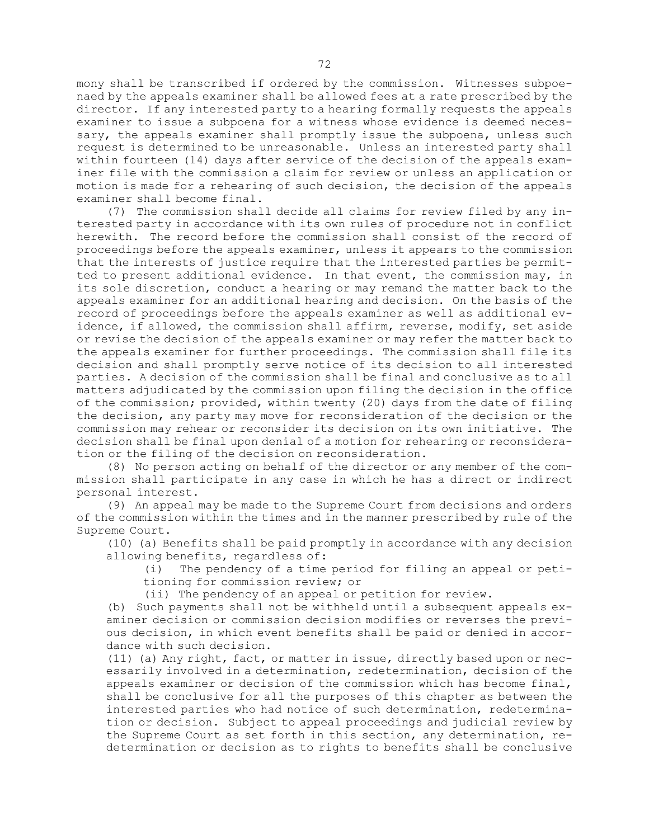mony shall be transcribed if ordered by the commission. Witnesses subpoenaed by the appeals examiner shall be allowed fees at <sup>a</sup> rate prescribed by the director. If any interested party to <sup>a</sup> hearing formally requests the appeals examiner to issue <sup>a</sup> subpoena for <sup>a</sup> witness whose evidence is deemed necessary, the appeals examiner shall promptly issue the subpoena, unless such request is determined to be unreasonable. Unless an interested party shall within fourteen (14) days after service of the decision of the appeals examiner file with the commission <sup>a</sup> claim for review or unless an application or motion is made for <sup>a</sup> rehearing of such decision, the decision of the appeals examiner shall become final.

(7) The commission shall decide all claims for review filed by any interested party in accordance with its own rules of procedure not in conflict herewith. The record before the commission shall consist of the record of proceedings before the appeals examiner, unless it appears to the commission that the interests of justice require that the interested parties be permitted to present additional evidence. In that event, the commission may, in its sole discretion, conduct <sup>a</sup> hearing or may remand the matter back to the appeals examiner for an additional hearing and decision. On the basis of the record of proceedings before the appeals examiner as well as additional evidence, if allowed, the commission shall affirm, reverse, modify, set aside or revise the decision of the appeals examiner or may refer the matter back to the appeals examiner for further proceedings. The commission shall file its decision and shall promptly serve notice of its decision to all interested parties. <sup>A</sup> decision of the commission shall be final and conclusive as to all matters adjudicated by the commission upon filing the decision in the office of the commission; provided, within twenty (20) days from the date of filing the decision, any party may move for reconsideration of the decision or the commission may rehear or reconsider its decision on its own initiative. The decision shall be final upon denial of <sup>a</sup> motion for rehearing or reconsideration or the filing of the decision on reconsideration.

(8) No person acting on behalf of the director or any member of the commission shall participate in any case in which he has <sup>a</sup> direct or indirect personal interest.

(9) An appeal may be made to the Supreme Court from decisions and orders of the commission within the times and in the manner prescribed by rule of the Supreme Court.

(10) (a) Benefits shall be paid promptly in accordance with any decision allowing benefits, regardless of:

(i) The pendency of <sup>a</sup> time period for filing an appeal or petitioning for commission review; or

(ii) The pendency of an appeal or petition for review.

(b) Such payments shall not be withheld until <sup>a</sup> subsequent appeals examiner decision or commission decision modifies or reverses the previous decision, in which event benefits shall be paid or denied in accordance with such decision.

(11) (a) Any right, fact, or matter in issue, directly based upon or necessarily involved in <sup>a</sup> determination, redetermination, decision of the appeals examiner or decision of the commission which has become final, shall be conclusive for all the purposes of this chapter as between the interested parties who had notice of such determination, redetermination or decision. Subject to appeal proceedings and judicial review by the Supreme Court as set forth in this section, any determination, redetermination or decision as to rights to benefits shall be conclusive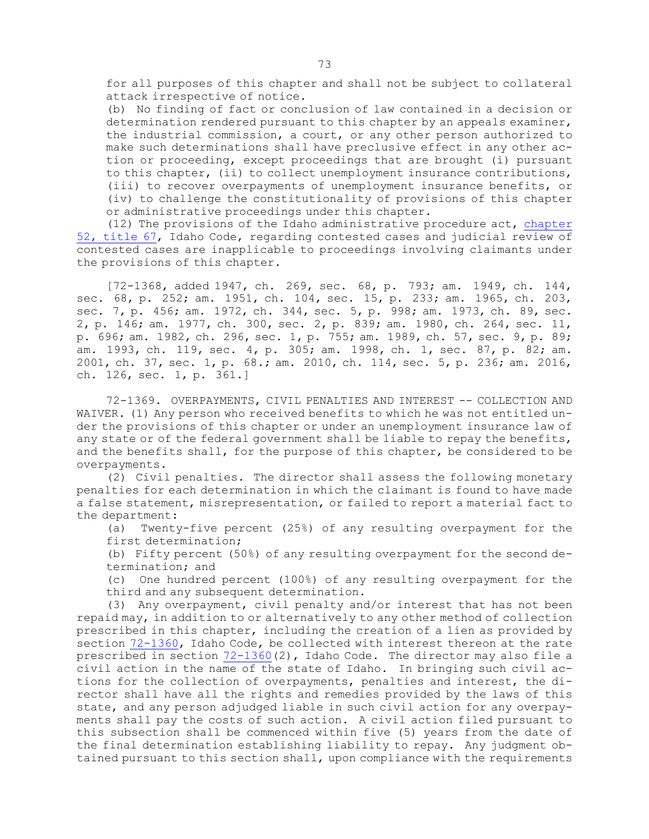for all purposes of this chapter and shall not be subject to collateral attack irrespective of notice.

(b) No finding of fact or conclusion of law contained in <sup>a</sup> decision or determination rendered pursuant to this chapter by an appeals examiner, the industrial commission, <sup>a</sup> court, or any other person authorized to make such determinations shall have preclusive effect in any other action or proceeding, except proceedings that are brought (i) pursuant to this chapter, (ii) to collect unemployment insurance contributions, (iii) to recover overpayments of unemployment insurance benefits, or (iv) to challenge the constitutionality of provisions of this chapter or administrative proceedings under this chapter.

(12) The provisions of the Idaho administrative procedure act, [chapter](https://legislature.idaho.gov/statutesrules/idstat/Title67/T67CH52) 52, [title](https://legislature.idaho.gov/statutesrules/idstat/Title67/T67CH52) 67, Idaho Code, regarding contested cases and judicial review of contested cases are inapplicable to proceedings involving claimants under the provisions of this chapter.

[72-1368, added 1947, ch. 269, sec. 68, p. 793; am. 1949, ch. 144, sec. 68, p. 252; am. 1951, ch. 104, sec. 15, p. 233; am. 1965, ch. 203, sec. 7, p. 456; am. 1972, ch. 344, sec. 5, p. 998; am. 1973, ch. 89, sec. 2, p. 146; am. 1977, ch. 300, sec. 2, p. 839; am. 1980, ch. 264, sec. 11, p. 696; am. 1982, ch. 296, sec. 1, p. 755; am. 1989, ch. 57, sec. 9, p. 89; am. 1993, ch. 119, sec. 4, p. 305; am. 1998, ch. 1, sec. 87, p. 82; am. 2001, ch. 37, sec. 1, p. 68.; am. 2010, ch. 114, sec. 5, p. 236; am. 2016, ch. 126, sec. 1, p. 361.]

72-1369. OVERPAYMENTS, CIVIL PENALTIES AND INTEREST -- COLLECTION AND WAIVER. (1) Any person who received benefits to which he was not entitled under the provisions of this chapter or under an unemployment insurance law of any state or of the federal government shall be liable to repay the benefits, and the benefits shall, for the purpose of this chapter, be considered to be overpayments.

(2) Civil penalties. The director shall assess the following monetary penalties for each determination in which the claimant is found to have made <sup>a</sup> false statement, misrepresentation, or failed to report <sup>a</sup> material fact to the department:

(a) Twenty-five percent (25%) of any resulting overpayment for the first determination;

(b) Fifty percent (50%) of any resulting overpayment for the second determination; and

(c) One hundred percent (100%) of any resulting overpayment for the third and any subsequent determination.

(3) Any overpayment, civil penalty and/or interest that has not been repaid may, in addition to or alternatively to any other method of collection prescribed in this chapter, including the creation of <sup>a</sup> lien as provided by section [72-1360](https://legislature.idaho.gov/statutesrules/idstat/Title72/T72CH13/SECT72-1360), Idaho Code, be collected with interest thereon at the rate prescribed in section  $72-1360(2)$  $72-1360(2)$ , Idaho Code. The director may also file a civil action in the name of the state of Idaho. In bringing such civil actions for the collection of overpayments, penalties and interest, the director shall have all the rights and remedies provided by the laws of this state, and any person adjudged liable in such civil action for any overpayments shall pay the costs of such action. <sup>A</sup> civil action filed pursuant to this subsection shall be commenced within five (5) years from the date of the final determination establishing liability to repay. Any judgment obtained pursuant to this section shall, upon compliance with the requirements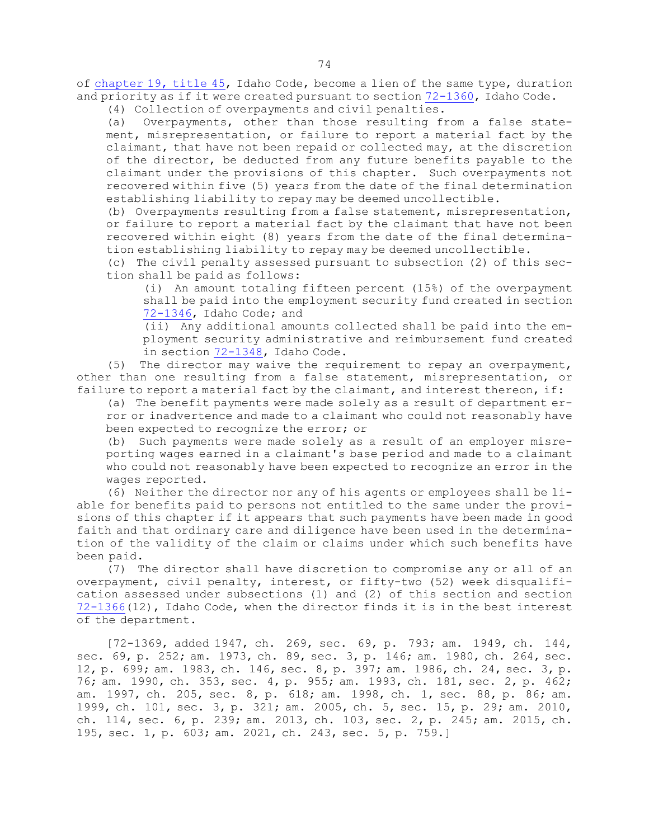of [chapter](https://legislature.idaho.gov/statutesrules/idstat/Title45/T45CH19) 19, title 45, Idaho Code, become a lien of the same type, duration and priority as if it were created pursuant to section [72-1360](https://legislature.idaho.gov/statutesrules/idstat/Title72/T72CH13/SECT72-1360), Idaho Code.

(4) Collection of overpayments and civil penalties.

(a) Overpayments, other than those resulting from <sup>a</sup> false statement, misrepresentation, or failure to report <sup>a</sup> material fact by the claimant, that have not been repaid or collected may, at the discretion of the director, be deducted from any future benefits payable to the claimant under the provisions of this chapter. Such overpayments not recovered within five (5) years from the date of the final determination establishing liability to repay may be deemed uncollectible.

(b) Overpayments resulting from <sup>a</sup> false statement, misrepresentation, or failure to report <sup>a</sup> material fact by the claimant that have not been recovered within eight (8) years from the date of the final determination establishing liability to repay may be deemed uncollectible.

(c) The civil penalty assessed pursuant to subsection (2) of this section shall be paid as follows:

(i) An amount totaling fifteen percent (15%) of the overpayment shall be paid into the employment security fund created in section [72-1346](https://legislature.idaho.gov/statutesrules/idstat/Title72/T72CH13/SECT72-1346), Idaho Code; and

(ii) Any additional amounts collected shall be paid into the employment security administrative and reimbursement fund created in section [72-1348](https://legislature.idaho.gov/statutesrules/idstat/Title72/T72CH13/SECT72-1348), Idaho Code.

(5) The director may waive the requirement to repay an overpayment, other than one resulting from <sup>a</sup> false statement, misrepresentation, or failure to report <sup>a</sup> material fact by the claimant, and interest thereon, if:

(a) The benefit payments were made solely as <sup>a</sup> result of department er-

ror or inadvertence and made to <sup>a</sup> claimant who could not reasonably have been expected to recognize the error; or

(b) Such payments were made solely as <sup>a</sup> result of an employer misreporting wages earned in <sup>a</sup> claimant's base period and made to <sup>a</sup> claimant who could not reasonably have been expected to recognize an error in the wages reported.

(6) Neither the director nor any of his agents or employees shall be liable for benefits paid to persons not entitled to the same under the provisions of this chapter if it appears that such payments have been made in good faith and that ordinary care and diligence have been used in the determination of the validity of the claim or claims under which such benefits have been paid.

(7) The director shall have discretion to compromise any or all of an overpayment, civil penalty, interest, or fifty-two (52) week disqualification assessed under subsections (1) and (2) of this section and section [72-1366](https://legislature.idaho.gov/statutesrules/idstat/Title72/T72CH13/SECT72-1366)(12), Idaho Code, when the director finds it is in the best interest of the department.

[72-1369, added 1947, ch. 269, sec. 69, p. 793; am. 1949, ch. 144, sec. 69, p. 252; am. 1973, ch. 89, sec. 3, p. 146; am. 1980, ch. 264, sec. 12, p. 699; am. 1983, ch. 146, sec. 8, p. 397; am. 1986, ch. 24, sec. 3, p. 76; am. 1990, ch. 353, sec. 4, p. 955; am. 1993, ch. 181, sec. 2, p. 462; am. 1997, ch. 205, sec. 8, p. 618; am. 1998, ch. 1, sec. 88, p. 86; am. 1999, ch. 101, sec. 3, p. 321; am. 2005, ch. 5, sec. 15, p. 29; am. 2010, ch. 114, sec. 6, p. 239; am. 2013, ch. 103, sec. 2, p. 245; am. 2015, ch. 195, sec. 1, p. 603; am. 2021, ch. 243, sec. 5, p. 759.]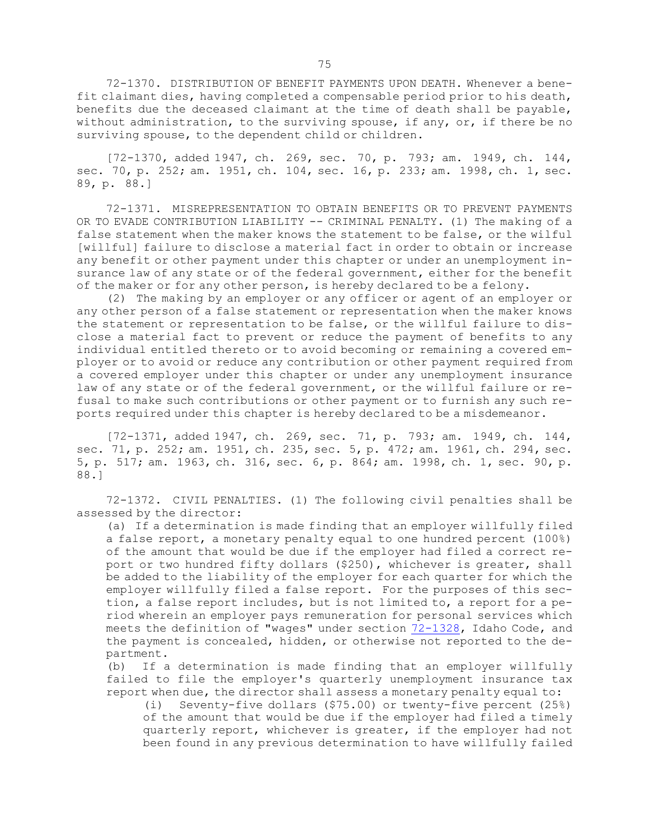72-1370. DISTRIBUTION OF BENEFIT PAYMENTS UPON DEATH. Whenever a benefit claimant dies, having completed <sup>a</sup> compensable period prior to his death, benefits due the deceased claimant at the time of death shall be payable, without administration, to the surviving spouse, if any, or, if there be no surviving spouse, to the dependent child or children.

[72-1370, added 1947, ch. 269, sec. 70, p. 793; am. 1949, ch. 144, sec. 70, p. 252; am. 1951, ch. 104, sec. 16, p. 233; am. 1998, ch. 1, sec. 89, p. 88.]

72-1371. MISREPRESENTATION TO OBTAIN BENEFITS OR TO PREVENT PAYMENTS OR TO EVADE CONTRIBUTION LIABILITY -- CRIMINAL PENALTY. (1) The making of a false statement when the maker knows the statement to be false, or the wilful [willful] failure to disclose <sup>a</sup> material fact in order to obtain or increase any benefit or other payment under this chapter or under an unemployment insurance law of any state or of the federal government, either for the benefit of the maker or for any other person, is hereby declared to be <sup>a</sup> felony.

(2) The making by an employer or any officer or agent of an employer or any other person of <sup>a</sup> false statement or representation when the maker knows the statement or representation to be false, or the willful failure to disclose <sup>a</sup> material fact to prevent or reduce the payment of benefits to any individual entitled thereto or to avoid becoming or remaining <sup>a</sup> covered employer or to avoid or reduce any contribution or other payment required from <sup>a</sup> covered employer under this chapter or under any unemployment insurance law of any state or of the federal government, or the willful failure or refusal to make such contributions or other payment or to furnish any such reports required under this chapter is hereby declared to be <sup>a</sup> misdemeanor.

[72-1371, added 1947, ch. 269, sec. 71, p. 793; am. 1949, ch. 144, sec. 71, p. 252; am. 1951, ch. 235, sec. 5, p. 472; am. 1961, ch. 294, sec. 5, p. 517; am. 1963, ch. 316, sec. 6, p. 864; am. 1998, ch. 1, sec. 90, p. 88.]

72-1372. CIVIL PENALTIES. (1) The following civil penalties shall be assessed by the director:

(a) If <sup>a</sup> determination is made finding that an employer willfully filed <sup>a</sup> false report, <sup>a</sup> monetary penalty equal to one hundred percent (100%) of the amount that would be due if the employer had filed <sup>a</sup> correct report or two hundred fifty dollars (\$250), whichever is greater, shall be added to the liability of the employer for each quarter for which the employer willfully filed <sup>a</sup> false report. For the purposes of this section, <sup>a</sup> false report includes, but is not limited to, <sup>a</sup> report for <sup>a</sup> period wherein an employer pays remuneration for personal services which meets the definition of "wages" under section [72-1328](https://legislature.idaho.gov/statutesrules/idstat/Title72/T72CH13/SECT72-1328), Idaho Code, and the payment is concealed, hidden, or otherwise not reported to the department.

(b) If <sup>a</sup> determination is made finding that an employer willfully failed to file the employer's quarterly unemployment insurance tax report when due, the director shall assess <sup>a</sup> monetary penalty equal to:

(i) Seventy-five dollars (\$75.00) or twenty-five percent (25%) of the amount that would be due if the employer had filed <sup>a</sup> timely quarterly report, whichever is greater, if the employer had not been found in any previous determination to have willfully failed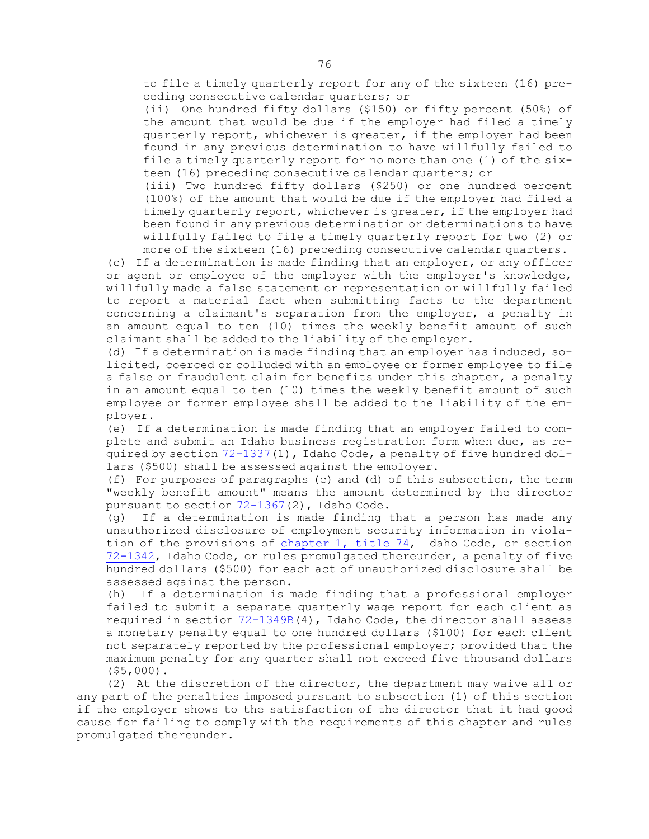to file <sup>a</sup> timely quarterly report for any of the sixteen (16) preceding consecutive calendar quarters; or

(ii) One hundred fifty dollars (\$150) or fifty percent (50%) of the amount that would be due if the employer had filed <sup>a</sup> timely quarterly report, whichever is greater, if the employer had been found in any previous determination to have willfully failed to file <sup>a</sup> timely quarterly report for no more than one (1) of the sixteen (16) preceding consecutive calendar quarters; or

(iii) Two hundred fifty dollars (\$250) or one hundred percent (100%) of the amount that would be due if the employer had filed <sup>a</sup> timely quarterly report, whichever is greater, if the employer had been found in any previous determination or determinations to have willfully failed to file <sup>a</sup> timely quarterly report for two (2) or more of the sixteen (16) preceding consecutive calendar quarters.

(c) If <sup>a</sup> determination is made finding that an employer, or any officer or agent or employee of the employer with the employer's knowledge, willfully made <sup>a</sup> false statement or representation or willfully failed to report <sup>a</sup> material fact when submitting facts to the department concerning <sup>a</sup> claimant's separation from the employer, <sup>a</sup> penalty in an amount equal to ten (10) times the weekly benefit amount of such claimant shall be added to the liability of the employer.

(d) If <sup>a</sup> determination is made finding that an employer has induced, solicited, coerced or colluded with an employee or former employee to file <sup>a</sup> false or fraudulent claim for benefits under this chapter, <sup>a</sup> penalty in an amount equal to ten (10) times the weekly benefit amount of such employee or former employee shall be added to the liability of the employer.

(e) If <sup>a</sup> determination is made finding that an employer failed to complete and submit an Idaho business registration form when due, as required by section  $72-1337(1)$  $72-1337(1)$ , Idaho Code, a penalty of five hundred dollars (\$500) shall be assessed against the employer.

(f) For purposes of paragraphs (c) and (d) of this subsection, the term "weekly benefit amount" means the amount determined by the director pursuant to section [72-1367](https://legislature.idaho.gov/statutesrules/idstat/Title72/T72CH13/SECT72-1367)(2), Idaho Code.

(g) If <sup>a</sup> determination is made finding that <sup>a</sup> person has made any unauthorized disclosure of employment security information in violation of the provisions of [chapter](https://legislature.idaho.gov/statutesrules/idstat/Title74/T74CH1) 1, title 74, Idaho Code, or section [72-1342](https://legislature.idaho.gov/statutesrules/idstat/Title72/T72CH13/SECT72-1342), Idaho Code, or rules promulgated thereunder, <sup>a</sup> penalty of five hundred dollars (\$500) for each act of unauthorized disclosure shall be assessed against the person.

(h) If <sup>a</sup> determination is made finding that <sup>a</sup> professional employer failed to submit <sup>a</sup> separate quarterly wage report for each client as required in section [72-1349B](https://legislature.idaho.gov/statutesrules/idstat/Title72/T72CH13/SECT72-1349B)(4), Idaho Code, the director shall assess <sup>a</sup> monetary penalty equal to one hundred dollars (\$100) for each client not separately reported by the professional employer; provided that the maximum penalty for any quarter shall not exceed five thousand dollars (\$5,000).

(2) At the discretion of the director, the department may waive all or any part of the penalties imposed pursuant to subsection (1) of this section if the employer shows to the satisfaction of the director that it had good cause for failing to comply with the requirements of this chapter and rules promulgated thereunder.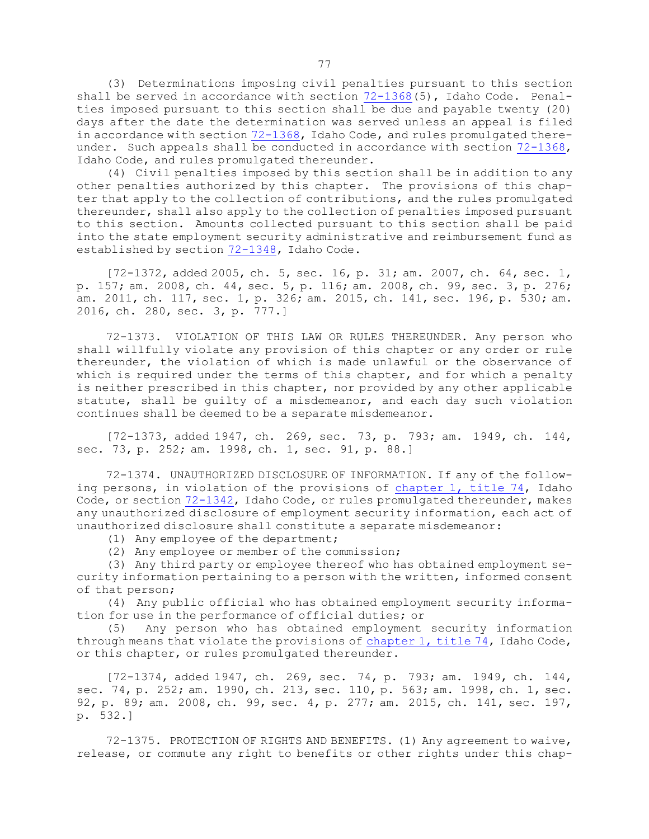(3) Determinations imposing civil penalties pursuant to this section shall be served in accordance with section [72-1368](https://legislature.idaho.gov/statutesrules/idstat/Title72/T72CH13/SECT72-1368)(5), Idaho Code. Penalties imposed pursuant to this section shall be due and payable twenty (20) days after the date the determination was served unless an appeal is filed in accordance with section [72-1368](https://legislature.idaho.gov/statutesrules/idstat/Title72/T72CH13/SECT72-1368), Idaho Code, and rules promulgated there-under. Such appeals shall be conducted in accordance with section [72-1368](https://legislature.idaho.gov/statutesrules/idstat/Title72/T72CH13/SECT72-1368), Idaho Code, and rules promulgated thereunder.

(4) Civil penalties imposed by this section shall be in addition to any other penalties authorized by this chapter. The provisions of this chapter that apply to the collection of contributions, and the rules promulgated thereunder, shall also apply to the collection of penalties imposed pursuant to this section. Amounts collected pursuant to this section shall be paid into the state employment security administrative and reimbursement fund as established by section [72-1348](https://legislature.idaho.gov/statutesrules/idstat/Title72/T72CH13/SECT72-1348), Idaho Code.

[72-1372, added 2005, ch. 5, sec. 16, p. 31; am. 2007, ch. 64, sec. 1, p. 157; am. 2008, ch. 44, sec. 5, p. 116; am. 2008, ch. 99, sec. 3, p. 276; am. 2011, ch. 117, sec. 1, p. 326; am. 2015, ch. 141, sec. 196, p. 530; am. 2016, ch. 280, sec. 3, p. 777.]

72-1373. VIOLATION OF THIS LAW OR RULES THEREUNDER. Any person who shall willfully violate any provision of this chapter or any order or rule thereunder, the violation of which is made unlawful or the observance of which is required under the terms of this chapter, and for which a penalty is neither prescribed in this chapter, nor provided by any other applicable statute, shall be guilty of <sup>a</sup> misdemeanor, and each day such violation continues shall be deemed to be <sup>a</sup> separate misdemeanor.

[72-1373, added 1947, ch. 269, sec. 73, p. 793; am. 1949, ch. 144, sec. 73, p. 252; am. 1998, ch. 1, sec. 91, p. 88.]

72-1374. UNAUTHORIZED DISCLOSURE OF INFORMATION. If any of the following persons, in violation of the provisions of [chapter](https://legislature.idaho.gov/statutesrules/idstat/Title74/T74CH1) 1, title 74, Idaho Code, or section [72-1342](https://legislature.idaho.gov/statutesrules/idstat/Title72/T72CH13/SECT72-1342), Idaho Code, or rules promulgated thereunder, makes any unauthorized disclosure of employment security information, each act of unauthorized disclosure shall constitute <sup>a</sup> separate misdemeanor:

(1) Any employee of the department;

(2) Any employee or member of the commission;

(3) Any third party or employee thereof who has obtained employment security information pertaining to <sup>a</sup> person with the written, informed consent of that person;

(4) Any public official who has obtained employment security information for use in the performance of official duties; or

(5) Any person who has obtained employment security information through means that violate the provisions of [chapter](https://legislature.idaho.gov/statutesrules/idstat/Title74/T74CH1) 1, title 74, Idaho Code, or this chapter, or rules promulgated thereunder.

[72-1374, added 1947, ch. 269, sec. 74, p. 793; am. 1949, ch. 144, sec. 74, p. 252; am. 1990, ch. 213, sec. 110, p. 563; am. 1998, ch. 1, sec. 92, p. 89; am. 2008, ch. 99, sec. 4, p. 277; am. 2015, ch. 141, sec. 197, p. 532.]

72-1375. PROTECTION OF RIGHTS AND BENEFITS. (1) Any agreement to waive, release, or commute any right to benefits or other rights under this chap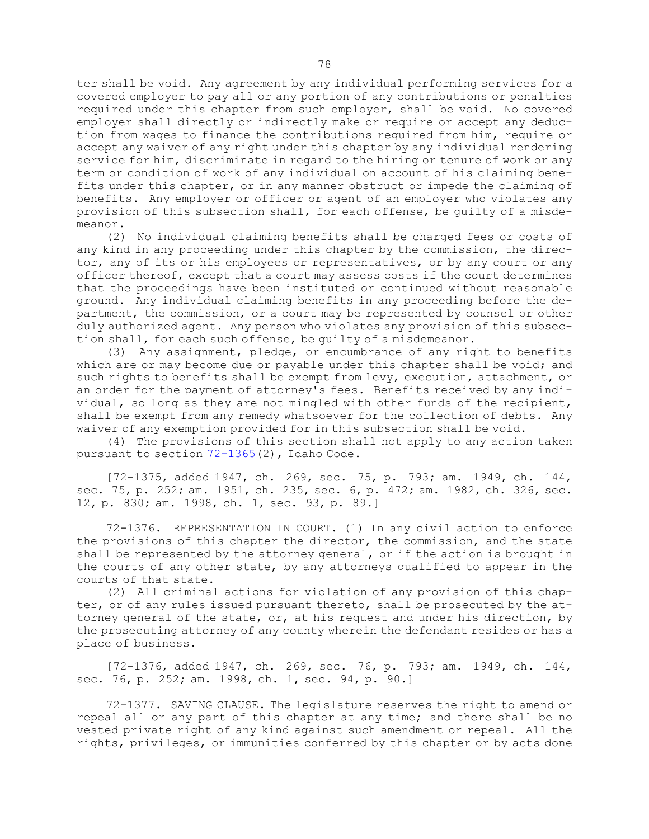ter shall be void. Any agreement by any individual performing services for <sup>a</sup> covered employer to pay all or any portion of any contributions or penalties required under this chapter from such employer, shall be void. No covered employer shall directly or indirectly make or require or accept any deduction from wages to finance the contributions required from him, require or accept any waiver of any right under this chapter by any individual rendering service for him, discriminate in regard to the hiring or tenure of work or any term or condition of work of any individual on account of his claiming benefits under this chapter, or in any manner obstruct or impede the claiming of benefits. Any employer or officer or agent of an employer who violates any provision of this subsection shall, for each offense, be guilty of <sup>a</sup> misdemeanor.

(2) No individual claiming benefits shall be charged fees or costs of any kind in any proceeding under this chapter by the commission, the director, any of its or his employees or representatives, or by any court or any officer thereof, except that <sup>a</sup> court may assess costs if the court determines that the proceedings have been instituted or continued without reasonable ground. Any individual claiming benefits in any proceeding before the department, the commission, or <sup>a</sup> court may be represented by counsel or other duly authorized agent. Any person who violates any provision of this subsection shall, for each such offense, be guilty of <sup>a</sup> misdemeanor.

(3) Any assignment, pledge, or encumbrance of any right to benefits which are or may become due or payable under this chapter shall be void; and such rights to benefits shall be exempt from levy, execution, attachment, or an order for the payment of attorney's fees. Benefits received by any individual, so long as they are not mingled with other funds of the recipient, shall be exempt from any remedy whatsoever for the collection of debts. Any waiver of any exemption provided for in this subsection shall be void.

(4) The provisions of this section shall not apply to any action taken pursuant to section  $72-1365(2)$  $72-1365(2)$ , Idaho Code.

[72-1375, added 1947, ch. 269, sec. 75, p. 793; am. 1949, ch. 144, sec. 75, p. 252; am. 1951, ch. 235, sec. 6, p. 472; am. 1982, ch. 326, sec. 12, p. 830; am. 1998, ch. 1, sec. 93, p. 89.]

72-1376. REPRESENTATION IN COURT. (1) In any civil action to enforce the provisions of this chapter the director, the commission, and the state shall be represented by the attorney general, or if the action is brought in the courts of any other state, by any attorneys qualified to appear in the courts of that state.

(2) All criminal actions for violation of any provision of this chapter, or of any rules issued pursuant thereto, shall be prosecuted by the attorney general of the state, or, at his request and under his direction, by the prosecuting attorney of any county wherein the defendant resides or has <sup>a</sup> place of business.

[72-1376, added 1947, ch. 269, sec. 76, p. 793; am. 1949, ch. 144, sec. 76, p. 252; am. 1998, ch. 1, sec. 94, p. 90.]

72-1377. SAVING CLAUSE. The legislature reserves the right to amend or repeal all or any part of this chapter at any time; and there shall be no vested private right of any kind against such amendment or repeal. All the rights, privileges, or immunities conferred by this chapter or by acts done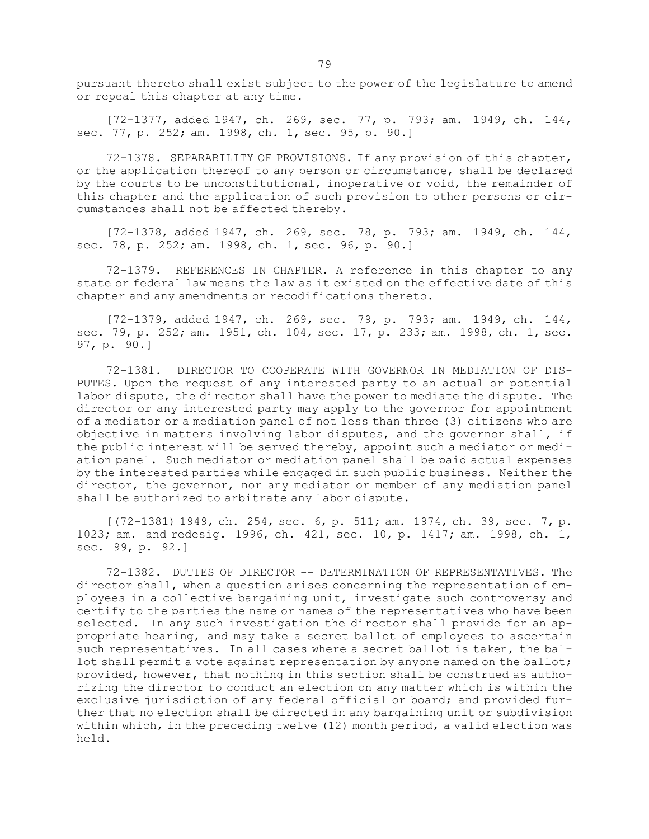pursuant thereto shall exist subject to the power of the legislature to amend or repeal this chapter at any time.

[72-1377, added 1947, ch. 269, sec. 77, p. 793; am. 1949, ch. 144, sec. 77, p. 252; am. 1998, ch. 1, sec. 95, p. 90.]

72-1378. SEPARABILITY OF PROVISIONS. If any provision of this chapter, or the application thereof to any person or circumstance, shall be declared by the courts to be unconstitutional, inoperative or void, the remainder of this chapter and the application of such provision to other persons or circumstances shall not be affected thereby.

[72-1378, added 1947, ch. 269, sec. 78, p. 793; am. 1949, ch. 144, sec. 78, p. 252; am. 1998, ch. 1, sec. 96, p. 90.]

72-1379. REFERENCES IN CHAPTER. <sup>A</sup> reference in this chapter to any state or federal law means the law as it existed on the effective date of this chapter and any amendments or recodifications thereto.

[72-1379, added 1947, ch. 269, sec. 79, p. 793; am. 1949, ch. 144, sec. 79, p. 252; am. 1951, ch. 104, sec. 17, p. 233; am. 1998, ch. 1, sec. 97, p. 90.]

72-1381. DIRECTOR TO COOPERATE WITH GOVERNOR IN MEDIATION OF DIS-PUTES. Upon the request of any interested party to an actual or potential labor dispute, the director shall have the power to mediate the dispute. The director or any interested party may apply to the governor for appointment of <sup>a</sup> mediator or <sup>a</sup> mediation panel of not less than three (3) citizens who are objective in matters involving labor disputes, and the governor shall, if the public interest will be served thereby, appoint such a mediator or mediation panel. Such mediator or mediation panel shall be paid actual expenses by the interested parties while engaged in such public business. Neither the director, the governor, nor any mediator or member of any mediation panel shall be authorized to arbitrate any labor dispute.

[(72-1381) 1949, ch. 254, sec. 6, p. 511; am. 1974, ch. 39, sec. 7, p. 1023; am. and redesig. 1996, ch. 421, sec. 10, p. 1417; am. 1998, ch. 1, sec. 99, p. 92.]

72-1382. DUTIES OF DIRECTOR -- DETERMINATION OF REPRESENTATIVES. The director shall, when <sup>a</sup> question arises concerning the representation of employees in <sup>a</sup> collective bargaining unit, investigate such controversy and certify to the parties the name or names of the representatives who have been selected. In any such investigation the director shall provide for an appropriate hearing, and may take <sup>a</sup> secret ballot of employees to ascertain such representatives. In all cases where <sup>a</sup> secret ballot is taken, the ballot shall permit <sup>a</sup> vote against representation by anyone named on the ballot; provided, however, that nothing in this section shall be construed as authorizing the director to conduct an election on any matter which is within the exclusive jurisdiction of any federal official or board; and provided further that no election shall be directed in any bargaining unit or subdivision within which, in the preceding twelve (12) month period, <sup>a</sup> valid election was held.